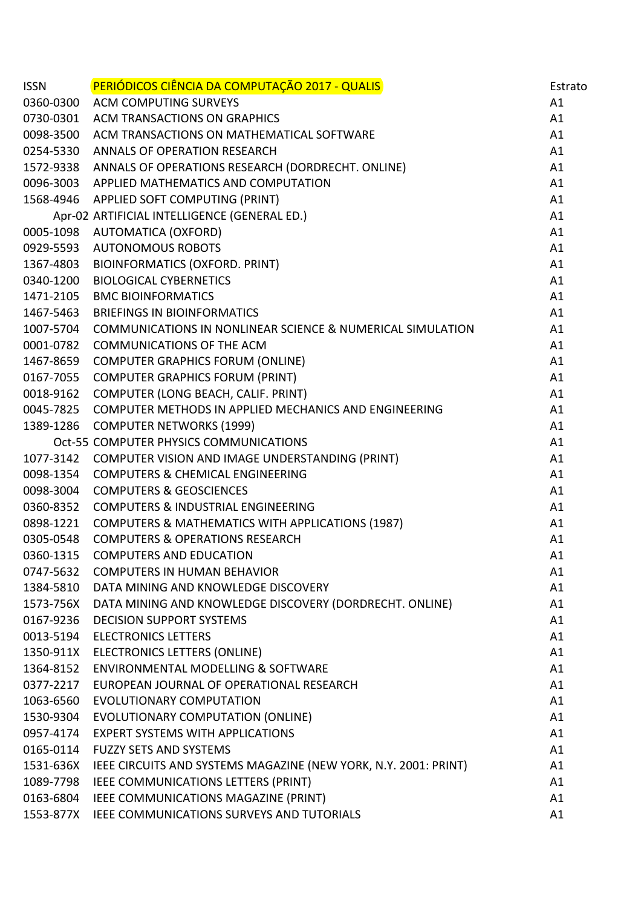| <b>ISSN</b> | <b>PERIÓDICOS CIÊNCIA DA COMPUTAÇÃO 2017 - QUALIS</b>                 | Estrato |
|-------------|-----------------------------------------------------------------------|---------|
|             | 0360-0300 ACM COMPUTING SURVEYS                                       | A1      |
| 0730-0301   | <b>ACM TRANSACTIONS ON GRAPHICS</b>                                   | A1      |
| 0098-3500   | ACM TRANSACTIONS ON MATHEMATICAL SOFTWARE                             | A1      |
|             | 0254-5330 ANNALS OF OPERATION RESEARCH                                | A1      |
|             | 1572-9338 ANNALS OF OPERATIONS RESEARCH (DORDRECHT. ONLINE)           | A1      |
|             | 0096-3003 APPLIED MATHEMATICS AND COMPUTATION                         | A1      |
|             | 1568-4946 APPLIED SOFT COMPUTING (PRINT)                              | A1      |
|             | Apr-02 ARTIFICIAL INTELLIGENCE (GENERAL ED.)                          | A1      |
|             | 0005-1098 AUTOMATICA (OXFORD)                                         | A1      |
| 0929-5593   | <b>AUTONOMOUS ROBOTS</b>                                              | A1      |
| 1367-4803   | <b>BIOINFORMATICS (OXFORD. PRINT)</b>                                 | A1      |
| 0340-1200   | <b>BIOLOGICAL CYBERNETICS</b>                                         | A1      |
|             | 1471-2105 BMC BIOINFORMATICS                                          | A1      |
| 1467-5463   | <b>BRIEFINGS IN BIOINFORMATICS</b>                                    | A1      |
| 1007-5704   | <b>COMMUNICATIONS IN NONLINEAR SCIENCE &amp; NUMERICAL SIMULATION</b> | A1      |
| 0001-0782   | <b>COMMUNICATIONS OF THE ACM</b>                                      | A1      |
|             | 1467-8659 COMPUTER GRAPHICS FORUM (ONLINE)                            | A1      |
| 0167-7055   | <b>COMPUTER GRAPHICS FORUM (PRINT)</b>                                | A1      |
| 0018-9162   | COMPUTER (LONG BEACH, CALIF. PRINT)                                   | A1      |
| 0045-7825   | COMPUTER METHODS IN APPLIED MECHANICS AND ENGINEERING                 | A1      |
|             | 1389-1286 COMPUTER NETWORKS (1999)                                    | A1      |
|             | Oct-55 COMPUTER PHYSICS COMMUNICATIONS                                | A1      |
|             | 1077-3142 COMPUTER VISION AND IMAGE UNDERSTANDING (PRINT)             | A1      |
| 0098-1354   | <b>COMPUTERS &amp; CHEMICAL ENGINEERING</b>                           | A1      |
| 0098-3004   | <b>COMPUTERS &amp; GEOSCIENCES</b>                                    | A1      |
| 0360-8352   | <b>COMPUTERS &amp; INDUSTRIAL ENGINEERING</b>                         | A1      |
| 0898-1221   | COMPUTERS & MATHEMATICS WITH APPLICATIONS (1987)                      | A1      |
| 0305-0548   | <b>COMPUTERS &amp; OPERATIONS RESEARCH</b>                            | A1      |
| 0360-1315   | <b>COMPUTERS AND EDUCATION</b>                                        | A1      |
| 0747-5632   | <b>COMPUTERS IN HUMAN BEHAVIOR</b>                                    | A1      |
| 1384-5810   | DATA MINING AND KNOWLEDGE DISCOVERY                                   | A1      |
| 1573-756X   | DATA MINING AND KNOWLEDGE DISCOVERY (DORDRECHT. ONLINE)               | A1      |
| 0167-9236   | <b>DECISION SUPPORT SYSTEMS</b>                                       | A1      |
|             | 0013-5194 ELECTRONICS LETTERS                                         | A1      |
|             | 1350-911X ELECTRONICS LETTERS (ONLINE)                                | A1      |
| 1364-8152   | <b>ENVIRONMENTAL MODELLING &amp; SOFTWARE</b>                         | A1      |
| 0377-2217   | EUROPEAN JOURNAL OF OPERATIONAL RESEARCH                              | A1      |
| 1063-6560   | <b>EVOLUTIONARY COMPUTATION</b>                                       | A1      |
|             | 1530-9304 EVOLUTIONARY COMPUTATION (ONLINE)                           | A1      |
| 0957-4174   | <b>EXPERT SYSTEMS WITH APPLICATIONS</b>                               | A1      |
| 0165-0114   | <b>FUZZY SETS AND SYSTEMS</b>                                         | A1      |
| 1531-636X   | IEEE CIRCUITS AND SYSTEMS MAGAZINE (NEW YORK, N.Y. 2001: PRINT)       | A1      |
| 1089-7798   | IEEE COMMUNICATIONS LETTERS (PRINT)                                   | A1      |
| 0163-6804   | IEEE COMMUNICATIONS MAGAZINE (PRINT)                                  | A1      |
| 1553-877X   | IEEE COMMUNICATIONS SURVEYS AND TUTORIALS                             | A1      |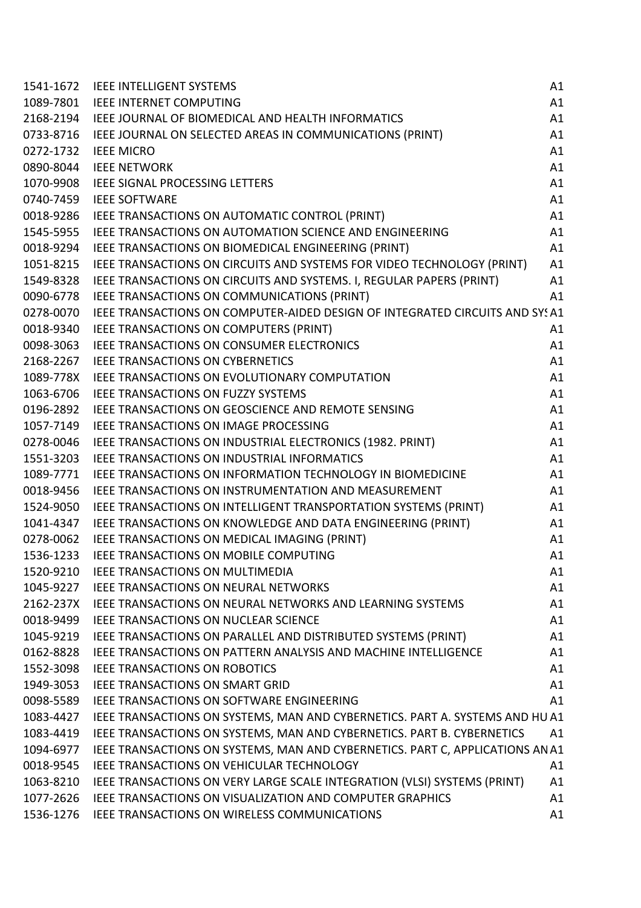| 1541-1672 | <b>IEEE INTELLIGENT SYSTEMS</b>                                               | A1 |
|-----------|-------------------------------------------------------------------------------|----|
| 1089-7801 | <b>IEEE INTERNET COMPUTING</b>                                                | A1 |
| 2168-2194 | IEEE JOURNAL OF BIOMEDICAL AND HEALTH INFORMATICS                             | A1 |
| 0733-8716 | IEEE JOURNAL ON SELECTED AREAS IN COMMUNICATIONS (PRINT)                      | A1 |
| 0272-1732 | <b>IEEE MICRO</b>                                                             | A1 |
| 0890-8044 | <b>IEEE NETWORK</b>                                                           | A1 |
| 1070-9908 | <b>IEEE SIGNAL PROCESSING LETTERS</b>                                         | A1 |
| 0740-7459 | <b>IEEE SOFTWARE</b>                                                          | A1 |
| 0018-9286 | IEEE TRANSACTIONS ON AUTOMATIC CONTROL (PRINT)                                | A1 |
| 1545-5955 | IEEE TRANSACTIONS ON AUTOMATION SCIENCE AND ENGINEERING                       | A1 |
| 0018-9294 | IEEE TRANSACTIONS ON BIOMEDICAL ENGINEERING (PRINT)                           | A1 |
| 1051-8215 | IEEE TRANSACTIONS ON CIRCUITS AND SYSTEMS FOR VIDEO TECHNOLOGY (PRINT)        | A1 |
| 1549-8328 | IEEE TRANSACTIONS ON CIRCUITS AND SYSTEMS. I, REGULAR PAPERS (PRINT)          | A1 |
| 0090-6778 | IEEE TRANSACTIONS ON COMMUNICATIONS (PRINT)                                   | A1 |
| 0278-0070 | IEEE TRANSACTIONS ON COMPUTER-AIDED DESIGN OF INTEGRATED CIRCUITS AND SYSA1   |    |
| 0018-9340 | IEEE TRANSACTIONS ON COMPUTERS (PRINT)                                        | A1 |
| 0098-3063 | <b>IEEE TRANSACTIONS ON CONSUMER ELECTRONICS</b>                              | A1 |
| 2168-2267 | <b>IEEE TRANSACTIONS ON CYBERNETICS</b>                                       | A1 |
| 1089-778X | IEEE TRANSACTIONS ON EVOLUTIONARY COMPUTATION                                 | A1 |
| 1063-6706 | <b>IEEE TRANSACTIONS ON FUZZY SYSTEMS</b>                                     | A1 |
| 0196-2892 | <b>IEEE TRANSACTIONS ON GEOSCIENCE AND REMOTE SENSING</b>                     | A1 |
| 1057-7149 | IEEE TRANSACTIONS ON IMAGE PROCESSING                                         | A1 |
| 0278-0046 | IEEE TRANSACTIONS ON INDUSTRIAL ELECTRONICS (1982. PRINT)                     | A1 |
| 1551-3203 | <b>IEEE TRANSACTIONS ON INDUSTRIAL INFORMATICS</b>                            | A1 |
| 1089-7771 | <b>IEEE TRANSACTIONS ON INFORMATION TECHNOLOGY IN BIOMEDICINE</b>             | A1 |
| 0018-9456 | IEEE TRANSACTIONS ON INSTRUMENTATION AND MEASUREMENT                          | A1 |
| 1524-9050 | IEEE TRANSACTIONS ON INTELLIGENT TRANSPORTATION SYSTEMS (PRINT)               | A1 |
| 1041-4347 | IEEE TRANSACTIONS ON KNOWLEDGE AND DATA ENGINEERING (PRINT)                   | A1 |
| 0278-0062 | IEEE TRANSACTIONS ON MEDICAL IMAGING (PRINT)                                  | A1 |
| 1536-1233 | IEEE TRANSACTIONS ON MOBILE COMPUTING                                         | A1 |
| 1520-9210 | <b>IEEE TRANSACTIONS ON MULTIMEDIA</b>                                        | A1 |
| 1045-9227 | <b>IEEE TRANSACTIONS ON NEURAL NETWORKS</b>                                   | A1 |
| 2162-237X | <b>IEEE TRANSACTIONS ON NEURAL NETWORKS AND LEARNING SYSTEMS</b>              | A1 |
| 0018-9499 | <b>IEEE TRANSACTIONS ON NUCLEAR SCIENCE</b>                                   | A1 |
| 1045-9219 | IEEE TRANSACTIONS ON PARALLEL AND DISTRIBUTED SYSTEMS (PRINT)                 | A1 |
| 0162-8828 | <b>IEEE TRANSACTIONS ON PATTERN ANALYSIS AND MACHINE INTELLIGENCE</b>         | A1 |
| 1552-3098 | <b>IEEE TRANSACTIONS ON ROBOTICS</b>                                          | A1 |
| 1949-3053 | <b>IEEE TRANSACTIONS ON SMART GRID</b>                                        | A1 |
| 0098-5589 | IEEE TRANSACTIONS ON SOFTWARE ENGINEERING                                     | A1 |
| 1083-4427 | IEEE TRANSACTIONS ON SYSTEMS, MAN AND CYBERNETICS. PART A. SYSTEMS AND HU A1  |    |
| 1083-4419 | IEEE TRANSACTIONS ON SYSTEMS, MAN AND CYBERNETICS. PART B. CYBERNETICS        | A1 |
| 1094-6977 | IEEE TRANSACTIONS ON SYSTEMS, MAN AND CYBERNETICS. PART C, APPLICATIONS AN A1 |    |
| 0018-9545 | IEEE TRANSACTIONS ON VEHICULAR TECHNOLOGY                                     | A1 |
| 1063-8210 | IEEE TRANSACTIONS ON VERY LARGE SCALE INTEGRATION (VLSI) SYSTEMS (PRINT)      | A1 |
| 1077-2626 | <b>IEEE TRANSACTIONS ON VISUALIZATION AND COMPUTER GRAPHICS</b>               | A1 |
| 1536-1276 | IEEE TRANSACTIONS ON WIRELESS COMMUNICATIONS                                  | A1 |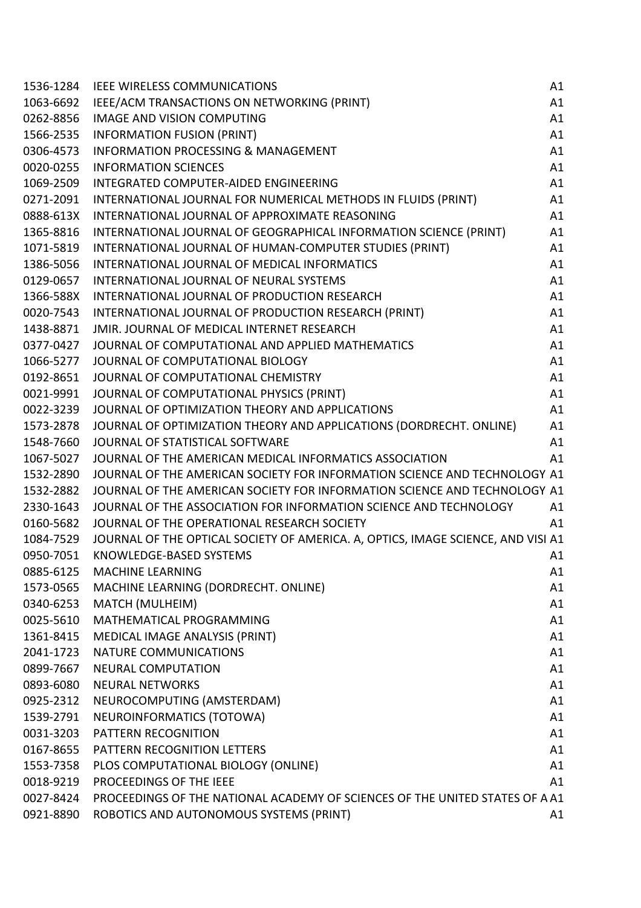| 1536-1284 | <b>IEEE WIRELESS COMMUNICATIONS</b>                                              | A1 |
|-----------|----------------------------------------------------------------------------------|----|
| 1063-6692 | IEEE/ACM TRANSACTIONS ON NETWORKING (PRINT)                                      | A1 |
| 0262-8856 | <b>IMAGE AND VISION COMPUTING</b>                                                | A1 |
| 1566-2535 | <b>INFORMATION FUSION (PRINT)</b>                                                | A1 |
| 0306-4573 | <b>INFORMATION PROCESSING &amp; MANAGEMENT</b>                                   | A1 |
| 0020-0255 | <b>INFORMATION SCIENCES</b>                                                      | A1 |
| 1069-2509 | INTEGRATED COMPUTER-AIDED ENGINEERING                                            | A1 |
| 0271-2091 | INTERNATIONAL JOURNAL FOR NUMERICAL METHODS IN FLUIDS (PRINT)                    | A1 |
| 0888-613X | INTERNATIONAL JOURNAL OF APPROXIMATE REASONING                                   | A1 |
| 1365-8816 | INTERNATIONAL JOURNAL OF GEOGRAPHICAL INFORMATION SCIENCE (PRINT)                | A1 |
| 1071-5819 | INTERNATIONAL JOURNAL OF HUMAN-COMPUTER STUDIES (PRINT)                          | A1 |
| 1386-5056 | INTERNATIONAL JOURNAL OF MEDICAL INFORMATICS                                     | A1 |
| 0129-0657 | INTERNATIONAL JOURNAL OF NEURAL SYSTEMS                                          | A1 |
| 1366-588X | INTERNATIONAL JOURNAL OF PRODUCTION RESEARCH                                     | A1 |
| 0020-7543 | INTERNATIONAL JOURNAL OF PRODUCTION RESEARCH (PRINT)                             | A1 |
| 1438-8871 | JMIR. JOURNAL OF MEDICAL INTERNET RESEARCH                                       | A1 |
| 0377-0427 | JOURNAL OF COMPUTATIONAL AND APPLIED MATHEMATICS                                 | A1 |
| 1066-5277 | JOURNAL OF COMPUTATIONAL BIOLOGY                                                 | A1 |
| 0192-8651 | JOURNAL OF COMPUTATIONAL CHEMISTRY                                               | A1 |
| 0021-9991 | JOURNAL OF COMPUTATIONAL PHYSICS (PRINT)                                         | A1 |
| 0022-3239 | JOURNAL OF OPTIMIZATION THEORY AND APPLICATIONS                                  | A1 |
| 1573-2878 | JOURNAL OF OPTIMIZATION THEORY AND APPLICATIONS (DORDRECHT. ONLINE)              | A1 |
| 1548-7660 | JOURNAL OF STATISTICAL SOFTWARE                                                  | A1 |
| 1067-5027 | JOURNAL OF THE AMERICAN MEDICAL INFORMATICS ASSOCIATION                          | A1 |
| 1532-2890 | JOURNAL OF THE AMERICAN SOCIETY FOR INFORMATION SCIENCE AND TECHNOLOGY A1        |    |
| 1532-2882 | JOURNAL OF THE AMERICAN SOCIETY FOR INFORMATION SCIENCE AND TECHNOLOGY A1        |    |
| 2330-1643 | JOURNAL OF THE ASSOCIATION FOR INFORMATION SCIENCE AND TECHNOLOGY                | A1 |
| 0160-5682 | JOURNAL OF THE OPERATIONAL RESEARCH SOCIETY                                      | A1 |
| 1084-7529 | JOURNAL OF THE OPTICAL SOCIETY OF AMERICA. A, OPTICS, IMAGE SCIENCE, AND VISI A1 |    |
| 0950-7051 | KNOWLEDGE-BASED SYSTEMS                                                          | A1 |
| 0885-6125 | <b>MACHINE LEARNING</b>                                                          | A1 |
| 1573-0565 | MACHINE LEARNING (DORDRECHT. ONLINE)                                             | A1 |
| 0340-6253 | MATCH (MULHEIM)                                                                  | A1 |
| 0025-5610 | MATHEMATICAL PROGRAMMING                                                         | A1 |
| 1361-8415 | MEDICAL IMAGE ANALYSIS (PRINT)                                                   | A1 |
| 2041-1723 | <b>NATURE COMMUNICATIONS</b>                                                     | A1 |
| 0899-7667 | <b>NEURAL COMPUTATION</b>                                                        | A1 |
| 0893-6080 | <b>NEURAL NETWORKS</b>                                                           | A1 |
| 0925-2312 | NEUROCOMPUTING (AMSTERDAM)                                                       | A1 |
| 1539-2791 | NEUROINFORMATICS (TOTOWA)                                                        | A1 |
| 0031-3203 | PATTERN RECOGNITION                                                              | A1 |
| 0167-8655 | PATTERN RECOGNITION LETTERS                                                      | A1 |
| 1553-7358 | PLOS COMPUTATIONAL BIOLOGY (ONLINE)                                              | A1 |
| 0018-9219 | PROCEEDINGS OF THE IEEE                                                          | A1 |
| 0027-8424 | PROCEEDINGS OF THE NATIONAL ACADEMY OF SCIENCES OF THE UNITED STATES OF A A1     |    |
| 0921-8890 | ROBOTICS AND AUTONOMOUS SYSTEMS (PRINT)                                          | A1 |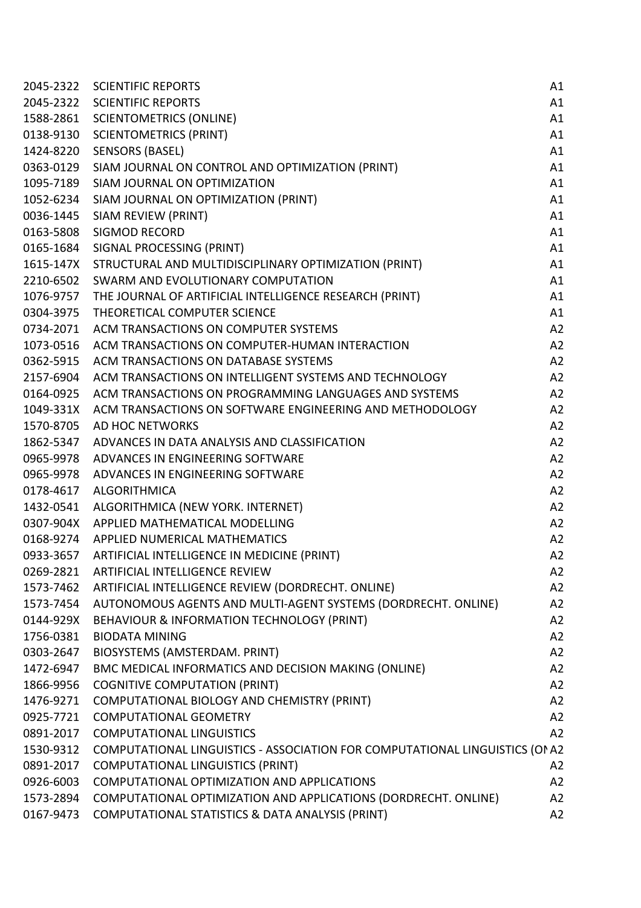| 2045-2322 | <b>SCIENTIFIC REPORTS</b>                                                   | A1 |
|-----------|-----------------------------------------------------------------------------|----|
|           | 2045-2322 SCIENTIFIC REPORTS                                                | A1 |
| 1588-2861 | <b>SCIENTOMETRICS (ONLINE)</b>                                              | A1 |
| 0138-9130 | <b>SCIENTOMETRICS (PRINT)</b>                                               | A1 |
| 1424-8220 | <b>SENSORS (BASEL)</b>                                                      | A1 |
| 0363-0129 | SIAM JOURNAL ON CONTROL AND OPTIMIZATION (PRINT)                            | A1 |
| 1095-7189 | SIAM JOURNAL ON OPTIMIZATION                                                | A1 |
| 1052-6234 | SIAM JOURNAL ON OPTIMIZATION (PRINT)                                        | A1 |
| 0036-1445 | SIAM REVIEW (PRINT)                                                         | A1 |
|           | 0163-5808 SIGMOD RECORD                                                     | A1 |
| 0165-1684 | SIGNAL PROCESSING (PRINT)                                                   | A1 |
| 1615-147X | STRUCTURAL AND MULTIDISCIPLINARY OPTIMIZATION (PRINT)                       | A1 |
| 2210-6502 | SWARM AND EVOLUTIONARY COMPUTATION                                          | A1 |
|           | 1076-9757 THE JOURNAL OF ARTIFICIAL INTELLIGENCE RESEARCH (PRINT)           | A1 |
| 0304-3975 | THEORETICAL COMPUTER SCIENCE                                                | A1 |
| 0734-2071 | ACM TRANSACTIONS ON COMPUTER SYSTEMS                                        | A2 |
| 1073-0516 | ACM TRANSACTIONS ON COMPUTER-HUMAN INTERACTION                              | A2 |
| 0362-5915 | ACM TRANSACTIONS ON DATABASE SYSTEMS                                        | A2 |
| 2157-6904 | ACM TRANSACTIONS ON INTELLIGENT SYSTEMS AND TECHNOLOGY                      | A2 |
| 0164-0925 | ACM TRANSACTIONS ON PROGRAMMING LANGUAGES AND SYSTEMS                       | A2 |
| 1049-331X | ACM TRANSACTIONS ON SOFTWARE ENGINEERING AND METHODOLOGY                    | A2 |
| 1570-8705 | AD HOC NETWORKS                                                             | A2 |
| 1862-5347 | ADVANCES IN DATA ANALYSIS AND CLASSIFICATION                                | A2 |
| 0965-9978 | ADVANCES IN ENGINEERING SOFTWARE                                            | A2 |
| 0965-9978 | ADVANCES IN ENGINEERING SOFTWARE                                            | A2 |
| 0178-4617 | ALGORITHMICA                                                                | A2 |
| 1432-0541 | ALGORITHMICA (NEW YORK. INTERNET)                                           | A2 |
|           | 0307-904X APPLIED MATHEMATICAL MODELLING                                    | A2 |
|           | 0168-9274 APPLIED NUMERICAL MATHEMATICS                                     | A2 |
|           | 0933-3657 ARTIFICIAL INTELLIGENCE IN MEDICINE (PRINT)                       | A2 |
| 0269-2821 | ARTIFICIAL INTELLIGENCE REVIEW                                              | A2 |
| 1573-7462 | ARTIFICIAL INTELLIGENCE REVIEW (DORDRECHT. ONLINE)                          | A2 |
| 1573-7454 | AUTONOMOUS AGENTS AND MULTI-AGENT SYSTEMS (DORDRECHT. ONLINE)               | A2 |
| 0144-929X | BEHAVIOUR & INFORMATION TECHNOLOGY (PRINT)                                  | A2 |
| 1756-0381 | <b>BIODATA MINING</b>                                                       | A2 |
| 0303-2647 | BIOSYSTEMS (AMSTERDAM. PRINT)                                               | A2 |
| 1472-6947 | BMC MEDICAL INFORMATICS AND DECISION MAKING (ONLINE)                        | A2 |
| 1866-9956 | <b>COGNITIVE COMPUTATION (PRINT)</b>                                        | A2 |
| 1476-9271 | COMPUTATIONAL BIOLOGY AND CHEMISTRY (PRINT)                                 | A2 |
| 0925-7721 | <b>COMPUTATIONAL GEOMETRY</b>                                               | A2 |
| 0891-2017 | <b>COMPUTATIONAL LINGUISTICS</b>                                            | A2 |
| 1530-9312 | COMPUTATIONAL LINGUISTICS - ASSOCIATION FOR COMPUTATIONAL LINGUISTICS (ONA2 |    |
| 0891-2017 | <b>COMPUTATIONAL LINGUISTICS (PRINT)</b>                                    | A2 |
| 0926-6003 | COMPUTATIONAL OPTIMIZATION AND APPLICATIONS                                 | A2 |
| 1573-2894 | COMPUTATIONAL OPTIMIZATION AND APPLICATIONS (DORDRECHT. ONLINE)             | A2 |
| 0167-9473 | COMPUTATIONAL STATISTICS & DATA ANALYSIS (PRINT)                            | A2 |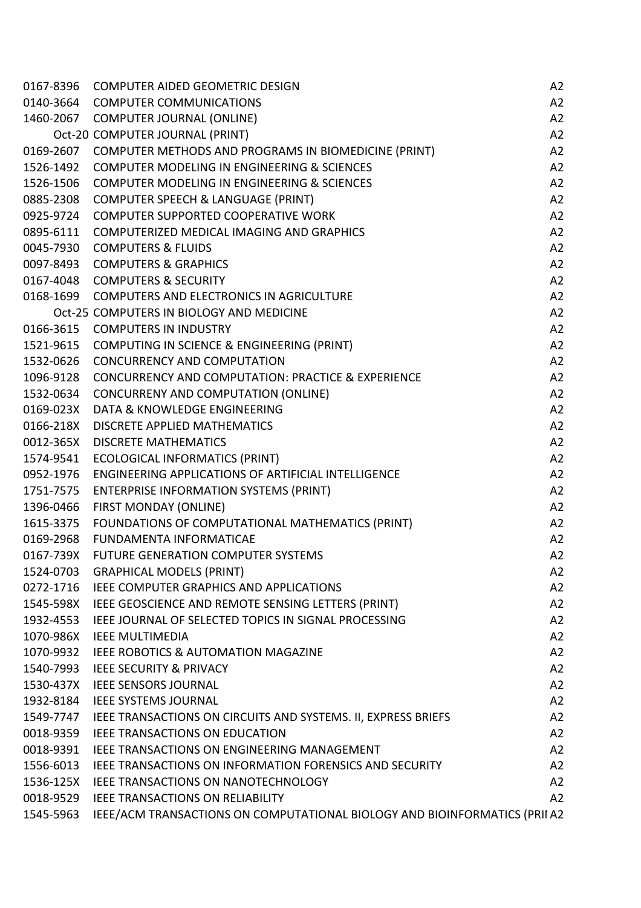| 0167-8396 | <b>COMPUTER AIDED GEOMETRIC DESIGN</b>                                     | A2 |
|-----------|----------------------------------------------------------------------------|----|
|           | 0140-3664 COMPUTER COMMUNICATIONS                                          | A2 |
|           | 1460-2067 COMPUTER JOURNAL (ONLINE)                                        | A2 |
|           | Oct-20 COMPUTER JOURNAL (PRINT)                                            | A2 |
| 0169-2607 | COMPUTER METHODS AND PROGRAMS IN BIOMEDICINE (PRINT)                       | A2 |
| 1526-1492 | <b>COMPUTER MODELING IN ENGINEERING &amp; SCIENCES</b>                     | A2 |
| 1526-1506 | COMPUTER MODELING IN ENGINEERING & SCIENCES                                | A2 |
| 0885-2308 | <b>COMPUTER SPEECH &amp; LANGUAGE (PRINT)</b>                              | A2 |
| 0925-9724 | <b>COMPUTER SUPPORTED COOPERATIVE WORK</b>                                 | A2 |
| 0895-6111 | COMPUTERIZED MEDICAL IMAGING AND GRAPHICS                                  | A2 |
| 0045-7930 | <b>COMPUTERS &amp; FLUIDS</b>                                              | A2 |
|           | 0097-8493 COMPUTERS & GRAPHICS                                             | A2 |
|           | 0167-4048 COMPUTERS & SECURITY                                             | A2 |
|           | 0168-1699 COMPUTERS AND ELECTRONICS IN AGRICULTURE                         | A2 |
|           | Oct-25 COMPUTERS IN BIOLOGY AND MEDICINE                                   | A2 |
|           | 0166-3615 COMPUTERS IN INDUSTRY                                            | A2 |
|           | 1521-9615 COMPUTING IN SCIENCE & ENGINEERING (PRINT)                       | A2 |
| 1532-0626 | <b>CONCURRENCY AND COMPUTATION</b>                                         | A2 |
| 1096-9128 | <b>CONCURRENCY AND COMPUTATION: PRACTICE &amp; EXPERIENCE</b>              | A2 |
| 1532-0634 | <b>CONCURRENY AND COMPUTATION (ONLINE)</b>                                 | A2 |
| 0169-023X | DATA & KNOWLEDGE ENGINEERING                                               | A2 |
| 0166-218X | DISCRETE APPLIED MATHEMATICS                                               | A2 |
| 0012-365X | <b>DISCRETE MATHEMATICS</b>                                                | A2 |
| 1574-9541 | <b>ECOLOGICAL INFORMATICS (PRINT)</b>                                      | A2 |
| 0952-1976 | ENGINEERING APPLICATIONS OF ARTIFICIAL INTELLIGENCE                        | A2 |
| 1751-7575 | <b>ENTERPRISE INFORMATION SYSTEMS (PRINT)</b>                              | A2 |
| 1396-0466 | FIRST MONDAY (ONLINE)                                                      | A2 |
| 1615-3375 | FOUNDATIONS OF COMPUTATIONAL MATHEMATICS (PRINT)                           | A2 |
| 0169-2968 | <b>FUNDAMENTA INFORMATICAE</b>                                             | A2 |
| 0167-739X | FUTURE GENERATION COMPUTER SYSTEMS                                         | A2 |
| 1524-0703 | <b>GRAPHICAL MODELS (PRINT)</b>                                            | A2 |
| 0272-1716 | <b>IEEE COMPUTER GRAPHICS AND APPLICATIONS</b>                             | A2 |
| 1545-598X | IEEE GEOSCIENCE AND REMOTE SENSING LETTERS (PRINT)                         | A2 |
| 1932-4553 | IEEE JOURNAL OF SELECTED TOPICS IN SIGNAL PROCESSING                       | A2 |
| 1070-986X | <b>IEEE MULTIMEDIA</b>                                                     | A2 |
| 1070-9932 | IEEE ROBOTICS & AUTOMATION MAGAZINE                                        | A2 |
| 1540-7993 | <b>IEEE SECURITY &amp; PRIVACY</b>                                         | A2 |
| 1530-437X | <b>IEEE SENSORS JOURNAL</b>                                                | A2 |
| 1932-8184 | <b>IEEE SYSTEMS JOURNAL</b>                                                | A2 |
|           | 1549-7747 IEEE TRANSACTIONS ON CIRCUITS AND SYSTEMS. II, EXPRESS BRIEFS    | A2 |
| 0018-9359 | IEEE TRANSACTIONS ON EDUCATION                                             | A2 |
| 0018-9391 | IEEE TRANSACTIONS ON ENGINEERING MANAGEMENT                                | A2 |
| 1556-6013 | <b>IEEE TRANSACTIONS ON INFORMATION FORENSICS AND SECURITY</b>             | A2 |
| 1536-125X | IEEE TRANSACTIONS ON NANOTECHNOLOGY                                        | A2 |
| 0018-9529 | <b>IEEE TRANSACTIONS ON RELIABILITY</b>                                    | A2 |
| 1545-5963 | IEEE/ACM TRANSACTIONS ON COMPUTATIONAL BIOLOGY AND BIOINFORMATICS (PRII A2 |    |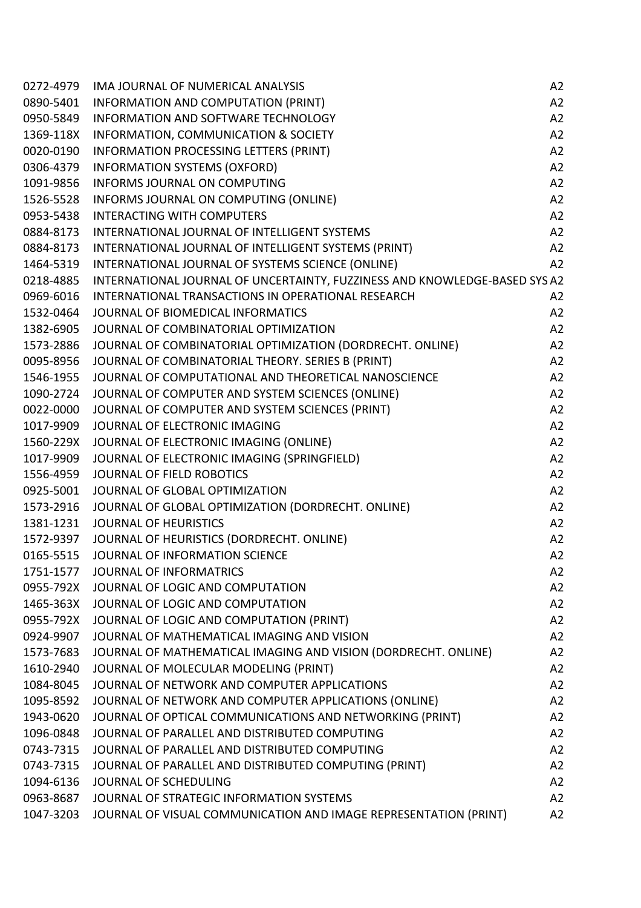| 0272-4979 | IMA JOURNAL OF NUMERICAL ANALYSIS                                          | A2 |
|-----------|----------------------------------------------------------------------------|----|
| 0890-5401 | INFORMATION AND COMPUTATION (PRINT)                                        | A2 |
| 0950-5849 | INFORMATION AND SOFTWARE TECHNOLOGY                                        | A2 |
| 1369-118X | INFORMATION, COMMUNICATION & SOCIETY                                       | A2 |
| 0020-0190 | INFORMATION PROCESSING LETTERS (PRINT)                                     | A2 |
| 0306-4379 | <b>INFORMATION SYSTEMS (OXFORD)</b>                                        | A2 |
| 1091-9856 | <b>INFORMS JOURNAL ON COMPUTING</b>                                        | A2 |
| 1526-5528 | INFORMS JOURNAL ON COMPUTING (ONLINE)                                      | A2 |
| 0953-5438 | <b>INTERACTING WITH COMPUTERS</b>                                          | A2 |
| 0884-8173 | INTERNATIONAL JOURNAL OF INTELLIGENT SYSTEMS                               | A2 |
| 0884-8173 | INTERNATIONAL JOURNAL OF INTELLIGENT SYSTEMS (PRINT)                       | A2 |
| 1464-5319 | INTERNATIONAL JOURNAL OF SYSTEMS SCIENCE (ONLINE)                          | A2 |
| 0218-4885 | INTERNATIONAL JOURNAL OF UNCERTAINTY, FUZZINESS AND KNOWLEDGE-BASED SYS A2 |    |
| 0969-6016 | INTERNATIONAL TRANSACTIONS IN OPERATIONAL RESEARCH                         | A2 |
| 1532-0464 | JOURNAL OF BIOMEDICAL INFORMATICS                                          | A2 |
| 1382-6905 | JOURNAL OF COMBINATORIAL OPTIMIZATION                                      | A2 |
| 1573-2886 | JOURNAL OF COMBINATORIAL OPTIMIZATION (DORDRECHT. ONLINE)                  | A2 |
| 0095-8956 | JOURNAL OF COMBINATORIAL THEORY. SERIES B (PRINT)                          | A2 |
| 1546-1955 | JOURNAL OF COMPUTATIONAL AND THEORETICAL NANOSCIENCE                       | A2 |
| 1090-2724 | JOURNAL OF COMPUTER AND SYSTEM SCIENCES (ONLINE)                           | A2 |
| 0022-0000 | JOURNAL OF COMPUTER AND SYSTEM SCIENCES (PRINT)                            | A2 |
| 1017-9909 | JOURNAL OF ELECTRONIC IMAGING                                              | A2 |
| 1560-229X | JOURNAL OF ELECTRONIC IMAGING (ONLINE)                                     | A2 |
| 1017-9909 | JOURNAL OF ELECTRONIC IMAGING (SPRINGFIELD)                                | A2 |
| 1556-4959 | JOURNAL OF FIELD ROBOTICS                                                  | A2 |
| 0925-5001 | JOURNAL OF GLOBAL OPTIMIZATION                                             | A2 |
| 1573-2916 | JOURNAL OF GLOBAL OPTIMIZATION (DORDRECHT. ONLINE)                         | A2 |
|           | 1381-1231 JOURNAL OF HEURISTICS                                            | A2 |
| 1572-9397 | JOURNAL OF HEURISTICS (DORDRECHT. ONLINE)                                  | A2 |
| 0165-5515 | JOURNAL OF INFORMATION SCIENCE                                             | A2 |
| 1751-1577 | JOURNAL OF INFORMATRICS                                                    | A2 |
|           | 0955-792X JOURNAL OF LOGIC AND COMPUTATION                                 | A2 |
| 1465-363X | JOURNAL OF LOGIC AND COMPUTATION                                           | A2 |
|           | 0955-792X JOURNAL OF LOGIC AND COMPUTATION (PRINT)                         | A2 |
| 0924-9907 | JOURNAL OF MATHEMATICAL IMAGING AND VISION                                 | A2 |
| 1573-7683 | JOURNAL OF MATHEMATICAL IMAGING AND VISION (DORDRECHT. ONLINE)             | A2 |
| 1610-2940 | JOURNAL OF MOLECULAR MODELING (PRINT)                                      | A2 |
| 1084-8045 | JOURNAL OF NETWORK AND COMPUTER APPLICATIONS                               | A2 |
| 1095-8592 | JOURNAL OF NETWORK AND COMPUTER APPLICATIONS (ONLINE)                      | A2 |
| 1943-0620 | JOURNAL OF OPTICAL COMMUNICATIONS AND NETWORKING (PRINT)                   | A2 |
| 1096-0848 | JOURNAL OF PARALLEL AND DISTRIBUTED COMPUTING                              | A2 |
| 0743-7315 | JOURNAL OF PARALLEL AND DISTRIBUTED COMPUTING                              | A2 |
| 0743-7315 | JOURNAL OF PARALLEL AND DISTRIBUTED COMPUTING (PRINT)                      | A2 |
| 1094-6136 | JOURNAL OF SCHEDULING                                                      | A2 |
| 0963-8687 | JOURNAL OF STRATEGIC INFORMATION SYSTEMS                                   | A2 |
|           | 1047-3203 JOURNAL OF VISUAL COMMUNICATION AND IMAGE REPRESENTATION (PRINT) | A2 |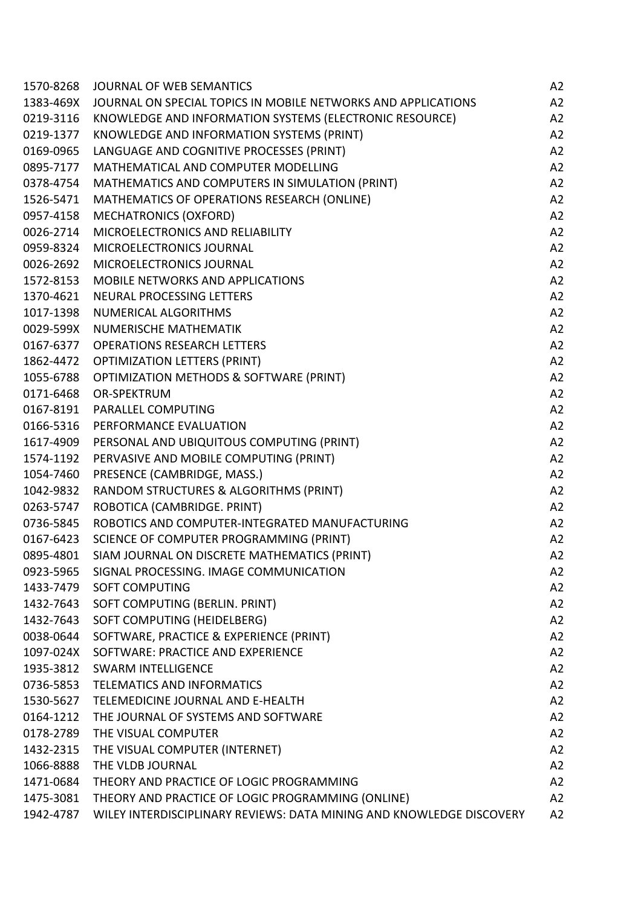| 1570-8268 | JOURNAL OF WEB SEMANTICS                                             | A <sub>2</sub> |
|-----------|----------------------------------------------------------------------|----------------|
| 1383-469X | JOURNAL ON SPECIAL TOPICS IN MOBILE NETWORKS AND APPLICATIONS        | A2             |
| 0219-3116 | KNOWLEDGE AND INFORMATION SYSTEMS (ELECTRONIC RESOURCE)              | A <sub>2</sub> |
| 0219-1377 | KNOWLEDGE AND INFORMATION SYSTEMS (PRINT)                            | A2             |
| 0169-0965 | LANGUAGE AND COGNITIVE PROCESSES (PRINT)                             | A2             |
| 0895-7177 | MATHEMATICAL AND COMPUTER MODELLING                                  | A2             |
| 0378-4754 | MATHEMATICS AND COMPUTERS IN SIMULATION (PRINT)                      | A <sub>2</sub> |
| 1526-5471 | MATHEMATICS OF OPERATIONS RESEARCH (ONLINE)                          | A2             |
| 0957-4158 | <b>MECHATRONICS (OXFORD)</b>                                         | A2             |
| 0026-2714 | MICROELECTRONICS AND RELIABILITY                                     | A2             |
| 0959-8324 | MICROELECTRONICS JOURNAL                                             | A2             |
| 0026-2692 | MICROELECTRONICS JOURNAL                                             | A2             |
| 1572-8153 | <b>MOBILE NETWORKS AND APPLICATIONS</b>                              | A2             |
| 1370-4621 | NEURAL PROCESSING LETTERS                                            | A2             |
| 1017-1398 | <b>NUMERICAL ALGORITHMS</b>                                          | A2             |
| 0029-599X | NUMERISCHE MATHEMATIK                                                | A2             |
| 0167-6377 | <b>OPERATIONS RESEARCH LETTERS</b>                                   | A2             |
| 1862-4472 | <b>OPTIMIZATION LETTERS (PRINT)</b>                                  | A2             |
| 1055-6788 | OPTIMIZATION METHODS & SOFTWARE (PRINT)                              | A2             |
| 0171-6468 | OR-SPEKTRUM                                                          | A2             |
| 0167-8191 | PARALLEL COMPUTING                                                   | A2             |
| 0166-5316 | PERFORMANCE EVALUATION                                               | A2             |
| 1617-4909 | PERSONAL AND UBIQUITOUS COMPUTING (PRINT)                            | A2             |
| 1574-1192 | PERVASIVE AND MOBILE COMPUTING (PRINT)                               | A2             |
| 1054-7460 | PRESENCE (CAMBRIDGE, MASS.)                                          | A2             |
| 1042-9832 | RANDOM STRUCTURES & ALGORITHMS (PRINT)                               | A2             |
| 0263-5747 | ROBOTICA (CAMBRIDGE. PRINT)                                          | A2             |
| 0736-5845 | ROBOTICS AND COMPUTER-INTEGRATED MANUFACTURING                       | A2             |
| 0167-6423 | SCIENCE OF COMPUTER PROGRAMMING (PRINT)                              | A <sub>2</sub> |
| 0895-4801 | SIAM JOURNAL ON DISCRETE MATHEMATICS (PRINT)                         | A2             |
| 0923-5965 | SIGNAL PROCESSING. IMAGE COMMUNICATION                               | A <sub>2</sub> |
| 1433-7479 | <b>SOFT COMPUTING</b>                                                | A2             |
| 1432-7643 | SOFT COMPUTING (BERLIN. PRINT)                                       | A <sub>2</sub> |
| 1432-7643 | SOFT COMPUTING (HEIDELBERG)                                          | A2             |
| 0038-0644 | SOFTWARE, PRACTICE & EXPERIENCE (PRINT)                              | A2             |
| 1097-024X | SOFTWARE: PRACTICE AND EXPERIENCE                                    | A2             |
| 1935-3812 | <b>SWARM INTELLIGENCE</b>                                            | A2             |
| 0736-5853 | <b>TELEMATICS AND INFORMATICS</b>                                    | A2             |
| 1530-5627 | TELEMEDICINE JOURNAL AND E-HEALTH                                    | A2             |
| 0164-1212 | THE JOURNAL OF SYSTEMS AND SOFTWARE                                  | A2             |
| 0178-2789 | THE VISUAL COMPUTER                                                  | A2             |
| 1432-2315 | THE VISUAL COMPUTER (INTERNET)                                       | A2             |
| 1066-8888 | THE VLDB JOURNAL                                                     | A2             |
| 1471-0684 | THEORY AND PRACTICE OF LOGIC PROGRAMMING                             | A2             |
| 1475-3081 | THEORY AND PRACTICE OF LOGIC PROGRAMMING (ONLINE)                    | A2             |
| 1942-4787 | WILEY INTERDISCIPLINARY REVIEWS: DATA MINING AND KNOWLEDGE DISCOVERY | A2             |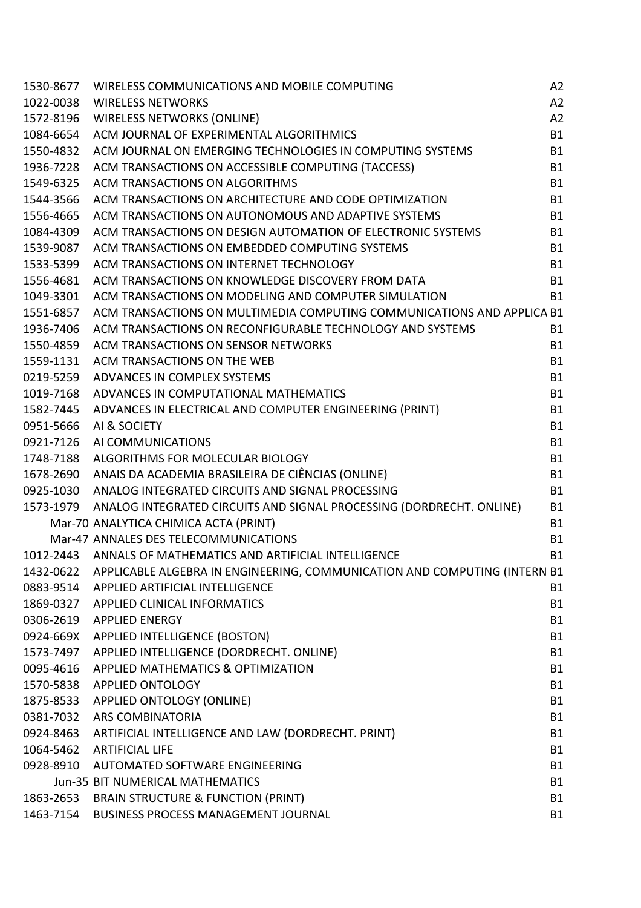| 1530-8677 | WIRELESS COMMUNICATIONS AND MOBILE COMPUTING                                        | A2        |
|-----------|-------------------------------------------------------------------------------------|-----------|
| 1022-0038 | <b>WIRELESS NETWORKS</b>                                                            | A2        |
| 1572-8196 | <b>WIRELESS NETWORKS (ONLINE)</b>                                                   | A2        |
| 1084-6654 | ACM JOURNAL OF EXPERIMENTAL ALGORITHMICS                                            | <b>B1</b> |
| 1550-4832 | ACM JOURNAL ON EMERGING TECHNOLOGIES IN COMPUTING SYSTEMS                           | <b>B1</b> |
| 1936-7228 | ACM TRANSACTIONS ON ACCESSIBLE COMPUTING (TACCESS)                                  | <b>B1</b> |
| 1549-6325 | ACM TRANSACTIONS ON ALGORITHMS                                                      | <b>B1</b> |
| 1544-3566 | ACM TRANSACTIONS ON ARCHITECTURE AND CODE OPTIMIZATION                              | <b>B1</b> |
| 1556-4665 | ACM TRANSACTIONS ON AUTONOMOUS AND ADAPTIVE SYSTEMS                                 | <b>B1</b> |
| 1084-4309 | ACM TRANSACTIONS ON DESIGN AUTOMATION OF ELECTRONIC SYSTEMS                         | <b>B1</b> |
| 1539-9087 | ACM TRANSACTIONS ON EMBEDDED COMPUTING SYSTEMS                                      | <b>B1</b> |
| 1533-5399 | ACM TRANSACTIONS ON INTERNET TECHNOLOGY                                             | <b>B1</b> |
| 1556-4681 | ACM TRANSACTIONS ON KNOWLEDGE DISCOVERY FROM DATA                                   | <b>B1</b> |
| 1049-3301 | ACM TRANSACTIONS ON MODELING AND COMPUTER SIMULATION                                | <b>B1</b> |
| 1551-6857 | ACM TRANSACTIONS ON MULTIMEDIA COMPUTING COMMUNICATIONS AND APPLICA B1              |           |
| 1936-7406 | ACM TRANSACTIONS ON RECONFIGURABLE TECHNOLOGY AND SYSTEMS                           | <b>B1</b> |
| 1550-4859 | ACM TRANSACTIONS ON SENSOR NETWORKS                                                 | <b>B1</b> |
| 1559-1131 | ACM TRANSACTIONS ON THE WEB                                                         | <b>B1</b> |
| 0219-5259 | ADVANCES IN COMPLEX SYSTEMS                                                         | <b>B1</b> |
| 1019-7168 | ADVANCES IN COMPUTATIONAL MATHEMATICS                                               | <b>B1</b> |
| 1582-7445 | ADVANCES IN ELECTRICAL AND COMPUTER ENGINEERING (PRINT)                             | <b>B1</b> |
| 0951-5666 | AI & SOCIETY                                                                        | <b>B1</b> |
| 0921-7126 | AI COMMUNICATIONS                                                                   | <b>B1</b> |
|           | 1748-7188 ALGORITHMS FOR MOLECULAR BIOLOGY                                          | <b>B1</b> |
|           | 1678-2690 ANAIS DA ACADEMIA BRASILEIRA DE CIÊNCIAS (ONLINE)                         | <b>B1</b> |
|           | 0925-1030 ANALOG INTEGRATED CIRCUITS AND SIGNAL PROCESSING                          | <b>B1</b> |
| 1573-1979 | ANALOG INTEGRATED CIRCUITS AND SIGNAL PROCESSING (DORDRECHT. ONLINE)                | <b>B1</b> |
|           | Mar-70 ANALYTICA CHIMICA ACTA (PRINT)                                               | <b>B1</b> |
|           | Mar-47 ANNALES DES TELECOMMUNICATIONS                                               | <b>B1</b> |
|           | 1012-2443 ANNALS OF MATHEMATICS AND ARTIFICIAL INTELLIGENCE                         | <b>B1</b> |
|           | 1432-0622 APPLICABLE ALGEBRA IN ENGINEERING, COMMUNICATION AND COMPUTING (INTERN B1 |           |
|           | 0883-9514 APPLIED ARTIFICIAL INTELLIGENCE                                           | <b>B1</b> |
|           | 1869-0327 APPLIED CLINICAL INFORMATICS                                              | <b>B1</b> |
|           | 0306-2619 APPLIED ENERGY                                                            | <b>B1</b> |
|           | 0924-669X APPLIED INTELLIGENCE (BOSTON)                                             | <b>B1</b> |
|           | 1573-7497 APPLIED INTELLIGENCE (DORDRECHT. ONLINE)                                  | <b>B1</b> |
|           | 0095-4616 APPLIED MATHEMATICS & OPTIMIZATION                                        | <b>B1</b> |
|           | 1570-5838 APPLIED ONTOLOGY                                                          | <b>B1</b> |
|           | 1875-8533 APPLIED ONTOLOGY (ONLINE)                                                 | <b>B1</b> |
|           | 0381-7032 ARS COMBINATORIA                                                          | <b>B1</b> |
|           | 0924-8463 ARTIFICIAL INTELLIGENCE AND LAW (DORDRECHT. PRINT)                        | <b>B1</b> |
|           | 1064-5462 ARTIFICIAL LIFE                                                           | <b>B1</b> |
|           | 0928-8910 AUTOMATED SOFTWARE ENGINEERING                                            | <b>B1</b> |
|           | <b>Jun-35 BIT NUMERICAL MATHEMATICS</b>                                             | <b>B1</b> |
|           | 1863-2653 BRAIN STRUCTURE & FUNCTION (PRINT)                                        | <b>B1</b> |
|           | 1463-7154 BUSINESS PROCESS MANAGEMENT JOURNAL                                       | <b>B1</b> |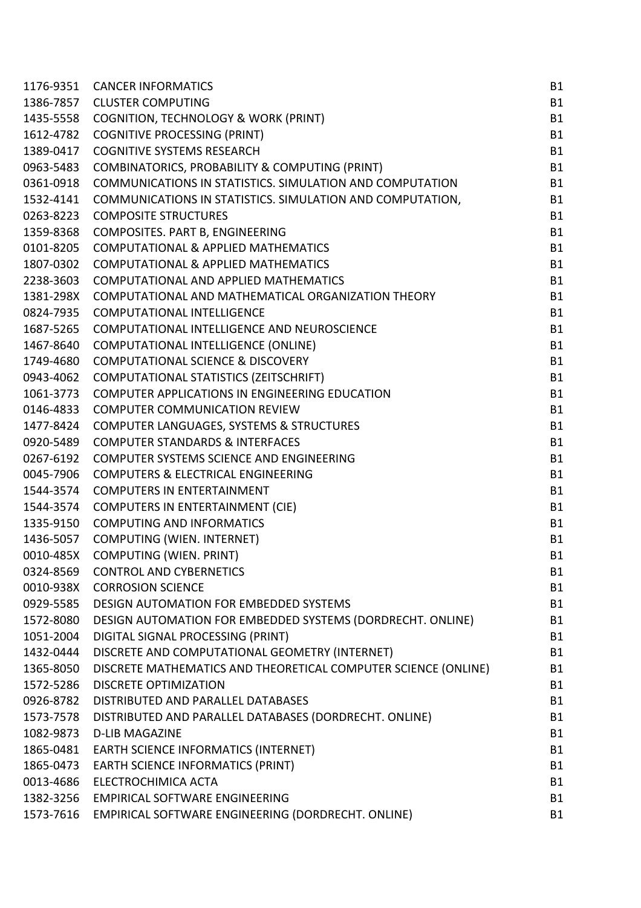| 1176-9351 | <b>CANCER INFORMATICS</b>                                       | <b>B1</b> |
|-----------|-----------------------------------------------------------------|-----------|
| 1386-7857 | <b>CLUSTER COMPUTING</b>                                        | <b>B1</b> |
| 1435-5558 | <b>COGNITION, TECHNOLOGY &amp; WORK (PRINT)</b>                 | <b>B1</b> |
| 1612-4782 | <b>COGNITIVE PROCESSING (PRINT)</b>                             | <b>B1</b> |
| 1389-0417 | <b>COGNITIVE SYSTEMS RESEARCH</b>                               | <b>B1</b> |
| 0963-5483 | COMBINATORICS, PROBABILITY & COMPUTING (PRINT)                  | <b>B1</b> |
| 0361-0918 | <b>COMMUNICATIONS IN STATISTICS. SIMULATION AND COMPUTATION</b> | <b>B1</b> |
| 1532-4141 | COMMUNICATIONS IN STATISTICS. SIMULATION AND COMPUTATION,       | <b>B1</b> |
| 0263-8223 | <b>COMPOSITE STRUCTURES</b>                                     | <b>B1</b> |
| 1359-8368 | <b>COMPOSITES. PART B, ENGINEERING</b>                          | <b>B1</b> |
| 0101-8205 | COMPUTATIONAL & APPLIED MATHEMATICS                             | <b>B1</b> |
| 1807-0302 | COMPUTATIONAL & APPLIED MATHEMATICS                             | <b>B1</b> |
| 2238-3603 | COMPUTATIONAL AND APPLIED MATHEMATICS                           | <b>B1</b> |
| 1381-298X | COMPUTATIONAL AND MATHEMATICAL ORGANIZATION THEORY              | <b>B1</b> |
| 0824-7935 | <b>COMPUTATIONAL INTELLIGENCE</b>                               | <b>B1</b> |
| 1687-5265 | COMPUTATIONAL INTELLIGENCE AND NEUROSCIENCE                     | <b>B1</b> |
| 1467-8640 | COMPUTATIONAL INTELLIGENCE (ONLINE)                             | <b>B1</b> |
| 1749-4680 | <b>COMPUTATIONAL SCIENCE &amp; DISCOVERY</b>                    | <b>B1</b> |
| 0943-4062 | COMPUTATIONAL STATISTICS (ZEITSCHRIFT)                          | <b>B1</b> |
| 1061-3773 | COMPUTER APPLICATIONS IN ENGINEERING EDUCATION                  | <b>B1</b> |
| 0146-4833 | <b>COMPUTER COMMUNICATION REVIEW</b>                            | <b>B1</b> |
| 1477-8424 | COMPUTER LANGUAGES, SYSTEMS & STRUCTURES                        | <b>B1</b> |
| 0920-5489 | <b>COMPUTER STANDARDS &amp; INTERFACES</b>                      | <b>B1</b> |
| 0267-6192 | COMPUTER SYSTEMS SCIENCE AND ENGINEERING                        | <b>B1</b> |
| 0045-7906 | COMPUTERS & ELECTRICAL ENGINEERING                              | <b>B1</b> |
| 1544-3574 | <b>COMPUTERS IN ENTERTAINMENT</b>                               | <b>B1</b> |
| 1544-3574 | <b>COMPUTERS IN ENTERTAINMENT (CIE)</b>                         | <b>B1</b> |
| 1335-9150 | <b>COMPUTING AND INFORMATICS</b>                                | <b>B1</b> |
| 1436-5057 | <b>COMPUTING (WIEN. INTERNET)</b>                               | <b>B1</b> |
| 0010-485X | COMPUTING (WIEN. PRINT)                                         | <b>B1</b> |
| 0324-8569 | <b>CONTROL AND CYBERNETICS</b>                                  | <b>B1</b> |
| 0010-938X | <b>CORROSION SCIENCE</b>                                        | <b>B1</b> |
| 0929-5585 | DESIGN AUTOMATION FOR EMBEDDED SYSTEMS                          | <b>B1</b> |
| 1572-8080 | DESIGN AUTOMATION FOR EMBEDDED SYSTEMS (DORDRECHT. ONLINE)      | <b>B1</b> |
| 1051-2004 | DIGITAL SIGNAL PROCESSING (PRINT)                               | <b>B1</b> |
| 1432-0444 | DISCRETE AND COMPUTATIONAL GEOMETRY (INTERNET)                  | <b>B1</b> |
| 1365-8050 | DISCRETE MATHEMATICS AND THEORETICAL COMPUTER SCIENCE (ONLINE)  | <b>B1</b> |
| 1572-5286 | <b>DISCRETE OPTIMIZATION</b>                                    | <b>B1</b> |
| 0926-8782 | DISTRIBUTED AND PARALLEL DATABASES                              | <b>B1</b> |
| 1573-7578 | DISTRIBUTED AND PARALLEL DATABASES (DORDRECHT. ONLINE)          | <b>B1</b> |
| 1082-9873 | <b>D-LIB MAGAZINE</b>                                           | <b>B1</b> |
| 1865-0481 | <b>EARTH SCIENCE INFORMATICS (INTERNET)</b>                     | <b>B1</b> |
| 1865-0473 | <b>EARTH SCIENCE INFORMATICS (PRINT)</b>                        | <b>B1</b> |
| 0013-4686 | ELECTROCHIMICA ACTA                                             | <b>B1</b> |
| 1382-3256 | <b>EMPIRICAL SOFTWARE ENGINEERING</b>                           | <b>B1</b> |
| 1573-7616 | EMPIRICAL SOFTWARE ENGINEERING (DORDRECHT. ONLINE)              | <b>B1</b> |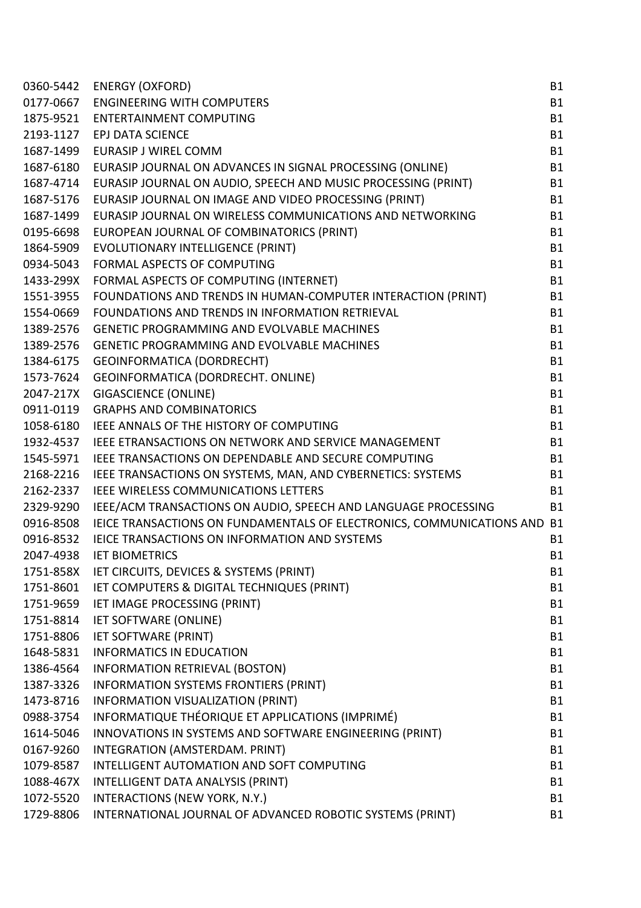| 0360-5442 | <b>ENERGY (OXFORD)</b>                                                   | <b>B1</b> |
|-----------|--------------------------------------------------------------------------|-----------|
| 0177-0667 | <b>ENGINEERING WITH COMPUTERS</b>                                        | <b>B1</b> |
|           | 1875-9521 ENTERTAINMENT COMPUTING                                        | <b>B1</b> |
| 2193-1127 | <b>EPJ DATA SCIENCE</b>                                                  | <b>B1</b> |
| 1687-1499 | <b>EURASIP J WIREL COMM</b>                                              | <b>B1</b> |
|           | 1687-6180 EURASIP JOURNAL ON ADVANCES IN SIGNAL PROCESSING (ONLINE)      | <b>B1</b> |
|           | 1687-4714 EURASIP JOURNAL ON AUDIO, SPEECH AND MUSIC PROCESSING (PRINT)  | <b>B1</b> |
| 1687-5176 | EURASIP JOURNAL ON IMAGE AND VIDEO PROCESSING (PRINT)                    | <b>B1</b> |
| 1687-1499 | EURASIP JOURNAL ON WIRELESS COMMUNICATIONS AND NETWORKING                | <b>B1</b> |
| 0195-6698 | EUROPEAN JOURNAL OF COMBINATORICS (PRINT)                                | <b>B1</b> |
| 1864-5909 | EVOLUTIONARY INTELLIGENCE (PRINT)                                        | <b>B1</b> |
| 0934-5043 | FORMAL ASPECTS OF COMPUTING                                              | <b>B1</b> |
|           | 1433-299X FORMAL ASPECTS OF COMPUTING (INTERNET)                         | <b>B1</b> |
| 1551-3955 | FOUNDATIONS AND TRENDS IN HUMAN-COMPUTER INTERACTION (PRINT)             | <b>B1</b> |
| 1554-0669 | FOUNDATIONS AND TRENDS IN INFORMATION RETRIEVAL                          | <b>B1</b> |
| 1389-2576 | <b>GENETIC PROGRAMMING AND EVOLVABLE MACHINES</b>                        | <b>B1</b> |
| 1389-2576 | <b>GENETIC PROGRAMMING AND EVOLVABLE MACHINES</b>                        | <b>B1</b> |
|           | 1384-6175 GEOINFORMATICA (DORDRECHT)                                     | <b>B1</b> |
|           | 1573-7624 GEOINFORMATICA (DORDRECHT. ONLINE)                             | <b>B1</b> |
| 2047-217X | <b>GIGASCIENCE (ONLINE)</b>                                              | <b>B1</b> |
| 0911-0119 | <b>GRAPHS AND COMBINATORICS</b>                                          | <b>B1</b> |
|           | 1058-6180 IEEE ANNALS OF THE HISTORY OF COMPUTING                        | <b>B1</b> |
|           | 1932-4537 IEEE ETRANSACTIONS ON NETWORK AND SERVICE MANAGEMENT           | <b>B1</b> |
| 1545-5971 | IEEE TRANSACTIONS ON DEPENDABLE AND SECURE COMPUTING                     | <b>B1</b> |
| 2168-2216 | IEEE TRANSACTIONS ON SYSTEMS, MAN, AND CYBERNETICS: SYSTEMS              | <b>B1</b> |
| 2162-2337 | IEEE WIRELESS COMMUNICATIONS LETTERS                                     | <b>B1</b> |
| 2329-9290 | IEEE/ACM TRANSACTIONS ON AUDIO, SPEECH AND LANGUAGE PROCESSING           | <b>B1</b> |
| 0916-8508 | IEICE TRANSACTIONS ON FUNDAMENTALS OF ELECTRONICS, COMMUNICATIONS AND B1 |           |
| 0916-8532 | IEICE TRANSACTIONS ON INFORMATION AND SYSTEMS                            | <b>B1</b> |
| 2047-4938 | <b>IET BIOMETRICS</b>                                                    | <b>B1</b> |
| 1751-858X | IET CIRCUITS, DEVICES & SYSTEMS (PRINT)                                  | <b>B1</b> |
| 1751-8601 | IET COMPUTERS & DIGITAL TECHNIQUES (PRINT)                               | <b>B1</b> |
| 1751-9659 | IET IMAGE PROCESSING (PRINT)                                             | <b>B1</b> |
| 1751-8814 | <b>IET SOFTWARE (ONLINE)</b>                                             | <b>B1</b> |
| 1751-8806 | <b>IET SOFTWARE (PRINT)</b>                                              | <b>B1</b> |
| 1648-5831 | <b>INFORMATICS IN EDUCATION</b>                                          | <b>B1</b> |
| 1386-4564 | INFORMATION RETRIEVAL (BOSTON)                                           | <b>B1</b> |
| 1387-3326 | <b>INFORMATION SYSTEMS FRONTIERS (PRINT)</b>                             | <b>B1</b> |
| 1473-8716 | INFORMATION VISUALIZATION (PRINT)                                        | <b>B1</b> |
| 0988-3754 | INFORMATIQUE THÉORIQUE ET APPLICATIONS (IMPRIMÉ)                         | <b>B1</b> |
| 1614-5046 | INNOVATIONS IN SYSTEMS AND SOFTWARE ENGINEERING (PRINT)                  | <b>B1</b> |
| 0167-9260 | INTEGRATION (AMSTERDAM. PRINT)                                           | <b>B1</b> |
| 1079-8587 | INTELLIGENT AUTOMATION AND SOFT COMPUTING                                | <b>B1</b> |
| 1088-467X | INTELLIGENT DATA ANALYSIS (PRINT)                                        | <b>B1</b> |
| 1072-5520 | INTERACTIONS (NEW YORK, N.Y.)                                            | <b>B1</b> |
| 1729-8806 | INTERNATIONAL JOURNAL OF ADVANCED ROBOTIC SYSTEMS (PRINT)                | <b>B1</b> |
|           |                                                                          |           |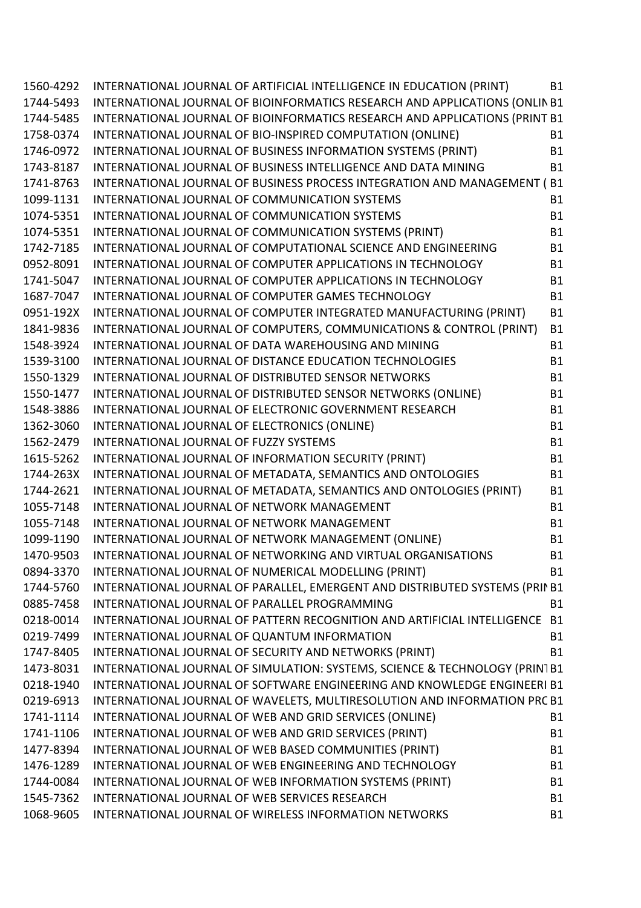| 1560-4292 | INTERNATIONAL JOURNAL OF ARTIFICIAL INTELLIGENCE IN EDUCATION (PRINT)        | <b>B1</b> |
|-----------|------------------------------------------------------------------------------|-----------|
| 1744-5493 | INTERNATIONAL JOURNAL OF BIOINFORMATICS RESEARCH AND APPLICATIONS (ONLIN B1  |           |
| 1744-5485 | INTERNATIONAL JOURNAL OF BIOINFORMATICS RESEARCH AND APPLICATIONS (PRINT B1  |           |
| 1758-0374 | INTERNATIONAL JOURNAL OF BIO-INSPIRED COMPUTATION (ONLINE)                   | <b>B1</b> |
| 1746-0972 | INTERNATIONAL JOURNAL OF BUSINESS INFORMATION SYSTEMS (PRINT)                | <b>B1</b> |
| 1743-8187 | INTERNATIONAL JOURNAL OF BUSINESS INTELLIGENCE AND DATA MINING               | <b>B1</b> |
| 1741-8763 | INTERNATIONAL JOURNAL OF BUSINESS PROCESS INTEGRATION AND MANAGEMENT (B1     |           |
| 1099-1131 | INTERNATIONAL JOURNAL OF COMMUNICATION SYSTEMS                               | <b>B1</b> |
| 1074-5351 | INTERNATIONAL JOURNAL OF COMMUNICATION SYSTEMS                               | <b>B1</b> |
| 1074-5351 | INTERNATIONAL JOURNAL OF COMMUNICATION SYSTEMS (PRINT)                       | <b>B1</b> |
| 1742-7185 | INTERNATIONAL JOURNAL OF COMPUTATIONAL SCIENCE AND ENGINEERING               | <b>B1</b> |
| 0952-8091 | INTERNATIONAL JOURNAL OF COMPUTER APPLICATIONS IN TECHNOLOGY                 | <b>B1</b> |
| 1741-5047 | INTERNATIONAL JOURNAL OF COMPUTER APPLICATIONS IN TECHNOLOGY                 | <b>B1</b> |
| 1687-7047 | INTERNATIONAL JOURNAL OF COMPUTER GAMES TECHNOLOGY                           | <b>B1</b> |
| 0951-192X | INTERNATIONAL JOURNAL OF COMPUTER INTEGRATED MANUFACTURING (PRINT)           | <b>B1</b> |
| 1841-9836 | INTERNATIONAL JOURNAL OF COMPUTERS, COMMUNICATIONS & CONTROL (PRINT)         | <b>B1</b> |
| 1548-3924 | INTERNATIONAL JOURNAL OF DATA WAREHOUSING AND MINING                         | <b>B1</b> |
| 1539-3100 | <b>INTERNATIONAL JOURNAL OF DISTANCE EDUCATION TECHNOLOGIES</b>              | <b>B1</b> |
| 1550-1329 | INTERNATIONAL JOURNAL OF DISTRIBUTED SENSOR NETWORKS                         | <b>B1</b> |
| 1550-1477 | INTERNATIONAL JOURNAL OF DISTRIBUTED SENSOR NETWORKS (ONLINE)                | <b>B1</b> |
| 1548-3886 | INTERNATIONAL JOURNAL OF ELECTRONIC GOVERNMENT RESEARCH                      | <b>B1</b> |
| 1362-3060 | INTERNATIONAL JOURNAL OF ELECTRONICS (ONLINE)                                | <b>B1</b> |
| 1562-2479 | INTERNATIONAL JOURNAL OF FUZZY SYSTEMS                                       | <b>B1</b> |
| 1615-5262 | INTERNATIONAL JOURNAL OF INFORMATION SECURITY (PRINT)                        | <b>B1</b> |
| 1744-263X | INTERNATIONAL JOURNAL OF METADATA, SEMANTICS AND ONTOLOGIES                  | <b>B1</b> |
| 1744-2621 | INTERNATIONAL JOURNAL OF METADATA, SEMANTICS AND ONTOLOGIES (PRINT)          | <b>B1</b> |
| 1055-7148 | INTERNATIONAL JOURNAL OF NETWORK MANAGEMENT                                  | <b>B1</b> |
| 1055-7148 | INTERNATIONAL JOURNAL OF NETWORK MANAGEMENT                                  | <b>B1</b> |
| 1099-1190 | INTERNATIONAL JOURNAL OF NETWORK MANAGEMENT (ONLINE)                         | <b>B1</b> |
| 1470-9503 | INTERNATIONAL JOURNAL OF NETWORKING AND VIRTUAL ORGANISATIONS                | <b>B1</b> |
| 0894-3370 | INTERNATIONAL JOURNAL OF NUMERICAL MODELLING (PRINT)                         | <b>B1</b> |
| 1744-5760 | INTERNATIONAL JOURNAL OF PARALLEL, EMERGENT AND DISTRIBUTED SYSTEMS (PRIN B1 |           |
| 0885-7458 | INTERNATIONAL JOURNAL OF PARALLEL PROGRAMMING                                | <b>B1</b> |
| 0218-0014 | INTERNATIONAL JOURNAL OF PATTERN RECOGNITION AND ARTIFICIAL INTELLIGENCE B1  |           |
| 0219-7499 | INTERNATIONAL JOURNAL OF QUANTUM INFORMATION                                 | <b>B1</b> |
| 1747-8405 | INTERNATIONAL JOURNAL OF SECURITY AND NETWORKS (PRINT)                       | <b>B1</b> |
| 1473-8031 | INTERNATIONAL JOURNAL OF SIMULATION: SYSTEMS, SCIENCE & TECHNOLOGY (PRIN1B1  |           |
| 0218-1940 | INTERNATIONAL JOURNAL OF SOFTWARE ENGINEERING AND KNOWLEDGE ENGINEERI B1     |           |
| 0219-6913 | INTERNATIONAL JOURNAL OF WAVELETS, MULTIRESOLUTION AND INFORMATION PRC B1    |           |
| 1741-1114 | INTERNATIONAL JOURNAL OF WEB AND GRID SERVICES (ONLINE)                      | <b>B1</b> |
| 1741-1106 | INTERNATIONAL JOURNAL OF WEB AND GRID SERVICES (PRINT)                       | <b>B1</b> |
| 1477-8394 | INTERNATIONAL JOURNAL OF WEB BASED COMMUNITIES (PRINT)                       | <b>B1</b> |
| 1476-1289 | INTERNATIONAL JOURNAL OF WEB ENGINEERING AND TECHNOLOGY                      | <b>B1</b> |
| 1744-0084 | INTERNATIONAL JOURNAL OF WEB INFORMATION SYSTEMS (PRINT)                     | <b>B1</b> |
| 1545-7362 | INTERNATIONAL JOURNAL OF WEB SERVICES RESEARCH                               | <b>B1</b> |
| 1068-9605 | INTERNATIONAL JOURNAL OF WIRELESS INFORMATION NETWORKS                       | <b>B1</b> |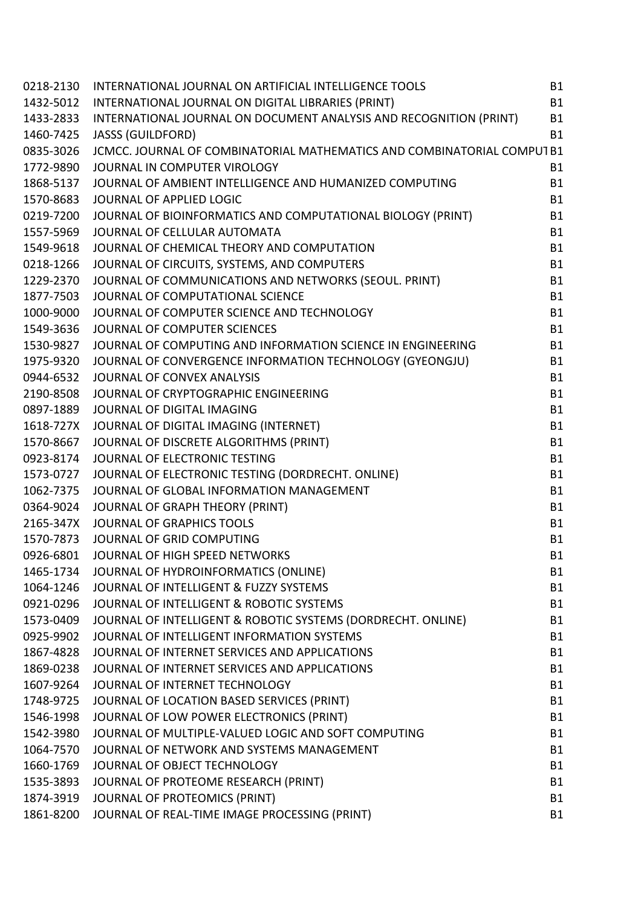| 0218-2130 | INTERNATIONAL JOURNAL ON ARTIFICIAL INTELLIGENCE TOOLS                 | <b>B1</b> |
|-----------|------------------------------------------------------------------------|-----------|
| 1432-5012 | INTERNATIONAL JOURNAL ON DIGITAL LIBRARIES (PRINT)                     | <b>B1</b> |
| 1433-2833 | INTERNATIONAL JOURNAL ON DOCUMENT ANALYSIS AND RECOGNITION (PRINT)     | <b>B1</b> |
| 1460-7425 | <b>JASSS (GUILDFORD)</b>                                               | <b>B1</b> |
| 0835-3026 | JCMCC. JOURNAL OF COMBINATORIAL MATHEMATICS AND COMBINATORIAL COMPUTB1 |           |
| 1772-9890 | JOURNAL IN COMPUTER VIROLOGY                                           | <b>B1</b> |
| 1868-5137 | JOURNAL OF AMBIENT INTELLIGENCE AND HUMANIZED COMPUTING                | <b>B1</b> |
| 1570-8683 | JOURNAL OF APPLIED LOGIC                                               | <b>B1</b> |
| 0219-7200 | JOURNAL OF BIOINFORMATICS AND COMPUTATIONAL BIOLOGY (PRINT)            | <b>B1</b> |
| 1557-5969 | JOURNAL OF CELLULAR AUTOMATA                                           | <b>B1</b> |
| 1549-9618 | JOURNAL OF CHEMICAL THEORY AND COMPUTATION                             | <b>B1</b> |
| 0218-1266 | JOURNAL OF CIRCUITS, SYSTEMS, AND COMPUTERS                            | <b>B1</b> |
| 1229-2370 | JOURNAL OF COMMUNICATIONS AND NETWORKS (SEOUL. PRINT)                  | <b>B1</b> |
| 1877-7503 | JOURNAL OF COMPUTATIONAL SCIENCE                                       | <b>B1</b> |
| 1000-9000 | JOURNAL OF COMPUTER SCIENCE AND TECHNOLOGY                             | <b>B1</b> |
| 1549-3636 | JOURNAL OF COMPUTER SCIENCES                                           | <b>B1</b> |
| 1530-9827 | JOURNAL OF COMPUTING AND INFORMATION SCIENCE IN ENGINEERING            | <b>B1</b> |
| 1975-9320 | JOURNAL OF CONVERGENCE INFORMATION TECHNOLOGY (GYEONGJU)               | <b>B1</b> |
| 0944-6532 | JOURNAL OF CONVEX ANALYSIS                                             | <b>B1</b> |
| 2190-8508 | JOURNAL OF CRYPTOGRAPHIC ENGINEERING                                   | <b>B1</b> |
| 0897-1889 | JOURNAL OF DIGITAL IMAGING                                             | <b>B1</b> |
| 1618-727X | JOURNAL OF DIGITAL IMAGING (INTERNET)                                  | <b>B1</b> |
| 1570-8667 | JOURNAL OF DISCRETE ALGORITHMS (PRINT)                                 | <b>B1</b> |
| 0923-8174 | JOURNAL OF ELECTRONIC TESTING                                          | <b>B1</b> |
| 1573-0727 | JOURNAL OF ELECTRONIC TESTING (DORDRECHT. ONLINE)                      | <b>B1</b> |
| 1062-7375 | JOURNAL OF GLOBAL INFORMATION MANAGEMENT                               | <b>B1</b> |
| 0364-9024 | <b>JOURNAL OF GRAPH THEORY (PRINT)</b>                                 | <b>B1</b> |
| 2165-347X | <b>JOURNAL OF GRAPHICS TOOLS</b>                                       | <b>B1</b> |
| 1570-7873 | JOURNAL OF GRID COMPUTING                                              | <b>B1</b> |
| 0926-6801 | JOURNAL OF HIGH SPEED NETWORKS                                         | <b>B1</b> |
| 1465-1734 | JOURNAL OF HYDROINFORMATICS (ONLINE)                                   | B1        |
| 1064-1246 | JOURNAL OF INTELLIGENT & FUZZY SYSTEMS                                 | <b>B1</b> |
| 0921-0296 | JOURNAL OF INTELLIGENT & ROBOTIC SYSTEMS                               | <b>B1</b> |
| 1573-0409 | JOURNAL OF INTELLIGENT & ROBOTIC SYSTEMS (DORDRECHT. ONLINE)           | <b>B1</b> |
| 0925-9902 | JOURNAL OF INTELLIGENT INFORMATION SYSTEMS                             | <b>B1</b> |
| 1867-4828 | JOURNAL OF INTERNET SERVICES AND APPLICATIONS                          | <b>B1</b> |
| 1869-0238 | JOURNAL OF INTERNET SERVICES AND APPLICATIONS                          | <b>B1</b> |
| 1607-9264 | JOURNAL OF INTERNET TECHNOLOGY                                         | <b>B1</b> |
| 1748-9725 | JOURNAL OF LOCATION BASED SERVICES (PRINT)                             | <b>B1</b> |
| 1546-1998 | JOURNAL OF LOW POWER ELECTRONICS (PRINT)                               | <b>B1</b> |
| 1542-3980 | JOURNAL OF MULTIPLE-VALUED LOGIC AND SOFT COMPUTING                    | <b>B1</b> |
| 1064-7570 | JOURNAL OF NETWORK AND SYSTEMS MANAGEMENT                              | <b>B1</b> |
| 1660-1769 | JOURNAL OF OBJECT TECHNOLOGY                                           | <b>B1</b> |
| 1535-3893 | JOURNAL OF PROTEOME RESEARCH (PRINT)                                   | <b>B1</b> |
| 1874-3919 | JOURNAL OF PROTEOMICS (PRINT)                                          | <b>B1</b> |
| 1861-8200 | JOURNAL OF REAL-TIME IMAGE PROCESSING (PRINT)                          | <b>B1</b> |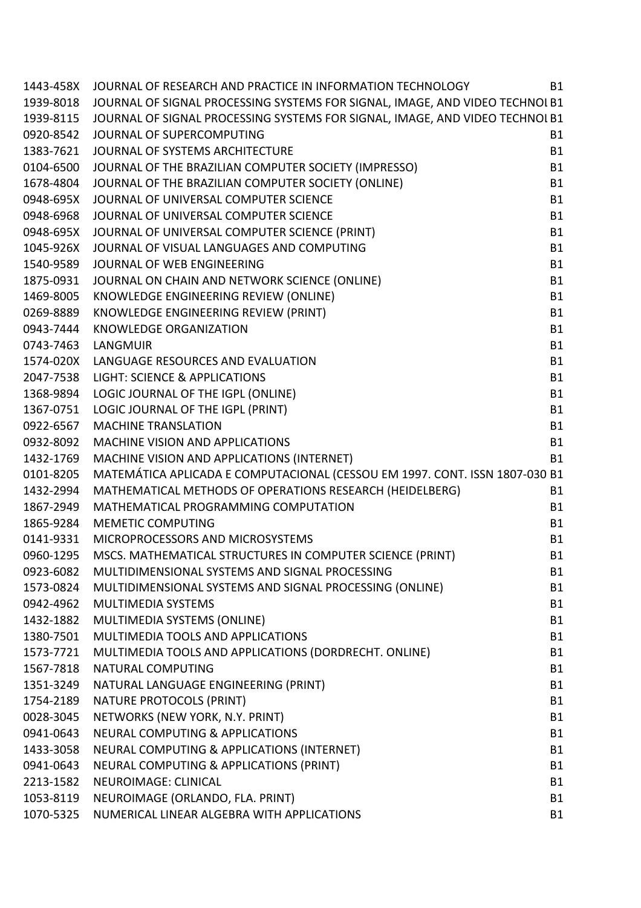| 1443-458X | JOURNAL OF RESEARCH AND PRACTICE IN INFORMATION TECHNOLOGY                                                            | <b>B1</b> |
|-----------|-----------------------------------------------------------------------------------------------------------------------|-----------|
|           | 1939-8018 JOURNAL OF SIGNAL PROCESSING SYSTEMS FOR SIGNAL, IMAGE, AND VIDEO TECHNOL B1                                |           |
| 1939-8115 | JOURNAL OF SIGNAL PROCESSING SYSTEMS FOR SIGNAL, IMAGE, AND VIDEO TECHNOL B1                                          |           |
| 0920-8542 | JOURNAL OF SUPERCOMPUTING                                                                                             | <b>B1</b> |
| 1383-7621 | JOURNAL OF SUPERCUNT OTHER<br>JOURNAL OF SYSTEMS ARCHITECTURE<br>JOURNAL OF THE BRAZILIAN COMPUTER SOCIETY (IMPRESSO) | <b>B1</b> |
| 0104-6500 |                                                                                                                       | <b>B1</b> |
| 1678-4804 | JOURNAL OF THE BRAZILIAN COMPUTER SOCIETY (ONLINE)                                                                    | <b>B1</b> |
| 0948-695X | JOURNAL OF UNIVERSAL COMPUTER SCIENCE                                                                                 | <b>B1</b> |
| 0948-6968 | JOURNAL OF UNIVERSAL COMPUTER SCIENCE                                                                                 | <b>B1</b> |
|           | 0948-695X JOURNAL OF UNIVERSAL COMPUTER SCIENCE (PRINT)                                                               | <b>B1</b> |
| 1045-926X | JOURNAL OF VISUAL LANGUAGES AND COMPUTING                                                                             | <b>B1</b> |
| 1540-9589 | JOURNAL OF WEB ENGINEERING                                                                                            | <b>B1</b> |
| 1875-0931 | JOURNAL ON CHAIN AND NETWORK SCIENCE (ONLINE)                                                                         | <b>B1</b> |
|           | 1469-8005 KNOWLEDGE ENGINEERING REVIEW (ONLINE)                                                                       | <b>B1</b> |
| 0269-8889 | KNOWLEDGE ENGINEERING REVIEW (PRINT)                                                                                  | <b>B1</b> |
| 0943-7444 | <b>KNOWLEDGE ORGANIZATION</b>                                                                                         | <b>B1</b> |
| 0743-7463 | LANGMUIR                                                                                                              | <b>B1</b> |
|           | 1574-020X LANGUAGE RESOURCES AND EVALUATION                                                                           | <b>B1</b> |
| 2047-7538 | LIGHT: SCIENCE & APPLICATIONS                                                                                         | <b>B1</b> |
|           | 1368-9894 LOGIC JOURNAL OF THE IGPL (ONLINE)                                                                          | <b>B1</b> |
| 1367-0751 | LOGIC JOURNAL OF THE IGPL (PRINT)                                                                                     | <b>B1</b> |
| 0922-6567 | <b>MACHINE TRANSLATION</b>                                                                                            | <b>B1</b> |
| 0932-8092 | MACHINE VISION AND APPLICATIONS                                                                                       | <b>B1</b> |
| 1432-1769 | MACHINE VISION AND APPLICATIONS (INTERNET)                                                                            | <b>B1</b> |
| 0101-8205 | MATEMÁTICA APLICADA E COMPUTACIONAL (CESSOU EM 1997. CONT. ISSN 1807-030 B1                                           |           |
| 1432-2994 | MATHEMATICAL METHODS OF OPERATIONS RESEARCH (HEIDELBERG)                                                              | <b>B1</b> |
| 1867-2949 | MATHEMATICAL PROGRAMMING COMPUTATION                                                                                  | <b>B1</b> |
| 1865-9284 | <b>MEMETIC COMPUTING</b>                                                                                              | <b>B1</b> |
| 0141-9331 | MICROPROCESSORS AND MICROSYSTEMS                                                                                      | <b>B1</b> |
| 0960-1295 | MSCS. MATHEMATICAL STRUCTURES IN COMPUTER SCIENCE (PRINT)                                                             | <b>B1</b> |
| 0923-6082 | MULTIDIMENSIONAL SYSTEMS AND SIGNAL PROCESSING                                                                        | <b>B1</b> |
| 1573-0824 | MULTIDIMENSIONAL SYSTEMS AND SIGNAL PROCESSING (ONLINE)                                                               | <b>B1</b> |
| 0942-4962 | <b>MULTIMEDIA SYSTEMS</b>                                                                                             | <b>B1</b> |
| 1432-1882 | MULTIMEDIA SYSTEMS (ONLINE)                                                                                           | <b>B1</b> |
| 1380-7501 | MULTIMEDIA TOOLS AND APPLICATIONS                                                                                     | <b>B1</b> |
| 1573-7721 | MULTIMEDIA TOOLS AND APPLICATIONS (DORDRECHT. ONLINE)                                                                 | <b>B1</b> |
| 1567-7818 | <b>NATURAL COMPUTING</b>                                                                                              | <b>B1</b> |
| 1351-3249 | NATURAL LANGUAGE ENGINEERING (PRINT)                                                                                  | <b>B1</b> |
| 1754-2189 | NATURE PROTOCOLS (PRINT)                                                                                              | <b>B1</b> |
| 0028-3045 | NETWORKS (NEW YORK, N.Y. PRINT)                                                                                       | <b>B1</b> |
| 0941-0643 | <b>NEURAL COMPUTING &amp; APPLICATIONS</b>                                                                            | <b>B1</b> |
| 1433-3058 | NEURAL COMPUTING & APPLICATIONS (INTERNET)                                                                            | <b>B1</b> |
| 0941-0643 | NEURAL COMPUTING & APPLICATIONS (PRINT)                                                                               | <b>B1</b> |
| 2213-1582 | NEUROIMAGE: CLINICAL                                                                                                  | <b>B1</b> |
| 1053-8119 | NEUROIMAGE (ORLANDO, FLA. PRINT)                                                                                      | <b>B1</b> |
| 1070-5325 | NUMERICAL LINEAR ALGEBRA WITH APPLICATIONS                                                                            | <b>B1</b> |
|           |                                                                                                                       |           |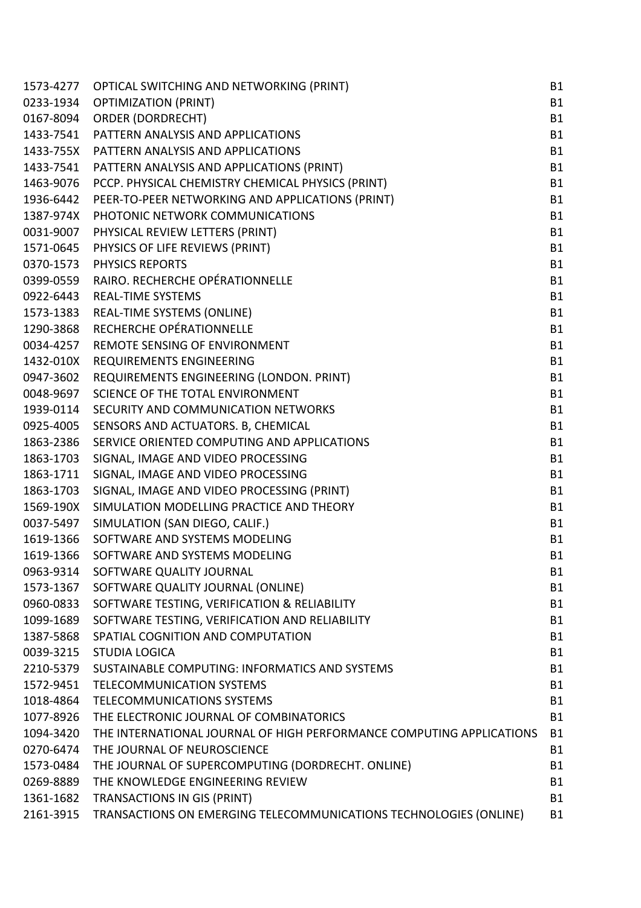| 1573-4277 | OPTICAL SWITCHING AND NETWORKING (PRINT)                             | <b>B1</b> |
|-----------|----------------------------------------------------------------------|-----------|
| 0233-1934 | <b>OPTIMIZATION (PRINT)</b>                                          | <b>B1</b> |
| 0167-8094 | <b>ORDER (DORDRECHT)</b>                                             | <b>B1</b> |
| 1433-7541 | PATTERN ANALYSIS AND APPLICATIONS                                    | <b>B1</b> |
| 1433-755X | PATTERN ANALYSIS AND APPLICATIONS                                    | <b>B1</b> |
| 1433-7541 | PATTERN ANALYSIS AND APPLICATIONS (PRINT)                            | <b>B1</b> |
| 1463-9076 | PCCP. PHYSICAL CHEMISTRY CHEMICAL PHYSICS (PRINT)                    | <b>B1</b> |
| 1936-6442 | PEER-TO-PEER NETWORKING AND APPLICATIONS (PRINT)                     | <b>B1</b> |
| 1387-974X | PHOTONIC NETWORK COMMUNICATIONS                                      | <b>B1</b> |
| 0031-9007 | PHYSICAL REVIEW LETTERS (PRINT)                                      | <b>B1</b> |
| 1571-0645 | PHYSICS OF LIFE REVIEWS (PRINT)                                      | <b>B1</b> |
| 0370-1573 | <b>PHYSICS REPORTS</b>                                               | <b>B1</b> |
| 0399-0559 | RAIRO. RECHERCHE OPÉRATIONNELLE                                      | <b>B1</b> |
| 0922-6443 | <b>REAL-TIME SYSTEMS</b>                                             | <b>B1</b> |
| 1573-1383 | REAL-TIME SYSTEMS (ONLINE)                                           | <b>B1</b> |
| 1290-3868 | RECHERCHE OPÉRATIONNELLE                                             | <b>B1</b> |
| 0034-4257 | REMOTE SENSING OF ENVIRONMENT                                        | <b>B1</b> |
| 1432-010X | REQUIREMENTS ENGINEERING                                             | <b>B1</b> |
| 0947-3602 | REQUIREMENTS ENGINEERING (LONDON. PRINT)                             | <b>B1</b> |
| 0048-9697 | SCIENCE OF THE TOTAL ENVIRONMENT                                     | <b>B1</b> |
| 1939-0114 | SECURITY AND COMMUNICATION NETWORKS                                  | <b>B1</b> |
| 0925-4005 | SENSORS AND ACTUATORS. B, CHEMICAL                                   | <b>B1</b> |
| 1863-2386 | SERVICE ORIENTED COMPUTING AND APPLICATIONS                          | <b>B1</b> |
| 1863-1703 | SIGNAL, IMAGE AND VIDEO PROCESSING                                   | <b>B1</b> |
| 1863-1711 | SIGNAL, IMAGE AND VIDEO PROCESSING                                   | <b>B1</b> |
| 1863-1703 | SIGNAL, IMAGE AND VIDEO PROCESSING (PRINT)                           | <b>B1</b> |
| 1569-190X | SIMULATION MODELLING PRACTICE AND THEORY                             | <b>B1</b> |
| 0037-5497 | SIMULATION (SAN DIEGO, CALIF.)                                       | <b>B1</b> |
| 1619-1366 | SOFTWARE AND SYSTEMS MODELING                                        | <b>B1</b> |
| 1619-1366 | SOFTWARE AND SYSTEMS MODELING                                        | <b>B1</b> |
| 0963-9314 | SOFTWARE QUALITY JOURNAL                                             | <b>B1</b> |
| 1573-1367 | SOFTWARE QUALITY JOURNAL (ONLINE)                                    | <b>B1</b> |
| 0960-0833 | SOFTWARE TESTING, VERIFICATION & RELIABILITY                         | <b>B1</b> |
| 1099-1689 | SOFTWARE TESTING, VERIFICATION AND RELIABILITY                       | <b>B1</b> |
| 1387-5868 | SPATIAL COGNITION AND COMPUTATION                                    | <b>B1</b> |
| 0039-3215 | <b>STUDIA LOGICA</b>                                                 | <b>B1</b> |
| 2210-5379 | SUSTAINABLE COMPUTING: INFORMATICS AND SYSTEMS                       | <b>B1</b> |
| 1572-9451 | <b>TELECOMMUNICATION SYSTEMS</b>                                     | <b>B1</b> |
| 1018-4864 | TELECOMMUNICATIONS SYSTEMS                                           | <b>B1</b> |
| 1077-8926 | THE ELECTRONIC JOURNAL OF COMBINATORICS                              | <b>B1</b> |
| 1094-3420 | THE INTERNATIONAL JOURNAL OF HIGH PERFORMANCE COMPUTING APPLICATIONS | <b>B1</b> |
| 0270-6474 | THE JOURNAL OF NEUROSCIENCE                                          | <b>B1</b> |
| 1573-0484 | THE JOURNAL OF SUPERCOMPUTING (DORDRECHT. ONLINE)                    | <b>B1</b> |
| 0269-8889 | THE KNOWLEDGE ENGINEERING REVIEW                                     | <b>B1</b> |
| 1361-1682 | TRANSACTIONS IN GIS (PRINT)                                          | <b>B1</b> |
| 2161-3915 | TRANSACTIONS ON EMERGING TELECOMMUNICATIONS TECHNOLOGIES (ONLINE)    | <b>B1</b> |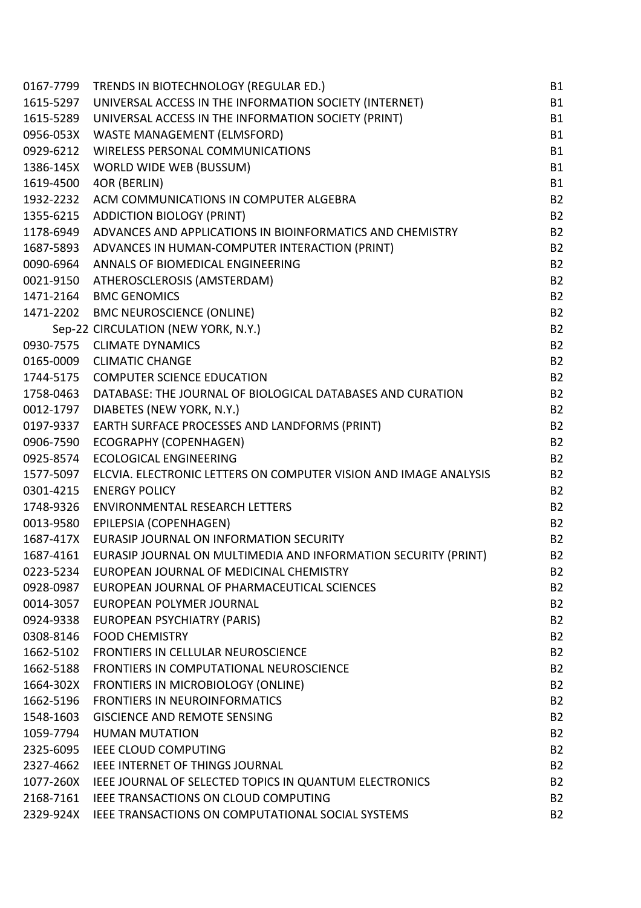| 0167-7799 | TRENDS IN BIOTECHNOLOGY (REGULAR ED.)                            | <b>B1</b> |
|-----------|------------------------------------------------------------------|-----------|
| 1615-5297 | UNIVERSAL ACCESS IN THE INFORMATION SOCIETY (INTERNET)           | <b>B1</b> |
| 1615-5289 | UNIVERSAL ACCESS IN THE INFORMATION SOCIETY (PRINT)              | <b>B1</b> |
| 0956-053X | WASTE MANAGEMENT (ELMSFORD)                                      | <b>B1</b> |
| 0929-6212 | <b>WIRELESS PERSONAL COMMUNICATIONS</b>                          | <b>B1</b> |
| 1386-145X | WORLD WIDE WEB (BUSSUM)                                          | <b>B1</b> |
| 1619-4500 | 4OR (BERLIN)                                                     | <b>B1</b> |
| 1932-2232 | ACM COMMUNICATIONS IN COMPUTER ALGEBRA                           | <b>B2</b> |
| 1355-6215 | <b>ADDICTION BIOLOGY (PRINT)</b>                                 | <b>B2</b> |
| 1178-6949 | ADVANCES AND APPLICATIONS IN BIOINFORMATICS AND CHEMISTRY        | <b>B2</b> |
| 1687-5893 | ADVANCES IN HUMAN-COMPUTER INTERACTION (PRINT)                   | <b>B2</b> |
| 0090-6964 | ANNALS OF BIOMEDICAL ENGINEERING                                 | <b>B2</b> |
| 0021-9150 | ATHEROSCLEROSIS (AMSTERDAM)                                      | <b>B2</b> |
| 1471-2164 | <b>BMC GENOMICS</b>                                              | <b>B2</b> |
| 1471-2202 | <b>BMC NEUROSCIENCE (ONLINE)</b>                                 | <b>B2</b> |
|           | Sep-22 CIRCULATION (NEW YORK, N.Y.)                              | <b>B2</b> |
| 0930-7575 | <b>CLIMATE DYNAMICS</b>                                          | <b>B2</b> |
| 0165-0009 | <b>CLIMATIC CHANGE</b>                                           | <b>B2</b> |
| 1744-5175 | <b>COMPUTER SCIENCE EDUCATION</b>                                | <b>B2</b> |
| 1758-0463 | DATABASE: THE JOURNAL OF BIOLOGICAL DATABASES AND CURATION       | <b>B2</b> |
| 0012-1797 | DIABETES (NEW YORK, N.Y.)                                        | <b>B2</b> |
| 0197-9337 | EARTH SURFACE PROCESSES AND LANDFORMS (PRINT)                    | <b>B2</b> |
| 0906-7590 | ECOGRAPHY (COPENHAGEN)                                           | <b>B2</b> |
| 0925-8574 | <b>ECOLOGICAL ENGINEERING</b>                                    | <b>B2</b> |
| 1577-5097 | ELCVIA. ELECTRONIC LETTERS ON COMPUTER VISION AND IMAGE ANALYSIS | <b>B2</b> |
| 0301-4215 | <b>ENERGY POLICY</b>                                             | <b>B2</b> |
| 1748-9326 | <b>ENVIRONMENTAL RESEARCH LETTERS</b>                            | <b>B2</b> |
| 0013-9580 | EPILEPSIA (COPENHAGEN)                                           | <b>B2</b> |
| 1687-417X | EURASIP JOURNAL ON INFORMATION SECURITY                          | <b>B2</b> |
| 1687-4161 | EURASIP JOURNAL ON MULTIMEDIA AND INFORMATION SECURITY (PRINT)   | <b>B2</b> |
| 0223-5234 | EUROPEAN JOURNAL OF MEDICINAL CHEMISTRY                          | <b>B2</b> |
| 0928-0987 | EUROPEAN JOURNAL OF PHARMACEUTICAL SCIENCES                      | <b>B2</b> |
| 0014-3057 | EUROPEAN POLYMER JOURNAL                                         | <b>B2</b> |
| 0924-9338 | EUROPEAN PSYCHIATRY (PARIS)                                      | <b>B2</b> |
| 0308-8146 | <b>FOOD CHEMISTRY</b>                                            | <b>B2</b> |
| 1662-5102 | <b>FRONTIERS IN CELLULAR NEUROSCIENCE</b>                        | <b>B2</b> |
| 1662-5188 | FRONTIERS IN COMPUTATIONAL NEUROSCIENCE                          | <b>B2</b> |
| 1664-302X | FRONTIERS IN MICROBIOLOGY (ONLINE)                               | <b>B2</b> |
| 1662-5196 | <b>FRONTIERS IN NEUROINFORMATICS</b>                             | <b>B2</b> |
| 1548-1603 | <b>GISCIENCE AND REMOTE SENSING</b>                              | <b>B2</b> |
| 1059-7794 | <b>HUMAN MUTATION</b>                                            | <b>B2</b> |
| 2325-6095 | <b>IEEE CLOUD COMPUTING</b>                                      | <b>B2</b> |
| 2327-4662 | IEEE INTERNET OF THINGS JOURNAL                                  | <b>B2</b> |
|           | 1077-260X IEEE JOURNAL OF SELECTED TOPICS IN QUANTUM ELECTRONICS | <b>B2</b> |
| 2168-7161 | IEEE TRANSACTIONS ON CLOUD COMPUTING                             | <b>B2</b> |
|           | 2329-924X IEEE TRANSACTIONS ON COMPUTATIONAL SOCIAL SYSTEMS      | <b>B2</b> |
|           |                                                                  |           |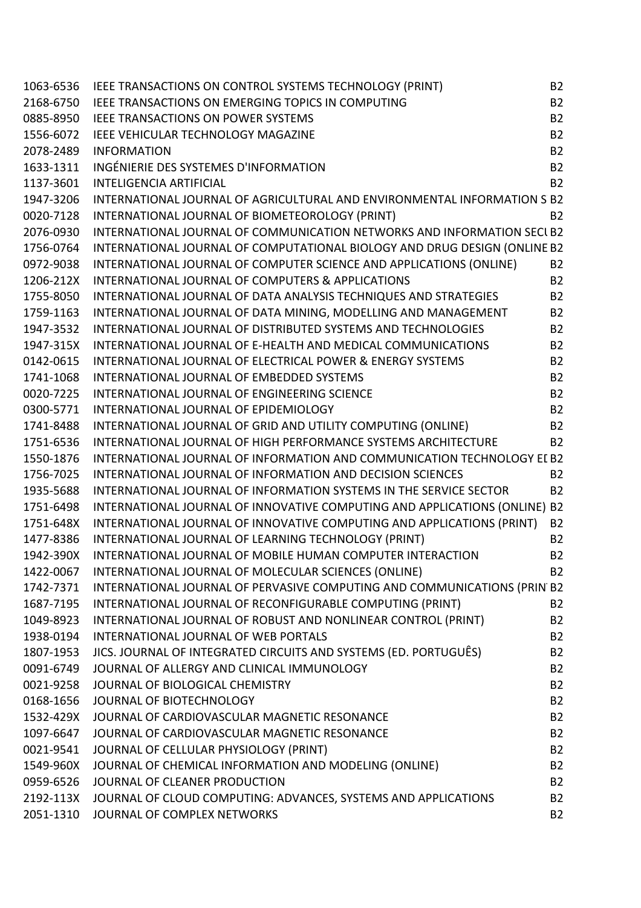| 1063-6536 | IEEE TRANSACTIONS ON CONTROL SYSTEMS TECHNOLOGY (PRINT)                    | <b>B2</b> |
|-----------|----------------------------------------------------------------------------|-----------|
| 2168-6750 | IEEE TRANSACTIONS ON EMERGING TOPICS IN COMPUTING                          | <b>B2</b> |
| 0885-8950 | <b>IEEE TRANSACTIONS ON POWER SYSTEMS</b>                                  | <b>B2</b> |
| 1556-6072 | IEEE VEHICULAR TECHNOLOGY MAGAZINE                                         | <b>B2</b> |
| 2078-2489 | <b>INFORMATION</b>                                                         | <b>B2</b> |
| 1633-1311 | INGÉNIERIE DES SYSTEMES D'INFORMATION                                      | <b>B2</b> |
| 1137-3601 | <b>INTELIGENCIA ARTIFICIAL</b>                                             | <b>B2</b> |
| 1947-3206 | INTERNATIONAL JOURNAL OF AGRICULTURAL AND ENVIRONMENTAL INFORMATION S B2   |           |
| 0020-7128 | INTERNATIONAL JOURNAL OF BIOMETEOROLOGY (PRINT)                            | <b>B2</b> |
| 2076-0930 | INTERNATIONAL JOURNAL OF COMMUNICATION NETWORKS AND INFORMATION SECI B2    |           |
| 1756-0764 | INTERNATIONAL JOURNAL OF COMPUTATIONAL BIOLOGY AND DRUG DESIGN (ONLINE B2  |           |
| 0972-9038 | INTERNATIONAL JOURNAL OF COMPUTER SCIENCE AND APPLICATIONS (ONLINE)        | <b>B2</b> |
| 1206-212X | <b>INTERNATIONAL JOURNAL OF COMPUTERS &amp; APPLICATIONS</b>               | <b>B2</b> |
| 1755-8050 | INTERNATIONAL JOURNAL OF DATA ANALYSIS TECHNIQUES AND STRATEGIES           | <b>B2</b> |
| 1759-1163 | INTERNATIONAL JOURNAL OF DATA MINING, MODELLING AND MANAGEMENT             | <b>B2</b> |
| 1947-3532 | INTERNATIONAL JOURNAL OF DISTRIBUTED SYSTEMS AND TECHNOLOGIES              | <b>B2</b> |
| 1947-315X | INTERNATIONAL JOURNAL OF E-HEALTH AND MEDICAL COMMUNICATIONS               | <b>B2</b> |
| 0142-0615 | INTERNATIONAL JOURNAL OF ELECTRICAL POWER & ENERGY SYSTEMS                 | <b>B2</b> |
| 1741-1068 | INTERNATIONAL JOURNAL OF EMBEDDED SYSTEMS                                  | <b>B2</b> |
| 0020-7225 | INTERNATIONAL JOURNAL OF ENGINEERING SCIENCE                               | <b>B2</b> |
| 0300-5771 | INTERNATIONAL JOURNAL OF EPIDEMIOLOGY                                      | <b>B2</b> |
| 1741-8488 | INTERNATIONAL JOURNAL OF GRID AND UTILITY COMPUTING (ONLINE)               | <b>B2</b> |
| 1751-6536 | INTERNATIONAL JOURNAL OF HIGH PERFORMANCE SYSTEMS ARCHITECTURE             | <b>B2</b> |
| 1550-1876 | INTERNATIONAL JOURNAL OF INFORMATION AND COMMUNICATION TECHNOLOGY EI B2    |           |
| 1756-7025 | <b>INTERNATIONAL JOURNAL OF INFORMATION AND DECISION SCIENCES</b>          | <b>B2</b> |
| 1935-5688 | INTERNATIONAL JOURNAL OF INFORMATION SYSTEMS IN THE SERVICE SECTOR         | <b>B2</b> |
| 1751-6498 | INTERNATIONAL JOURNAL OF INNOVATIVE COMPUTING AND APPLICATIONS (ONLINE) B2 |           |
| 1751-648X | INTERNATIONAL JOURNAL OF INNOVATIVE COMPUTING AND APPLICATIONS (PRINT)     | <b>B2</b> |
| 1477-8386 | INTERNATIONAL JOURNAL OF LEARNING TECHNOLOGY (PRINT)                       | <b>B2</b> |
| 1942-390X | INTERNATIONAL JOURNAL OF MOBILE HUMAN COMPUTER INTERACTION                 | <b>B2</b> |
| 1422-0067 | INTERNATIONAL JOURNAL OF MOLECULAR SCIENCES (ONLINE)                       | <b>B2</b> |
| 1742-7371 | INTERNATIONAL JOURNAL OF PERVASIVE COMPUTING AND COMMUNICATIONS (PRIN B2   |           |
| 1687-7195 | INTERNATIONAL JOURNAL OF RECONFIGURABLE COMPUTING (PRINT)                  | <b>B2</b> |
| 1049-8923 | INTERNATIONAL JOURNAL OF ROBUST AND NONLINEAR CONTROL (PRINT)              | <b>B2</b> |
| 1938-0194 | INTERNATIONAL JOURNAL OF WEB PORTALS                                       | <b>B2</b> |
| 1807-1953 | JICS. JOURNAL OF INTEGRATED CIRCUITS AND SYSTEMS (ED. PORTUGUÊS)           | <b>B2</b> |
| 0091-6749 | JOURNAL OF ALLERGY AND CLINICAL IMMUNOLOGY                                 | <b>B2</b> |
| 0021-9258 | JOURNAL OF BIOLOGICAL CHEMISTRY                                            | <b>B2</b> |
| 0168-1656 | JOURNAL OF BIOTECHNOLOGY                                                   | <b>B2</b> |
| 1532-429X | JOURNAL OF CARDIOVASCULAR MAGNETIC RESONANCE                               | <b>B2</b> |
| 1097-6647 | JOURNAL OF CARDIOVASCULAR MAGNETIC RESONANCE                               | <b>B2</b> |
| 0021-9541 | JOURNAL OF CELLULAR PHYSIOLOGY (PRINT)                                     | <b>B2</b> |
| 1549-960X | JOURNAL OF CHEMICAL INFORMATION AND MODELING (ONLINE)                      | <b>B2</b> |
| 0959-6526 | JOURNAL OF CLEANER PRODUCTION                                              | <b>B2</b> |
| 2192-113X | JOURNAL OF CLOUD COMPUTING: ADVANCES, SYSTEMS AND APPLICATIONS             | <b>B2</b> |
| 2051-1310 | JOURNAL OF COMPLEX NETWORKS                                                | <b>B2</b> |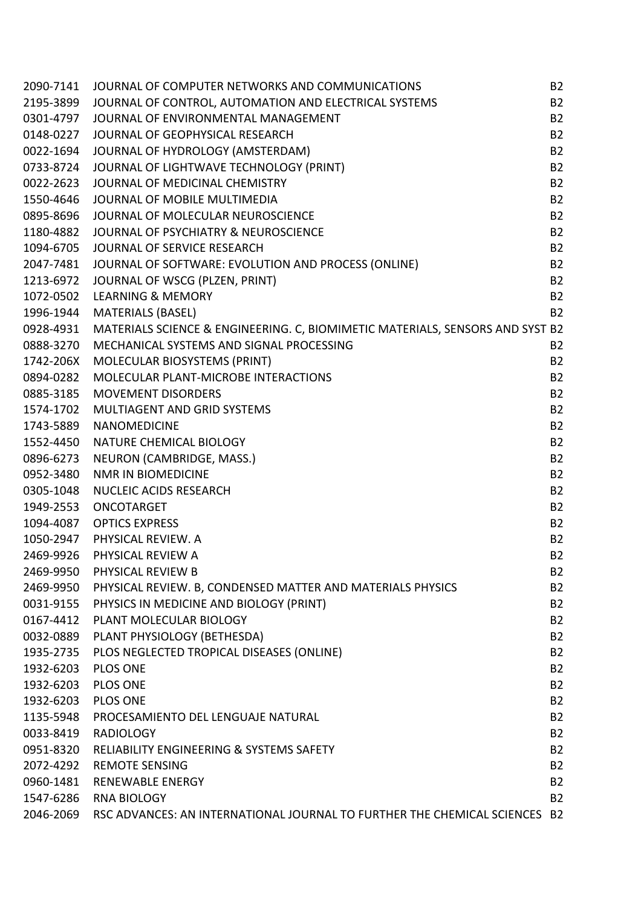| 2090-7141 | JOURNAL OF COMPUTER NETWORKS AND COMMUNICATIONS                               | <b>B2</b> |
|-----------|-------------------------------------------------------------------------------|-----------|
| 2195-3899 | JOURNAL OF CONTROL, AUTOMATION AND ELECTRICAL SYSTEMS                         | <b>B2</b> |
| 0301-4797 | JOURNAL OF ENVIRONMENTAL MANAGEMENT                                           | <b>B2</b> |
| 0148-0227 | JOURNAL OF GEOPHYSICAL RESEARCH                                               | <b>B2</b> |
| 0022-1694 | JOURNAL OF HYDROLOGY (AMSTERDAM)                                              | <b>B2</b> |
| 0733-8724 | JOURNAL OF LIGHTWAVE TECHNOLOGY (PRINT)                                       | <b>B2</b> |
| 0022-2623 | JOURNAL OF MEDICINAL CHEMISTRY                                                | <b>B2</b> |
| 1550-4646 | JOURNAL OF MOBILE MULTIMEDIA                                                  | <b>B2</b> |
| 0895-8696 | JOURNAL OF MOLECULAR NEUROSCIENCE                                             | <b>B2</b> |
| 1180-4882 | JOURNAL OF PSYCHIATRY & NEUROSCIENCE                                          | <b>B2</b> |
| 1094-6705 | JOURNAL OF SERVICE RESEARCH                                                   | <b>B2</b> |
| 2047-7481 | JOURNAL OF SOFTWARE: EVOLUTION AND PROCESS (ONLINE)                           | <b>B2</b> |
| 1213-6972 | JOURNAL OF WSCG (PLZEN, PRINT)                                                | <b>B2</b> |
| 1072-0502 | <b>LEARNING &amp; MEMORY</b>                                                  | <b>B2</b> |
| 1996-1944 | <b>MATERIALS (BASEL)</b>                                                      | <b>B2</b> |
| 0928-4931 | MATERIALS SCIENCE & ENGINEERING. C, BIOMIMETIC MATERIALS, SENSORS AND SYST B2 |           |
| 0888-3270 | MECHANICAL SYSTEMS AND SIGNAL PROCESSING                                      | <b>B2</b> |
| 1742-206X | MOLECULAR BIOSYSTEMS (PRINT)                                                  | <b>B2</b> |
| 0894-0282 | MOLECULAR PLANT-MICROBE INTERACTIONS                                          | <b>B2</b> |
| 0885-3185 | <b>MOVEMENT DISORDERS</b>                                                     | <b>B2</b> |
| 1574-1702 | MULTIAGENT AND GRID SYSTEMS                                                   | <b>B2</b> |
| 1743-5889 | <b>NANOMEDICINE</b>                                                           | <b>B2</b> |
| 1552-4450 | NATURE CHEMICAL BIOLOGY                                                       | <b>B2</b> |
| 0896-6273 | NEURON (CAMBRIDGE, MASS.)                                                     | <b>B2</b> |
| 0952-3480 | <b>NMR IN BIOMEDICINE</b>                                                     | <b>B2</b> |
| 0305-1048 | <b>NUCLEIC ACIDS RESEARCH</b>                                                 | <b>B2</b> |
| 1949-2553 | ONCOTARGET                                                                    | <b>B2</b> |
|           | 1094-4087 OPTICS EXPRESS                                                      | <b>B2</b> |
| 1050-2947 | PHYSICAL REVIEW. A                                                            | <b>B2</b> |
| 2469-9926 | PHYSICAL REVIEW A                                                             | <b>B2</b> |
| 2469-9950 | PHYSICAL REVIEW B                                                             | <b>B2</b> |
| 2469-9950 | PHYSICAL REVIEW. B, CONDENSED MATTER AND MATERIALS PHYSICS                    | <b>B2</b> |
| 0031-9155 | PHYSICS IN MEDICINE AND BIOLOGY (PRINT)                                       | <b>B2</b> |
| 0167-4412 | PLANT MOLECULAR BIOLOGY                                                       | <b>B2</b> |
| 0032-0889 | PLANT PHYSIOLOGY (BETHESDA)                                                   | <b>B2</b> |
| 1935-2735 | PLOS NEGLECTED TROPICAL DISEASES (ONLINE)                                     | <b>B2</b> |
| 1932-6203 | <b>PLOS ONE</b>                                                               | <b>B2</b> |
| 1932-6203 | <b>PLOS ONE</b>                                                               | <b>B2</b> |
| 1932-6203 | <b>PLOS ONE</b>                                                               | <b>B2</b> |
| 1135-5948 | PROCESAMIENTO DEL LENGUAJE NATURAL                                            | <b>B2</b> |
| 0033-8419 | <b>RADIOLOGY</b>                                                              | <b>B2</b> |
| 0951-8320 | RELIABILITY ENGINEERING & SYSTEMS SAFETY                                      | <b>B2</b> |
| 2072-4292 | <b>REMOTE SENSING</b>                                                         | <b>B2</b> |
| 0960-1481 | <b>RENEWABLE ENERGY</b>                                                       | <b>B2</b> |
| 1547-6286 | <b>RNA BIOLOGY</b>                                                            | <b>B2</b> |
| 2046-2069 | RSC ADVANCES: AN INTERNATIONAL JOURNAL TO FURTHER THE CHEMICAL SCIENCES B2    |           |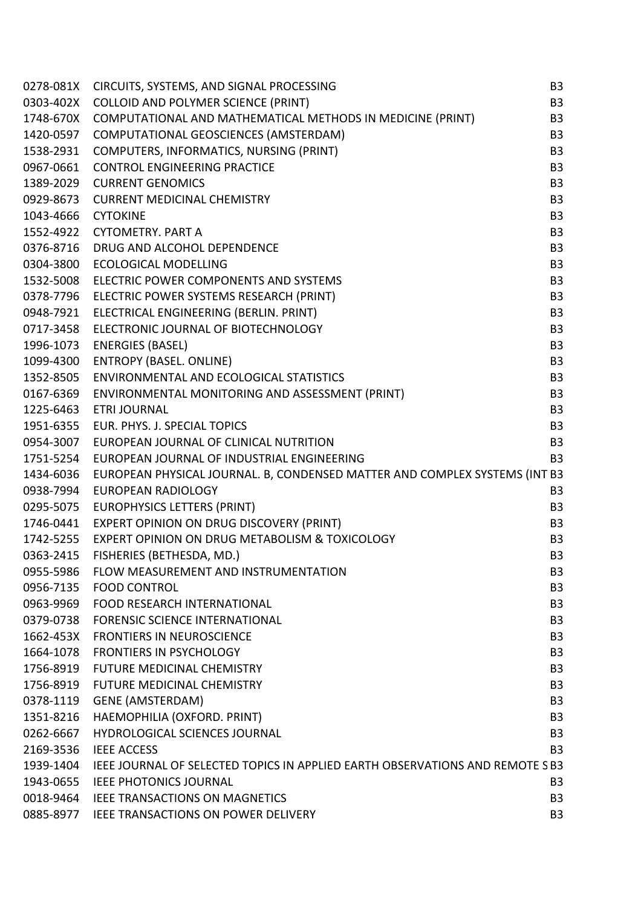| 0278-081X | CIRCUITS, SYSTEMS, AND SIGNAL PROCESSING                                      | B <sub>3</sub> |
|-----------|-------------------------------------------------------------------------------|----------------|
| 0303-402X | <b>COLLOID AND POLYMER SCIENCE (PRINT)</b>                                    | B <sub>3</sub> |
| 1748-670X | COMPUTATIONAL AND MATHEMATICAL METHODS IN MEDICINE (PRINT)                    | B <sub>3</sub> |
| 1420-0597 | COMPUTATIONAL GEOSCIENCES (AMSTERDAM)                                         | B <sub>3</sub> |
| 1538-2931 | COMPUTERS, INFORMATICS, NURSING (PRINT)                                       | B <sub>3</sub> |
| 0967-0661 | <b>CONTROL ENGINEERING PRACTICE</b>                                           | B <sub>3</sub> |
| 1389-2029 | <b>CURRENT GENOMICS</b>                                                       | B <sub>3</sub> |
| 0929-8673 | <b>CURRENT MEDICINAL CHEMISTRY</b>                                            | B <sub>3</sub> |
| 1043-4666 | <b>CYTOKINE</b>                                                               | B <sub>3</sub> |
| 1552-4922 | <b>CYTOMETRY, PART A</b>                                                      | B <sub>3</sub> |
| 0376-8716 | DRUG AND ALCOHOL DEPENDENCE                                                   | B <sub>3</sub> |
| 0304-3800 | <b>ECOLOGICAL MODELLING</b>                                                   | B <sub>3</sub> |
| 1532-5008 | ELECTRIC POWER COMPONENTS AND SYSTEMS                                         | B <sub>3</sub> |
| 0378-7796 | ELECTRIC POWER SYSTEMS RESEARCH (PRINT)                                       | B <sub>3</sub> |
| 0948-7921 | ELECTRICAL ENGINEERING (BERLIN. PRINT)                                        | B <sub>3</sub> |
| 0717-3458 | ELECTRONIC JOURNAL OF BIOTECHNOLOGY                                           | B <sub>3</sub> |
| 1996-1073 | <b>ENERGIES (BASEL)</b>                                                       | B <sub>3</sub> |
| 1099-4300 | <b>ENTROPY (BASEL. ONLINE)</b>                                                | B <sub>3</sub> |
| 1352-8505 | ENVIRONMENTAL AND ECOLOGICAL STATISTICS                                       | B <sub>3</sub> |
| 0167-6369 | ENVIRONMENTAL MONITORING AND ASSESSMENT (PRINT)                               | B <sub>3</sub> |
| 1225-6463 | <b>ETRI JOURNAL</b>                                                           | B <sub>3</sub> |
| 1951-6355 | EUR. PHYS. J. SPECIAL TOPICS                                                  | B <sub>3</sub> |
| 0954-3007 | EUROPEAN JOURNAL OF CLINICAL NUTRITION                                        | B <sub>3</sub> |
| 1751-5254 | EUROPEAN JOURNAL OF INDUSTRIAL ENGINEERING                                    | B <sub>3</sub> |
| 1434-6036 | EUROPEAN PHYSICAL JOURNAL. B, CONDENSED MATTER AND COMPLEX SYSTEMS (INT B3    |                |
| 0938-7994 | <b>EUROPEAN RADIOLOGY</b>                                                     | B <sub>3</sub> |
| 0295-5075 | <b>EUROPHYSICS LETTERS (PRINT)</b>                                            | B <sub>3</sub> |
| 1746-0441 | <b>EXPERT OPINION ON DRUG DISCOVERY (PRINT)</b>                               | B <sub>3</sub> |
| 1742-5255 | EXPERT OPINION ON DRUG METABOLISM & TOXICOLOGY                                | B <sub>3</sub> |
| 0363-2415 | FISHERIES (BETHESDA, MD.)                                                     | B <sub>3</sub> |
| 0955-5986 | FLOW MEASUREMENT AND INSTRUMENTATION                                          | B <sub>3</sub> |
| 0956-7135 | <b>FOOD CONTROL</b>                                                           | B <sub>3</sub> |
| 0963-9969 | <b>FOOD RESEARCH INTERNATIONAL</b>                                            | B <sub>3</sub> |
| 0379-0738 | <b>FORENSIC SCIENCE INTERNATIONAL</b>                                         | B <sub>3</sub> |
| 1662-453X | <b>FRONTIERS IN NEUROSCIENCE</b>                                              | B <sub>3</sub> |
| 1664-1078 | <b>FRONTIERS IN PSYCHOLOGY</b>                                                | B <sub>3</sub> |
| 1756-8919 | <b>FUTURE MEDICINAL CHEMISTRY</b>                                             | B <sub>3</sub> |
| 1756-8919 | <b>FUTURE MEDICINAL CHEMISTRY</b>                                             | B <sub>3</sub> |
| 0378-1119 | <b>GENE (AMSTERDAM)</b>                                                       | B <sub>3</sub> |
| 1351-8216 | HAEMOPHILIA (OXFORD. PRINT)                                                   | B <sub>3</sub> |
| 0262-6667 | <b>HYDROLOGICAL SCIENCES JOURNAL</b>                                          | B <sub>3</sub> |
| 2169-3536 | <b>IEEE ACCESS</b>                                                            | B <sub>3</sub> |
| 1939-1404 | IEEE JOURNAL OF SELECTED TOPICS IN APPLIED EARTH OBSERVATIONS AND REMOTE S B3 |                |
| 1943-0655 | <b>IEEE PHOTONICS JOURNAL</b>                                                 | B <sub>3</sub> |
| 0018-9464 | IEEE TRANSACTIONS ON MAGNETICS                                                | B <sub>3</sub> |
|           | 0885-8977 IEEE TRANSACTIONS ON POWER DELIVERY                                 | B <sub>3</sub> |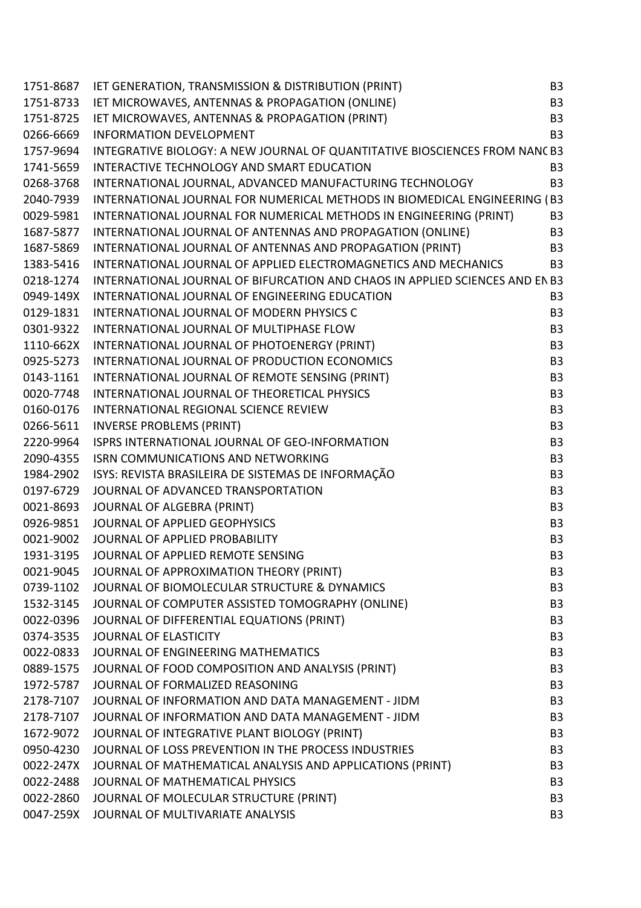| 1751-8687 | IET GENERATION, TRANSMISSION & DISTRIBUTION (PRINT)                          | B <sub>3</sub> |
|-----------|------------------------------------------------------------------------------|----------------|
| 1751-8733 | IET MICROWAVES, ANTENNAS & PROPAGATION (ONLINE)                              | B <sub>3</sub> |
| 1751-8725 | IET MICROWAVES, ANTENNAS & PROPAGATION (PRINT)                               | B <sub>3</sub> |
| 0266-6669 | <b>INFORMATION DEVELOPMENT</b>                                               | B <sub>3</sub> |
| 1757-9694 | INTEGRATIVE BIOLOGY: A NEW JOURNAL OF QUANTITATIVE BIOSCIENCES FROM NANC B3  |                |
| 1741-5659 | INTERACTIVE TECHNOLOGY AND SMART EDUCATION                                   | B <sub>3</sub> |
| 0268-3768 | INTERNATIONAL JOURNAL, ADVANCED MANUFACTURING TECHNOLOGY                     | B <sub>3</sub> |
| 2040-7939 | INTERNATIONAL JOURNAL FOR NUMERICAL METHODS IN BIOMEDICAL ENGINEERING (B3    |                |
| 0029-5981 | INTERNATIONAL JOURNAL FOR NUMERICAL METHODS IN ENGINEERING (PRINT)           | B <sub>3</sub> |
| 1687-5877 | INTERNATIONAL JOURNAL OF ANTENNAS AND PROPAGATION (ONLINE)                   | B <sub>3</sub> |
| 1687-5869 | INTERNATIONAL JOURNAL OF ANTENNAS AND PROPAGATION (PRINT)                    | B <sub>3</sub> |
| 1383-5416 | INTERNATIONAL JOURNAL OF APPLIED ELECTROMAGNETICS AND MECHANICS              | B <sub>3</sub> |
| 0218-1274 | INTERNATIONAL JOURNAL OF BIFURCATION AND CHAOS IN APPLIED SCIENCES AND EN B3 |                |
| 0949-149X | INTERNATIONAL JOURNAL OF ENGINEERING EDUCATION                               | B <sub>3</sub> |
| 0129-1831 | INTERNATIONAL JOURNAL OF MODERN PHYSICS C                                    | B <sub>3</sub> |
| 0301-9322 | INTERNATIONAL JOURNAL OF MULTIPHASE FLOW                                     | B <sub>3</sub> |
| 1110-662X | INTERNATIONAL JOURNAL OF PHOTOENERGY (PRINT)                                 | B <sub>3</sub> |
| 0925-5273 | INTERNATIONAL JOURNAL OF PRODUCTION ECONOMICS                                | B <sub>3</sub> |
| 0143-1161 | INTERNATIONAL JOURNAL OF REMOTE SENSING (PRINT)                              | B <sub>3</sub> |
| 0020-7748 | INTERNATIONAL JOURNAL OF THEORETICAL PHYSICS                                 | B <sub>3</sub> |
| 0160-0176 | INTERNATIONAL REGIONAL SCIENCE REVIEW                                        | B <sub>3</sub> |
| 0266-5611 | <b>INVERSE PROBLEMS (PRINT)</b>                                              | B <sub>3</sub> |
| 2220-9964 | ISPRS INTERNATIONAL JOURNAL OF GEO-INFORMATION                               | B <sub>3</sub> |
| 2090-4355 | <b>ISRN COMMUNICATIONS AND NETWORKING</b>                                    | B <sub>3</sub> |
| 1984-2902 | ISYS: REVISTA BRASILEIRA DE SISTEMAS DE INFORMAÇÃO                           | B <sub>3</sub> |
| 0197-6729 | JOURNAL OF ADVANCED TRANSPORTATION                                           | B <sub>3</sub> |
| 0021-8693 | JOURNAL OF ALGEBRA (PRINT)                                                   | B <sub>3</sub> |
| 0926-9851 | JOURNAL OF APPLIED GEOPHYSICS                                                | B <sub>3</sub> |
| 0021-9002 | JOURNAL OF APPLIED PROBABILITY                                               | B <sub>3</sub> |
| 1931-3195 | JOURNAL OF APPLIED REMOTE SENSING                                            | B <sub>3</sub> |
| 0021-9045 | JOURNAL OF APPROXIMATION THEORY (PRINT)                                      | B <sub>3</sub> |
| 0739-1102 | JOURNAL OF BIOMOLECULAR STRUCTURE & DYNAMICS                                 | B <sub>3</sub> |
| 1532-3145 | JOURNAL OF COMPUTER ASSISTED TOMOGRAPHY (ONLINE)                             | B <sub>3</sub> |
| 0022-0396 | JOURNAL OF DIFFERENTIAL EQUATIONS (PRINT)                                    | B <sub>3</sub> |
| 0374-3535 | <b>JOURNAL OF ELASTICITY</b>                                                 | B <sub>3</sub> |
| 0022-0833 | JOURNAL OF ENGINEERING MATHEMATICS                                           | B <sub>3</sub> |
| 0889-1575 | JOURNAL OF FOOD COMPOSITION AND ANALYSIS (PRINT)                             | B <sub>3</sub> |
| 1972-5787 | JOURNAL OF FORMALIZED REASONING                                              | B <sub>3</sub> |
| 2178-7107 | JOURNAL OF INFORMATION AND DATA MANAGEMENT - JIDM                            | B <sub>3</sub> |
| 2178-7107 | JOURNAL OF INFORMATION AND DATA MANAGEMENT - JIDM                            | B <sub>3</sub> |
| 1672-9072 | JOURNAL OF INTEGRATIVE PLANT BIOLOGY (PRINT)                                 | B <sub>3</sub> |
| 0950-4230 | JOURNAL OF LOSS PREVENTION IN THE PROCESS INDUSTRIES                         | B <sub>3</sub> |
| 0022-247X | JOURNAL OF MATHEMATICAL ANALYSIS AND APPLICATIONS (PRINT)                    | B <sub>3</sub> |
| 0022-2488 | JOURNAL OF MATHEMATICAL PHYSICS                                              | B <sub>3</sub> |
| 0022-2860 | JOURNAL OF MOLECULAR STRUCTURE (PRINT)                                       | B <sub>3</sub> |
| 0047-259X | JOURNAL OF MULTIVARIATE ANALYSIS                                             | B <sub>3</sub> |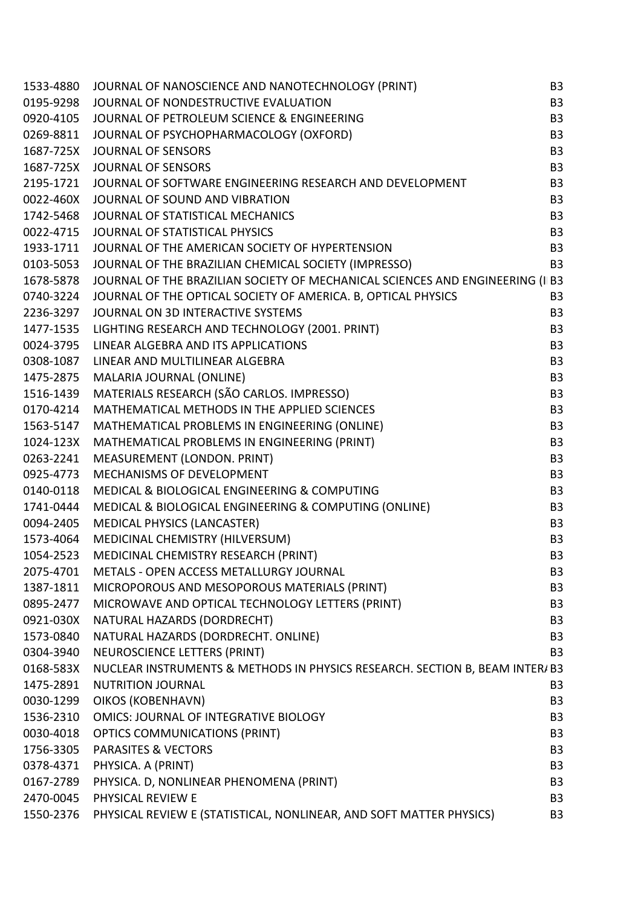|           | 1533-4880 JOURNAL OF NANOSCIENCE AND NANOTECHNOLOGY (PRINT)                                                                                                                                                                              | B <sub>3</sub> |
|-----------|------------------------------------------------------------------------------------------------------------------------------------------------------------------------------------------------------------------------------------------|----------------|
|           | 0195-9298 JOURNAL OF NONDESTRUCTIVE EVALUATION                                                                                                                                                                                           | B <sub>3</sub> |
|           | 0920-4105 JOURNAL OF PETROLEUM SCIENCE & ENGINEERING                                                                                                                                                                                     | B <sub>3</sub> |
|           | 0269-8811 JOURNAL OF PSYCHOPHARMACOLOGY (OXFORD)                                                                                                                                                                                         | B <sub>3</sub> |
|           | 1687-725X JOURNAL OF SENSORS                                                                                                                                                                                                             | B <sub>3</sub> |
|           | 1687-725X JOURNAL OF SENSORS                                                                                                                                                                                                             | B <sub>3</sub> |
|           | 2195-1721 JOURNAL OF SOFTWARE ENGINEERING RESEARCH AND DEVELOPMENT                                                                                                                                                                       | <b>B3</b>      |
|           | 0022-460X JOURNAL OF SOUND AND VIBRATION                                                                                                                                                                                                 | B <sub>3</sub> |
|           | 1742-5468 JOURNAL OF STATISTICAL MECHANICS                                                                                                                                                                                               | B <sub>3</sub> |
|           | 0022-4715 JOURNAL OF STATISTICAL PHYSICS                                                                                                                                                                                                 | B <sub>3</sub> |
|           | 1933-1711 JOURNAL OF THE AMERICAN SOCIETY OF HYPERTENSION                                                                                                                                                                                | <b>B3</b>      |
|           | 0103-5053 JOURNAL OF THE BRAZILIAN CHEMICAL SOCIETY (IMPRESSO)                                                                                                                                                                           | <b>B3</b>      |
|           | 1678-5878 JOURNAL OF THE BRAZILIAN SOCIETY OF MECHANICAL SCIENCES AND ENGINEERING (II B3                                                                                                                                                 |                |
|           | 0740-3224 JOURNAL OF THE OPTICAL SOCIETY OF AMERICA. B, OPTICAL PHYSICS                                                                                                                                                                  | B <sub>3</sub> |
| 2236-3297 | JOURNAL ON 3D INTERACTIVE SYSTEMS                                                                                                                                                                                                        | <b>B3</b>      |
|           | 1477-1535<br>LIGHTING RESEARCH AND TECHNOLOGY (2001. PRINT)<br>0024-3795   LINEAR ALGEBRA AND ITS APPLICATIONS<br>0308-1087   LINEAR AND MULTILINEAR ALGEBRA<br>1475-2875   MALARIA JOURNAL (ONLINE)<br>1516-1439   MATERIALS RESEARCH ( | B <sub>3</sub> |
|           |                                                                                                                                                                                                                                          | B <sub>3</sub> |
|           |                                                                                                                                                                                                                                          | B <sub>3</sub> |
|           |                                                                                                                                                                                                                                          | B <sub>3</sub> |
|           |                                                                                                                                                                                                                                          | B <sub>3</sub> |
|           |                                                                                                                                                                                                                                          | B <sub>3</sub> |
|           | 1563-5147 MATHEMATICAL PROBLEMS IN ENGINEERING (ONLINE)                                                                                                                                                                                  | B <sub>3</sub> |
|           | 1024-123X MATHEMATICAL PROBLEMS IN ENGINEERING (PRINT)                                                                                                                                                                                   | <b>B3</b>      |
|           | 0263-2241 MEASUREMENT (LONDON. PRINT)                                                                                                                                                                                                    | B <sub>3</sub> |
| 0925-4773 | MECHANISMS OF DEVELOPMENT                                                                                                                                                                                                                | B <sub>3</sub> |
|           | 0140-0118 MEDICAL & BIOLOGICAL ENGINEERING & COMPUTING                                                                                                                                                                                   | B <sub>3</sub> |
| 1741-0444 | MEDICAL & BIOLOGICAL ENGINEERING & COMPUTING (ONLINE)                                                                                                                                                                                    | <b>B3</b>      |
| 0094-2405 | <b>MEDICAL PHYSICS (LANCASTER)</b>                                                                                                                                                                                                       | B <sub>3</sub> |
|           | 1573-4064 MEDICINAL CHEMISTRY (HILVERSUM)                                                                                                                                                                                                | B <sub>3</sub> |
| 1054-2523 | MEDICINAL CHEMISTRY RESEARCH (PRINT)                                                                                                                                                                                                     | B <sub>3</sub> |
| 2075-4701 | METALS - OPEN ACCESS METALLURGY JOURNAL                                                                                                                                                                                                  | B <sub>3</sub> |
| 1387-1811 | MICROPOROUS AND MESOPOROUS MATERIALS (PRINT)                                                                                                                                                                                             | B <sub>3</sub> |
| 0895-2477 | MICROWAVE AND OPTICAL TECHNOLOGY LETTERS (PRINT)                                                                                                                                                                                         | B <sub>3</sub> |
| 0921-030X | NATURAL HAZARDS (DORDRECHT)                                                                                                                                                                                                              | B <sub>3</sub> |
| 1573-0840 | NATURAL HAZARDS (DORDRECHT. ONLINE)                                                                                                                                                                                                      | B <sub>3</sub> |
| 0304-3940 | NEUROSCIENCE LETTERS (PRINT)                                                                                                                                                                                                             | B <sub>3</sub> |
| 0168-583X | NUCLEAR INSTRUMENTS & METHODS IN PHYSICS RESEARCH. SECTION B, BEAM INTER/ B3                                                                                                                                                             |                |
| 1475-2891 | <b>NUTRITION JOURNAL</b>                                                                                                                                                                                                                 | B <sub>3</sub> |
| 0030-1299 | OIKOS (KOBENHAVN)                                                                                                                                                                                                                        | B <sub>3</sub> |
| 1536-2310 | <b>OMICS: JOURNAL OF INTEGRATIVE BIOLOGY</b>                                                                                                                                                                                             | B <sub>3</sub> |
| 0030-4018 | <b>OPTICS COMMUNICATIONS (PRINT)</b>                                                                                                                                                                                                     | B <sub>3</sub> |
| 1756-3305 | <b>PARASITES &amp; VECTORS</b>                                                                                                                                                                                                           | B <sub>3</sub> |
| 0378-4371 | PHYSICA. A (PRINT)                                                                                                                                                                                                                       | B <sub>3</sub> |
| 0167-2789 | PHYSICA. D, NONLINEAR PHENOMENA (PRINT)                                                                                                                                                                                                  | B <sub>3</sub> |
| 2470-0045 | PHYSICAL REVIEW E                                                                                                                                                                                                                        | B <sub>3</sub> |
| 1550-2376 | PHYSICAL REVIEW E (STATISTICAL, NONLINEAR, AND SOFT MATTER PHYSICS)                                                                                                                                                                      | B <sub>3</sub> |
|           |                                                                                                                                                                                                                                          |                |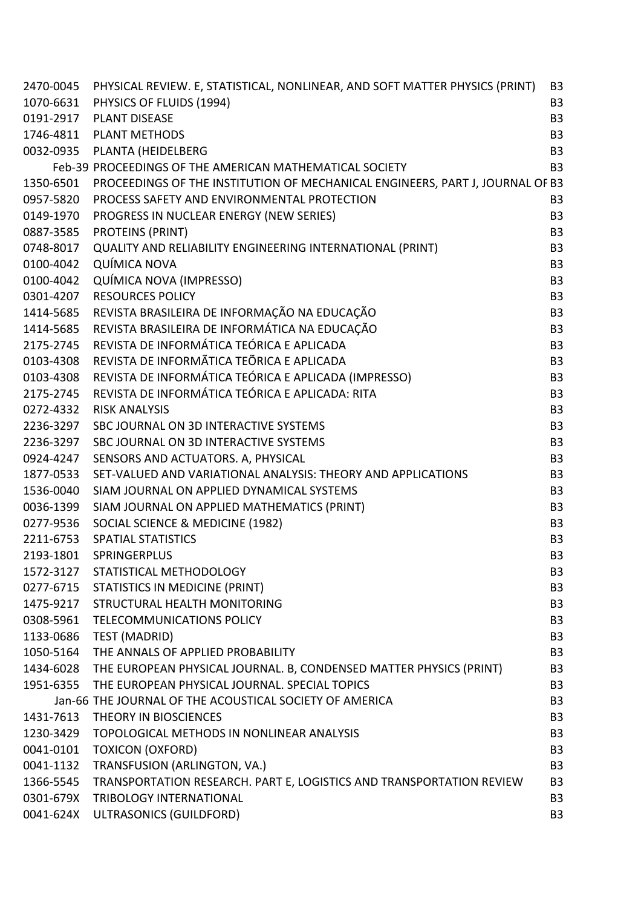|           | 2470-0045 PHYSICAL REVIEW. E, STATISTICAL, NONLINEAR, AND SOFT MATTER PHYSICS (PRINT) | B <sub>3</sub> |
|-----------|---------------------------------------------------------------------------------------|----------------|
|           | 1070-6631 PHYSICS OF FLUIDS (1994)                                                    | B <sub>3</sub> |
| 0191-2917 | <b>PLANT DISEASE</b>                                                                  | <b>B3</b>      |
| 1746-4811 | <b>PLANT METHODS</b>                                                                  | B <sub>3</sub> |
|           | 0032-0935 PLANTA (HEIDELBERG                                                          | B <sub>3</sub> |
|           | Feb-39 PROCEEDINGS OF THE AMERICAN MATHEMATICAL SOCIETY                               | <b>B3</b>      |
| 1350-6501 | PROCEEDINGS OF THE INSTITUTION OF MECHANICAL ENGINEERS, PART J, JOURNAL OF B3         |                |
| 0957-5820 | PROCESS SAFETY AND ENVIRONMENTAL PROTECTION                                           | B <sub>3</sub> |
| 0149-1970 | PROGRESS IN NUCLEAR ENERGY (NEW SERIES)                                               | B <sub>3</sub> |
| 0887-3585 | <b>PROTEINS (PRINT)</b>                                                               | <b>B3</b>      |
| 0748-8017 | QUALITY AND RELIABILITY ENGINEERING INTERNATIONAL (PRINT)                             | B <sub>3</sub> |
| 0100-4042 | QUÍMICA NOVA                                                                          | B <sub>3</sub> |
| 0100-4042 | QUÍMICA NOVA (IMPRESSO)                                                               | <b>B3</b>      |
| 0301-4207 | <b>RESOURCES POLICY</b>                                                               | B <sub>3</sub> |
| 1414-5685 | REVISTA BRASILEIRA DE INFORMAÇÃO NA EDUCAÇÃO                                          | B <sub>3</sub> |
| 1414-5685 | REVISTA BRASILEIRA DE INFORMÁTICA NA EDUCAÇÃO                                         | B <sub>3</sub> |
| 2175-2745 | REVISTA DE INFORMÁTICA TEÓRICA E APLICADA                                             | B <sub>3</sub> |
| 0103-4308 | REVISTA DE INFORMÃTICA TEÕRICA E APLICADA                                             | B <sub>3</sub> |
| 0103-4308 | REVISTA DE INFORMÁTICA TEÓRICA E APLICADA (IMPRESSO)                                  | B <sub>3</sub> |
| 2175-2745 | REVISTA DE INFORMÁTICA TEÓRICA E APLICADA: RITA                                       | B <sub>3</sub> |
| 0272-4332 | <b>RISK ANALYSIS</b>                                                                  | B <sub>3</sub> |
| 2236-3297 | SBC JOURNAL ON 3D INTERACTIVE SYSTEMS                                                 | B <sub>3</sub> |
| 2236-3297 | SBC JOURNAL ON 3D INTERACTIVE SYSTEMS                                                 | B <sub>3</sub> |
| 0924-4247 | SENSORS AND ACTUATORS. A, PHYSICAL                                                    | B <sub>3</sub> |
| 1877-0533 | SET-VALUED AND VARIATIONAL ANALYSIS: THEORY AND APPLICATIONS                          | B <sub>3</sub> |
| 1536-0040 | SIAM JOURNAL ON APPLIED DYNAMICAL SYSTEMS                                             | B <sub>3</sub> |
| 0036-1399 | SIAM JOURNAL ON APPLIED MATHEMATICS (PRINT)                                           | B <sub>3</sub> |
| 0277-9536 | SOCIAL SCIENCE & MEDICINE (1982)                                                      | B <sub>3</sub> |
| 2211-6753 | <b>SPATIAL STATISTICS</b>                                                             | B <sub>3</sub> |
| 2193-1801 | SPRINGERPLUS                                                                          | B <sub>3</sub> |
| 1572-3127 | STATISTICAL METHODOLOGY                                                               | B <sub>3</sub> |
|           | 0277-6715 STATISTICS IN MEDICINE (PRINT)                                              | B <sub>3</sub> |
| 1475-9217 | STRUCTURAL HEALTH MONITORING                                                          | B <sub>3</sub> |
| 0308-5961 | <b>TELECOMMUNICATIONS POLICY</b>                                                      | B <sub>3</sub> |
| 1133-0686 | TEST (MADRID)                                                                         | B <sub>3</sub> |
| 1050-5164 | THE ANNALS OF APPLIED PROBABILITY                                                     | B <sub>3</sub> |
| 1434-6028 | THE EUROPEAN PHYSICAL JOURNAL. B, CONDENSED MATTER PHYSICS (PRINT)                    | B <sub>3</sub> |
|           | 1951-6355 THE EUROPEAN PHYSICAL JOURNAL. SPECIAL TOPICS                               | B <sub>3</sub> |
|           | Jan-66 THE JOURNAL OF THE ACOUSTICAL SOCIETY OF AMERICA                               | B <sub>3</sub> |
| 1431-7613 | THEORY IN BIOSCIENCES                                                                 | B <sub>3</sub> |
| 1230-3429 | TOPOLOGICAL METHODS IN NONLINEAR ANALYSIS                                             | B <sub>3</sub> |
| 0041-0101 | <b>TOXICON (OXFORD)</b>                                                               | B <sub>3</sub> |
| 0041-1132 | TRANSFUSION (ARLINGTON, VA.)                                                          | B <sub>3</sub> |
| 1366-5545 | TRANSPORTATION RESEARCH. PART E, LOGISTICS AND TRANSPORTATION REVIEW                  | <b>B3</b>      |
| 0301-679X | <b>TRIBOLOGY INTERNATIONAL</b>                                                        | B <sub>3</sub> |
| 0041-624X | ULTRASONICS (GUILDFORD)                                                               | B <sub>3</sub> |
|           |                                                                                       |                |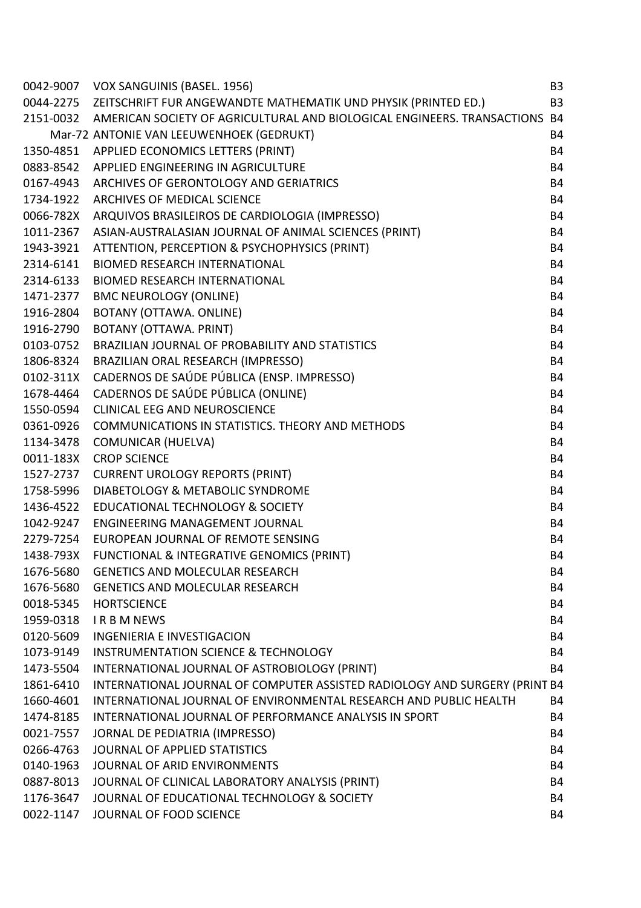| 0042-9007 | VOX SANGUINIS (BASEL. 1956)                                                | B <sub>3</sub> |
|-----------|----------------------------------------------------------------------------|----------------|
| 0044-2275 | ZEITSCHRIFT FUR ANGEWANDTE MATHEMATIK UND PHYSIK (PRINTED ED.)             | <b>B3</b>      |
| 2151-0032 | AMERICAN SOCIETY OF AGRICULTURAL AND BIOLOGICAL ENGINEERS. TRANSACTIONS    | <b>B4</b>      |
|           | Mar-72 ANTONIE VAN LEEUWENHOEK (GEDRUKT)                                   | <b>B4</b>      |
| 1350-4851 | APPLIED ECONOMICS LETTERS (PRINT)                                          | <b>B4</b>      |
| 0883-8542 | APPLIED ENGINEERING IN AGRICULTURE                                         | <b>B4</b>      |
| 0167-4943 | ARCHIVES OF GERONTOLOGY AND GERIATRICS                                     | <b>B4</b>      |
| 1734-1922 | ARCHIVES OF MEDICAL SCIENCE                                                | <b>B4</b>      |
| 0066-782X | ARQUIVOS BRASILEIROS DE CARDIOLOGIA (IMPRESSO)                             | <b>B4</b>      |
| 1011-2367 | ASIAN-AUSTRALASIAN JOURNAL OF ANIMAL SCIENCES (PRINT)                      | <b>B4</b>      |
| 1943-3921 | ATTENTION, PERCEPTION & PSYCHOPHYSICS (PRINT)                              | <b>B4</b>      |
| 2314-6141 | <b>BIOMED RESEARCH INTERNATIONAL</b>                                       | <b>B4</b>      |
| 2314-6133 | <b>BIOMED RESEARCH INTERNATIONAL</b>                                       | <b>B4</b>      |
| 1471-2377 | <b>BMC NEUROLOGY (ONLINE)</b>                                              | <b>B4</b>      |
| 1916-2804 | BOTANY (OTTAWA. ONLINE)                                                    | <b>B4</b>      |
| 1916-2790 | BOTANY (OTTAWA. PRINT)                                                     | <b>B4</b>      |
| 0103-0752 | BRAZILIAN JOURNAL OF PROBABILITY AND STATISTICS                            | <b>B4</b>      |
| 1806-8324 | BRAZILIAN ORAL RESEARCH (IMPRESSO)                                         | <b>B4</b>      |
| 0102-311X | CADERNOS DE SAÚDE PÚBLICA (ENSP. IMPRESSO)                                 | <b>B4</b>      |
| 1678-4464 | CADERNOS DE SAÚDE PÚBLICA (ONLINE)                                         | <b>B4</b>      |
| 1550-0594 | <b>CLINICAL EEG AND NEUROSCIENCE</b>                                       | <b>B4</b>      |
| 0361-0926 | COMMUNICATIONS IN STATISTICS. THEORY AND METHODS                           | <b>B4</b>      |
| 1134-3478 | <b>COMUNICAR (HUELVA)</b>                                                  | <b>B4</b>      |
| 0011-183X | <b>CROP SCIENCE</b>                                                        | <b>B4</b>      |
| 1527-2737 | <b>CURRENT UROLOGY REPORTS (PRINT)</b>                                     | <b>B4</b>      |
| 1758-5996 | DIABETOLOGY & METABOLIC SYNDROME                                           | <b>B4</b>      |
| 1436-4522 | <b>EDUCATIONAL TECHNOLOGY &amp; SOCIETY</b>                                | <b>B4</b>      |
| 1042-9247 | <b>ENGINEERING MANAGEMENT JOURNAL</b>                                      | <b>B4</b>      |
| 2279-7254 | EUROPEAN JOURNAL OF REMOTE SENSING                                         | <b>B4</b>      |
| 1438-793X | FUNCTIONAL & INTEGRATIVE GENOMICS (PRINT)                                  | <b>B4</b>      |
| 1676-5680 | <b>GENETICS AND MOLECULAR RESEARCH</b>                                     | B4             |
| 1676-5680 | <b>GENETICS AND MOLECULAR RESEARCH</b>                                     | <b>B4</b>      |
| 0018-5345 | <b>HORTSCIENCE</b>                                                         | <b>B4</b>      |
| 1959-0318 | <b>IRBMNEWS</b>                                                            | <b>B4</b>      |
| 0120-5609 | <b>INGENIERIA E INVESTIGACION</b>                                          | <b>B4</b>      |
| 1073-9149 | <b>INSTRUMENTATION SCIENCE &amp; TECHNOLOGY</b>                            | <b>B4</b>      |
| 1473-5504 | INTERNATIONAL JOURNAL OF ASTROBIOLOGY (PRINT)                              | <b>B4</b>      |
| 1861-6410 | INTERNATIONAL JOURNAL OF COMPUTER ASSISTED RADIOLOGY AND SURGERY (PRINT B4 |                |
| 1660-4601 | INTERNATIONAL JOURNAL OF ENVIRONMENTAL RESEARCH AND PUBLIC HEALTH          | <b>B4</b>      |
| 1474-8185 | INTERNATIONAL JOURNAL OF PERFORMANCE ANALYSIS IN SPORT                     | <b>B4</b>      |
| 0021-7557 | JORNAL DE PEDIATRIA (IMPRESSO)                                             | <b>B4</b>      |
| 0266-4763 | JOURNAL OF APPLIED STATISTICS                                              | <b>B4</b>      |
| 0140-1963 | JOURNAL OF ARID ENVIRONMENTS                                               | <b>B4</b>      |
| 0887-8013 | JOURNAL OF CLINICAL LABORATORY ANALYSIS (PRINT)                            | <b>B4</b>      |
| 1176-3647 | JOURNAL OF EDUCATIONAL TECHNOLOGY & SOCIETY                                | <b>B4</b>      |
| 0022-1147 | JOURNAL OF FOOD SCIENCE                                                    | B4             |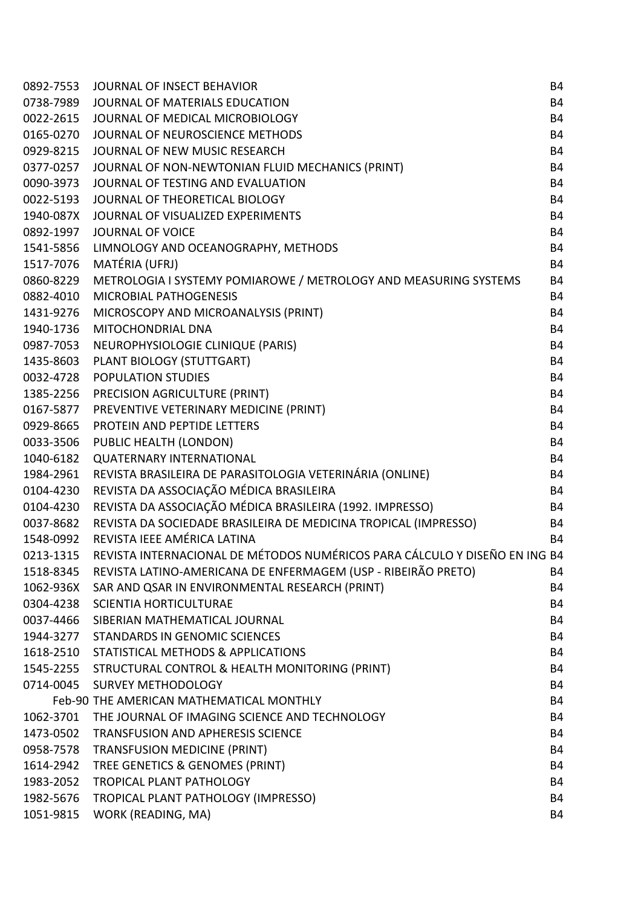| 0892-7553 | <b>JOURNAL OF INSECT BEHAVIOR</b>                                          | <b>B4</b> |
|-----------|----------------------------------------------------------------------------|-----------|
| 0738-7989 | JOURNAL OF MATERIALS EDUCATION                                             | <b>B4</b> |
| 0022-2615 | JOURNAL OF MEDICAL MICROBIOLOGY                                            | <b>B4</b> |
| 0165-0270 | JOURNAL OF NEUROSCIENCE METHODS                                            | <b>B4</b> |
| 0929-8215 | JOURNAL OF NEW MUSIC RESEARCH                                              | <b>B4</b> |
| 0377-0257 | JOURNAL OF NON-NEWTONIAN FLUID MECHANICS (PRINT)                           | <b>B4</b> |
| 0090-3973 | JOURNAL OF TESTING AND EVALUATION                                          | <b>B4</b> |
| 0022-5193 | JOURNAL OF THEORETICAL BIOLOGY                                             | <b>B4</b> |
| 1940-087X | JOURNAL OF VISUALIZED EXPERIMENTS                                          | <b>B4</b> |
| 0892-1997 | JOURNAL OF VOICE                                                           | <b>B4</b> |
| 1541-5856 | LIMNOLOGY AND OCEANOGRAPHY, METHODS                                        | <b>B4</b> |
| 1517-7076 | MATÉRIA (UFRJ)                                                             | <b>B4</b> |
| 0860-8229 | METROLOGIA I SYSTEMY POMIAROWE / METROLOGY AND MEASURING SYSTEMS           | <b>B4</b> |
| 0882-4010 | <b>MICROBIAL PATHOGENESIS</b>                                              | <b>B4</b> |
| 1431-9276 | MICROSCOPY AND MICROANALYSIS (PRINT)                                       | <b>B4</b> |
| 1940-1736 | MITOCHONDRIAL DNA                                                          | <b>B4</b> |
| 0987-7053 | NEUROPHYSIOLOGIE CLINIQUE (PARIS)                                          | <b>B4</b> |
| 1435-8603 | PLANT BIOLOGY (STUTTGART)                                                  | <b>B4</b> |
| 0032-4728 | <b>POPULATION STUDIES</b>                                                  | <b>B4</b> |
| 1385-2256 | PRECISION AGRICULTURE (PRINT)                                              | <b>B4</b> |
| 0167-5877 | PREVENTIVE VETERINARY MEDICINE (PRINT)                                     | <b>B4</b> |
| 0929-8665 | PROTEIN AND PEPTIDE LETTERS                                                | <b>B4</b> |
| 0033-3506 | PUBLIC HEALTH (LONDON)                                                     | <b>B4</b> |
| 1040-6182 | <b>QUATERNARY INTERNATIONAL</b>                                            | <b>B4</b> |
| 1984-2961 | REVISTA BRASILEIRA DE PARASITOLOGIA VETERINÁRIA (ONLINE)                   | <b>B4</b> |
| 0104-4230 | REVISTA DA ASSOCIAÇÃO MÉDICA BRASILEIRA                                    | <b>B4</b> |
| 0104-4230 | REVISTA DA ASSOCIAÇÃO MÉDICA BRASILEIRA (1992. IMPRESSO)                   | <b>B4</b> |
| 0037-8682 | REVISTA DA SOCIEDADE BRASILEIRA DE MEDICINA TROPICAL (IMPRESSO)            | <b>B4</b> |
| 1548-0992 | REVISTA IEEE AMÉRICA LATINA                                                | <b>B4</b> |
| 0213-1315 | REVISTA INTERNACIONAL DE MÉTODOS NUMÉRICOS PARA CÁLCULO Y DISEÑO EN ING B4 |           |
| 1518-8345 | REVISTA LATINO-AMERICANA DE ENFERMAGEM (USP - RIBEIRÃO PRETO)              | <b>B4</b> |
| 1062-936X | SAR AND QSAR IN ENVIRONMENTAL RESEARCH (PRINT)                             | <b>B4</b> |
| 0304-4238 | <b>SCIENTIA HORTICULTURAE</b>                                              | <b>B4</b> |
| 0037-4466 | SIBERIAN MATHEMATICAL JOURNAL                                              | <b>B4</b> |
| 1944-3277 | <b>STANDARDS IN GENOMIC SCIENCES</b>                                       | <b>B4</b> |
|           | 1618-2510 STATISTICAL METHODS & APPLICATIONS                               | <b>B4</b> |
|           | 1545-2255 STRUCTURAL CONTROL & HEALTH MONITORING (PRINT)                   | <b>B4</b> |
|           | 0714-0045 SURVEY METHODOLOGY                                               | <b>B4</b> |
|           | Feb-90 THE AMERICAN MATHEMATICAL MONTHLY                                   | <b>B4</b> |
| 1062-3701 | THE JOURNAL OF IMAGING SCIENCE AND TECHNOLOGY                              | <b>B4</b> |
| 1473-0502 | <b>TRANSFUSION AND APHERESIS SCIENCE</b>                                   | <b>B4</b> |
| 0958-7578 | TRANSFUSION MEDICINE (PRINT)                                               | <b>B4</b> |
| 1614-2942 | TREE GENETICS & GENOMES (PRINT)                                            | <b>B4</b> |
| 1983-2052 | <b>TROPICAL PLANT PATHOLOGY</b>                                            | <b>B4</b> |
| 1982-5676 | TROPICAL PLANT PATHOLOGY (IMPRESSO)                                        | <b>B4</b> |
| 1051-9815 | WORK (READING, MA)                                                         | <b>B4</b> |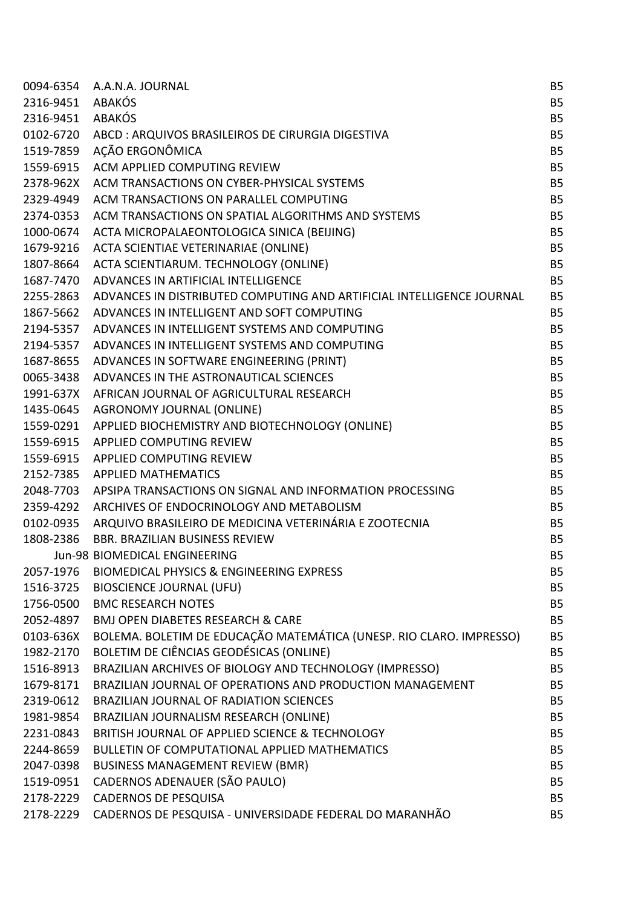| 0094-6354 | A.A.N.A. JOURNAL                                                      | <b>B5</b> |
|-----------|-----------------------------------------------------------------------|-----------|
| 2316-9451 | <b>ABAKÓS</b>                                                         | <b>B5</b> |
| 2316-9451 | <b>ABAKÓS</b>                                                         | <b>B5</b> |
| 0102-6720 | ABCD: ARQUIVOS BRASILEIROS DE CIRURGIA DIGESTIVA                      | <b>B5</b> |
| 1519-7859 | AÇÃO ERGONÔMICA                                                       | <b>B5</b> |
| 1559-6915 | ACM APPLIED COMPUTING REVIEW                                          | <b>B5</b> |
| 2378-962X | ACM TRANSACTIONS ON CYBER-PHYSICAL SYSTEMS                            | <b>B5</b> |
| 2329-4949 | ACM TRANSACTIONS ON PARALLEL COMPUTING                                | <b>B5</b> |
| 2374-0353 | ACM TRANSACTIONS ON SPATIAL ALGORITHMS AND SYSTEMS                    | <b>B5</b> |
| 1000-0674 | ACTA MICROPALAEONTOLOGICA SINICA (BEIJING)                            | <b>B5</b> |
| 1679-9216 | ACTA SCIENTIAE VETERINARIAE (ONLINE)                                  | <b>B5</b> |
| 1807-8664 | ACTA SCIENTIARUM. TECHNOLOGY (ONLINE)                                 | <b>B5</b> |
| 1687-7470 | ADVANCES IN ARTIFICIAL INTELLIGENCE                                   | <b>B5</b> |
| 2255-2863 | ADVANCES IN DISTRIBUTED COMPUTING AND ARTIFICIAL INTELLIGENCE JOURNAL | <b>B5</b> |
| 1867-5662 | ADVANCES IN INTELLIGENT AND SOFT COMPUTING                            | <b>B5</b> |
| 2194-5357 | ADVANCES IN INTELLIGENT SYSTEMS AND COMPUTING                         | <b>B5</b> |
| 2194-5357 | ADVANCES IN INTELLIGENT SYSTEMS AND COMPUTING                         | <b>B5</b> |
| 1687-8655 | ADVANCES IN SOFTWARE ENGINEERING (PRINT)                              | <b>B5</b> |
| 0065-3438 | ADVANCES IN THE ASTRONAUTICAL SCIENCES                                | <b>B5</b> |
| 1991-637X | AFRICAN JOURNAL OF AGRICULTURAL RESEARCH                              | <b>B5</b> |
| 1435-0645 | <b>AGRONOMY JOURNAL (ONLINE)</b>                                      | <b>B5</b> |
| 1559-0291 | APPLIED BIOCHEMISTRY AND BIOTECHNOLOGY (ONLINE)                       | <b>B5</b> |
| 1559-6915 | <b>APPLIED COMPUTING REVIEW</b>                                       | <b>B5</b> |
| 1559-6915 | APPLIED COMPUTING REVIEW                                              | <b>B5</b> |
| 2152-7385 | <b>APPLIED MATHEMATICS</b>                                            | <b>B5</b> |
| 2048-7703 | APSIPA TRANSACTIONS ON SIGNAL AND INFORMATION PROCESSING              | <b>B5</b> |
| 2359-4292 | ARCHIVES OF ENDOCRINOLOGY AND METABOLISM                              | <b>B5</b> |
| 0102-0935 | ARQUIVO BRASILEIRO DE MEDICINA VETERINÁRIA E ZOOTECNIA                | <b>B5</b> |
| 1808-2386 | <b>BBR. BRAZILIAN BUSINESS REVIEW</b>                                 | <b>B5</b> |
|           | Jun-98 BIOMEDICAL ENGINEERING                                         | <b>B5</b> |
| 2057-1976 | <b>BIOMEDICAL PHYSICS &amp; ENGINEERING EXPRESS</b>                   | <b>B5</b> |
| 1516-3725 | <b>BIOSCIENCE JOURNAL (UFU)</b>                                       | <b>B5</b> |
| 1756-0500 | <b>BMC RESEARCH NOTES</b>                                             | <b>B5</b> |
| 2052-4897 | <b>BMJ OPEN DIABETES RESEARCH &amp; CARE</b>                          | <b>B5</b> |
| 0103-636X | BOLEMA. BOLETIM DE EDUCAÇÃO MATEMÁTICA (UNESP. RIO CLARO. IMPRESSO)   | <b>B5</b> |
| 1982-2170 | BOLETIM DE CIÊNCIAS GEODÉSICAS (ONLINE)                               | <b>B5</b> |
| 1516-8913 | BRAZILIAN ARCHIVES OF BIOLOGY AND TECHNOLOGY (IMPRESSO)               | <b>B5</b> |
| 1679-8171 | BRAZILIAN JOURNAL OF OPERATIONS AND PRODUCTION MANAGEMENT             | <b>B5</b> |
| 2319-0612 | <b>BRAZILIAN JOURNAL OF RADIATION SCIENCES</b>                        | <b>B5</b> |
| 1981-9854 | BRAZILIAN JOURNALISM RESEARCH (ONLINE)                                | <b>B5</b> |
| 2231-0843 | BRITISH JOURNAL OF APPLIED SCIENCE & TECHNOLOGY                       | <b>B5</b> |
| 2244-8659 | BULLETIN OF COMPUTATIONAL APPLIED MATHEMATICS                         | <b>B5</b> |
| 2047-0398 | <b>BUSINESS MANAGEMENT REVIEW (BMR)</b>                               | <b>B5</b> |
| 1519-0951 | CADERNOS ADENAUER (SÃO PAULO)                                         | <b>B5</b> |
| 2178-2229 | <b>CADERNOS DE PESQUISA</b>                                           | <b>B5</b> |
| 2178-2229 | CADERNOS DE PESQUISA - UNIVERSIDADE FEDERAL DO MARANHÃO               | <b>B5</b> |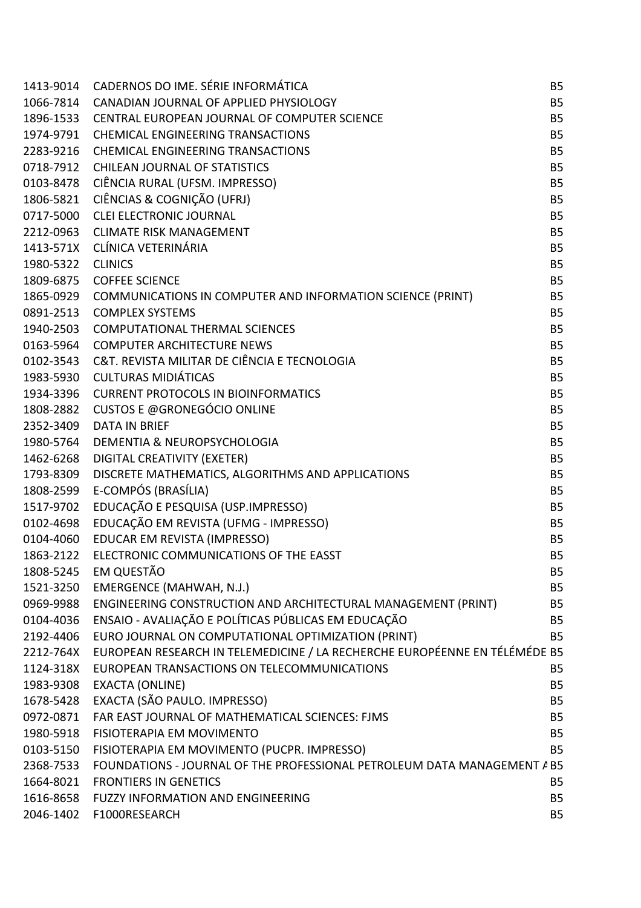|                   | 1413-9014 CADERNOS DO IME. SÉRIE INFORMÁTICA                                         | <b>B5</b>      |
|-------------------|--------------------------------------------------------------------------------------|----------------|
|                   | 1066-7814 CANADIAN JOURNAL OF APPLIED PHYSIOLOGY                                     | <b>B5</b>      |
|                   | 1896-1533 CENTRAL EUROPEAN JOURNAL OF COMPUTER SCIENCE                               | <b>B5</b>      |
|                   | 1974-9791 CHEMICAL ENGINEERING TRANSACTIONS                                          | <b>B5</b>      |
|                   | 2283-9216 CHEMICAL ENGINEERING TRANSACTIONS                                          | <b>B5</b>      |
|                   | 0718-7912 CHILEAN JOURNAL OF STATISTICS                                              | <b>B5</b>      |
|                   | 0103-8478 CIÊNCIA RURAL (UFSM. IMPRESSO)                                             | <b>B5</b>      |
|                   | 1806-5821 CIÊNCIAS & COGNIÇÃO (UFRJ)                                                 | <b>B5</b>      |
|                   | 0717-5000 CLEI ELECTRONIC JOURNAL                                                    | <b>B5</b>      |
|                   | 2212-0963 CLIMATE RISK MANAGEMENT                                                    | <b>B5</b>      |
|                   | 1413-571X CLÍNICA VETERINÁRIA                                                        | <b>B5</b>      |
| 1980-5322 CLINICS |                                                                                      | <b>B5</b>      |
|                   | 1809-6875 COFFEE SCIENCE                                                             | <b>B5</b>      |
|                   | 1865-0929 COMMUNICATIONS IN COMPUTER AND INFORMATION SCIENCE (PRINT)                 | B <sub>5</sub> |
|                   | 0891-2513 COMPLEX SYSTEMS                                                            | <b>B5</b>      |
|                   | 1940-2503 COMPUTATIONAL THERMAL SCIENCES                                             | <b>B5</b>      |
|                   | 0163-5964 COMPUTER ARCHITECTURE NEWS                                                 | <b>B5</b>      |
|                   | 0102-3543 C&T. REVISTA MILITAR DE CIÊNCIA E TECNOLOGIA                               | <b>B5</b>      |
|                   | 1983-5930 CULTURAS MIDIÁTICAS                                                        | <b>B5</b>      |
|                   | 1934-3396 CURRENT PROTOCOLS IN BIOINFORMATICS                                        | <b>B5</b>      |
|                   | 1808-2882 CUSTOS E @GRONEGÓCIO ONLINE                                                | <b>B5</b>      |
|                   | 2352-3409 DATA IN BRIEF                                                              | <b>B5</b>      |
|                   | 1980-5764 DEMENTIA & NEUROPSYCHOLOGIA                                                | <b>B5</b>      |
|                   | 1462-6268 DIGITAL CREATIVITY (EXETER)                                                | <b>B5</b>      |
|                   | 1793-8309 DISCRETE MATHEMATICS, ALGORITHMS AND APPLICATIONS                          | <b>B5</b>      |
|                   | 1808-2599 E-COMPÓS (BRASÍLIA)                                                        | <b>B5</b>      |
| 1517-9702         | EDUCAÇÃO E PESQUISA (USP.IMPRESSO)                                                   | <b>B5</b>      |
| 0102-4698         | EDUCAÇÃO EM REVISTA (UFMG - IMPRESSO)                                                | <b>B5</b>      |
|                   | 0104-4060 EDUCAR EM REVISTA (IMPRESSO)                                               | <b>B5</b>      |
| 1863-2122         | ELECTRONIC COMMUNICATIONS OF THE EASST                                               | <b>B5</b>      |
|                   | 1808-5245 EM QUESTÃO                                                                 | <b>B5</b>      |
|                   | 1521-3250 EMERGENCE (MAHWAH, N.J.)                                                   | <b>B5</b>      |
| 0969-9988         | ENGINEERING CONSTRUCTION AND ARCHITECTURAL MANAGEMENT (PRINT)                        | <b>B5</b>      |
| 0104-4036         | ENSAIO - AVALIAÇÃO E POLÍTICAS PÚBLICAS EM EDUCAÇÃO                                  | <b>B5</b>      |
| 2192-4406         | EURO JOURNAL ON COMPUTATIONAL OPTIMIZATION (PRINT)                                   | <b>B5</b>      |
|                   | 2212-764X EUROPEAN RESEARCH IN TELEMEDICINE / LA RECHERCHE EUROPÉENNE EN TÉLÉMÉDE B5 |                |
| 1124-318X         | EUROPEAN TRANSACTIONS ON TELECOMMUNICATIONS                                          | <b>B5</b>      |
| 1983-9308         | <b>EXACTA (ONLINE)</b>                                                               | B <sub>5</sub> |
| 1678-5428         | EXACTA (SÃO PAULO. IMPRESSO)                                                         | B <sub>5</sub> |
| 0972-0871         | FAR EAST JOURNAL OF MATHEMATICAL SCIENCES: FJMS                                      | <b>B5</b>      |
| 1980-5918         | FISIOTERAPIA EM MOVIMENTO                                                            | <b>B5</b>      |
| 0103-5150         | FISIOTERAPIA EM MOVIMENTO (PUCPR. IMPRESSO)                                          | <b>B5</b>      |
| 2368-7533         | FOUNDATIONS - JOURNAL OF THE PROFESSIONAL PETROLEUM DATA MANAGEMENT A B5             |                |
| 1664-8021         | <b>FRONTIERS IN GENETICS</b>                                                         | <b>B5</b>      |
| 1616-8658         | <b>FUZZY INFORMATION AND ENGINEERING</b>                                             | <b>B5</b>      |
| 2046-1402         | F1000RESEARCH                                                                        | <b>B5</b>      |
|                   |                                                                                      |                |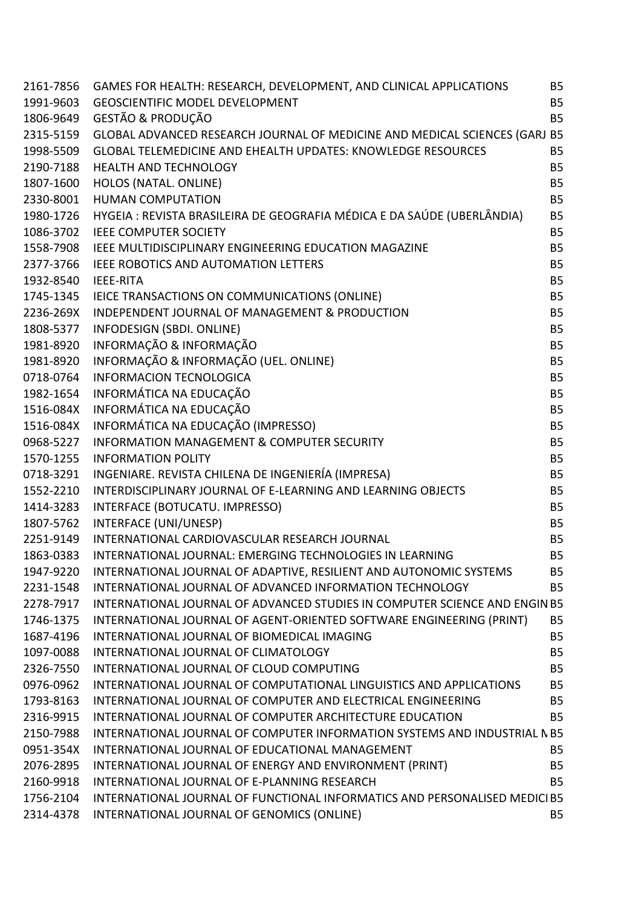|                     | 2161-7856 GAMES FOR HEALTH: RESEARCH, DEVELOPMENT, AND CLINICAL APPLICATIONS                            | <b>B5</b>      |
|---------------------|---------------------------------------------------------------------------------------------------------|----------------|
|                     | 1991-9603 GEOSCIENTIFIC MODEL DEVELOPMENT                                                               | <b>B5</b>      |
|                     | 1806-9649 GESTÃO & PRODUÇÃO                                                                             | <b>B5</b>      |
|                     | 2315-5159 GLOBAL ADVANCED RESEARCH JOURNAL OF MEDICINE AND MEDICAL SCIENCES (GARJ B5                    |                |
|                     | 1998-5509 GLOBAL TELEMEDICINE AND EHEALTH UPDATES: KNOWLEDGE RESOURCES                                  | <b>B5</b>      |
|                     | 2190-7188 HEALTH AND TECHNOLOGY                                                                         | <b>B5</b>      |
| 1807-1600           | HOLOS (NATAL. ONLINE)                                                                                   | <b>B5</b>      |
|                     | 2330-8001 HUMAN COMPUTATION                                                                             | <b>B5</b>      |
|                     | 1980-1726 HYGEIA : REVISTA BRASILEIRA DE GEOGRAFIA MÉDICA E DA SAÚDE (UBERLÂNDIA)                       | <b>B5</b>      |
|                     | 1086-3702 IEEE COMPUTER SOCIETY                                                                         | <b>B5</b>      |
|                     | 1558-7908 IEEE MULTIDISCIPLINARY ENGINEERING EDUCATION MAGAZINE                                         | <b>B5</b>      |
|                     | 2377-3766 IEEE ROBOTICS AND AUTOMATION LETTERS                                                          | <b>B5</b>      |
| 1932-8540 IEEE-RITA |                                                                                                         | <b>B5</b>      |
|                     | 1745-1345 IEICE TRANSACTIONS ON COMMUNICATIONS (ONLINE)                                                 | <b>B5</b>      |
| 2236-269X           | INDEPENDENT JOURNAL OF MANAGEMENT & PRODUCTION                                                          | <b>B5</b>      |
|                     | 1808-5377 INFODESIGN (SBDI. ONLINE)                                                                     | <b>B5</b>      |
| 1981-8920           | INFORMAÇÃO & INFORMAÇÃO                                                                                 | <b>B5</b>      |
|                     | 1981-8920 INFORMAÇÃO & INFORMAÇÃO (UEL. ONLINE)                                                         | <b>B5</b>      |
| 0718-0764           | <b>INFORMACION TECNOLOGICA</b>                                                                          | <b>B5</b>      |
|                     | 1982-1654 INFORMÁTICA NA EDUCAÇÃO                                                                       | <b>B5</b>      |
|                     | 1516-084X INFORMÁTICA NA EDUCAÇÃO                                                                       | <b>B5</b>      |
|                     | 1516-084X INFORMÁTICA NA EDUCAÇÃO (IMPRESSO)                                                            | <b>B5</b>      |
| 0968-5227           | <b>INFORMATION MANAGEMENT &amp; COMPUTER SECURITY</b>                                                   | <b>B5</b>      |
|                     | 1570-1255 INFORMATION POLITY                                                                            | <b>B5</b>      |
|                     | 0718-3291 INGENIARE. REVISTA CHILENA DE INGENIERÍA (IMPRESA)                                            | <b>B5</b>      |
|                     | 1552-2210 INTERDISCIPLINARY JOURNAL OF E-LEARNING AND LEARNING OBJECTS                                  | <b>B5</b>      |
| 1414-3283           | INTERFACE (BOTUCATU. IMPRESSO)                                                                          | <b>B5</b>      |
|                     | 1807-5762 INTERFACE (UNI/UNESP)                                                                         | <b>B5</b>      |
| 2251-9149           | INTERNATIONAL CARDIOVASCULAR RESEARCH JOURNAL                                                           | <b>B5</b>      |
| 1863-0383           | INTERNATIONAL JOURNAL: EMERGING TECHNOLOGIES IN LEARNING                                                | <b>B5</b>      |
| 1947-9220           | INTERNATIONAL JOURNAL OF ADAPTIVE, RESILIENT AND AUTONOMIC SYSTEMS                                      | B <sub>5</sub> |
| 2231-1548           | INTERNATIONAL JOURNAL OF ADVANCED INFORMATION TECHNOLOGY                                                | <b>B5</b>      |
| 2278-7917           | INTERNATIONAL JOURNAL OF ADVANCED STUDIES IN COMPUTER SCIENCE AND ENGIN B5                              |                |
| 1746-1375           | INTERNATIONAL JOURNAL OF AGENT-ORIENTED SOFTWARE ENGINEERING (PRINT)                                    | <b>B5</b>      |
| 1687-4196           | INTERNATIONAL JOURNAL OF BIOMEDICAL IMAGING                                                             | <b>B5</b>      |
| 1097-0088           | INTERNATIONAL JOURNAL OF CLIMATOLOGY                                                                    | <b>B5</b>      |
| 2326-7550           | INTERNATIONAL JOURNAL OF CLOUD COMPUTING                                                                | <b>B5</b>      |
| 0976-0962           | INTERNATIONAL JOURNAL OF COMPUTATIONAL LINGUISTICS AND APPLICATIONS                                     | <b>B5</b>      |
| 1793-8163           | INTERNATIONAL JOURNAL OF COMPUTER AND ELECTRICAL ENGINEERING                                            | B <sub>5</sub> |
| 2316-9915           | INTERNATIONAL JOURNAL OF COMPUTER ARCHITECTURE EDUCATION                                                | <b>B5</b>      |
| 2150-7988           | INTERNATIONAL JOURNAL OF COMPUTER INFORMATION SYSTEMS AND INDUSTRIAL N B5                               |                |
| 0951-354X           | INTERNATIONAL JOURNAL OF EDUCATIONAL MANAGEMENT                                                         | <b>B5</b>      |
| 2076-2895           |                                                                                                         | <b>B5</b>      |
| 2160-9918           | INTERNATIONAL JOURNAL OF ENERGY AND ENVIRONMENT (PRINT)<br>INTERNATIONAL JOURNAL OF E-PLANNING RESEARCH | <b>B5</b>      |
| 1756-2104           | INTERNATIONAL JOURNAL OF FUNCTIONAL INFORMATICS AND PERSONALISED MEDICI B5                              |                |
|                     |                                                                                                         | <b>B5</b>      |
|                     | 2314-4378 INTERNATIONAL JOURNAL OF GENOMICS (ONLINE)                                                    |                |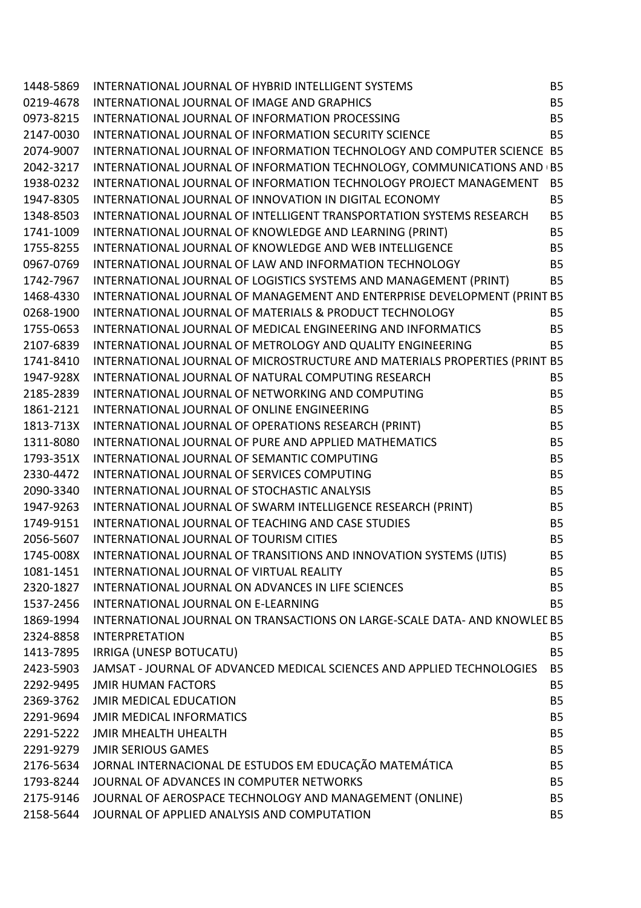| 0219-4678 INTERNATIONAL JOURNAL OF IMAGE AND GRAPHICS<br><b>B5</b><br><b>B5</b><br>0973-8215 INTERNATIONAL JOURNAL OF INFORMATION PROCESSING<br>2147-0030 INTERNATIONAL JOURNAL OF INFORMATION SECURITY SCIENCE<br><b>B5</b><br>2074-9007 INTERNATIONAL JOURNAL OF INFORMATION TECHNOLOGY AND COMPUTER SCIENCE B5<br>2042-3217 INTERNATIONAL JOURNAL OF INFORMATION TECHNOLOGY, COMMUNICATIONS AND (B5<br>1938-0232 INTERNATIONAL JOURNAL OF INFORMATION TECHNOLOGY PROJECT MANAGEMENT<br>B <sub>5</sub><br>1947-8305 INTERNATIONAL JOURNAL OF INNOVATION IN DIGITAL ECONOMY<br><b>B5</b><br>1348-8503 INTERNATIONAL JOURNAL OF INTELLIGENT TRANSPORTATION SYSTEMS RESEARCH<br><b>B5</b> |  |
|------------------------------------------------------------------------------------------------------------------------------------------------------------------------------------------------------------------------------------------------------------------------------------------------------------------------------------------------------------------------------------------------------------------------------------------------------------------------------------------------------------------------------------------------------------------------------------------------------------------------------------------------------------------------------------------|--|
|                                                                                                                                                                                                                                                                                                                                                                                                                                                                                                                                                                                                                                                                                          |  |
|                                                                                                                                                                                                                                                                                                                                                                                                                                                                                                                                                                                                                                                                                          |  |
|                                                                                                                                                                                                                                                                                                                                                                                                                                                                                                                                                                                                                                                                                          |  |
|                                                                                                                                                                                                                                                                                                                                                                                                                                                                                                                                                                                                                                                                                          |  |
|                                                                                                                                                                                                                                                                                                                                                                                                                                                                                                                                                                                                                                                                                          |  |
|                                                                                                                                                                                                                                                                                                                                                                                                                                                                                                                                                                                                                                                                                          |  |
|                                                                                                                                                                                                                                                                                                                                                                                                                                                                                                                                                                                                                                                                                          |  |
|                                                                                                                                                                                                                                                                                                                                                                                                                                                                                                                                                                                                                                                                                          |  |
| 1741-1009 INTERNATIONAL JOURNAL OF KNOWLEDGE AND LEARNING (PRINT)<br><b>B5</b>                                                                                                                                                                                                                                                                                                                                                                                                                                                                                                                                                                                                           |  |
| 1755-8255 INTERNATIONAL JOURNAL OF KNOWLEDGE AND WEB INTELLIGENCE<br><b>B5</b>                                                                                                                                                                                                                                                                                                                                                                                                                                                                                                                                                                                                           |  |
| 0967-0769 INTERNATIONAL JOURNAL OF LAW AND INFORMATION TECHNOLOGY<br><b>B5</b>                                                                                                                                                                                                                                                                                                                                                                                                                                                                                                                                                                                                           |  |
| 1742-7967 INTERNATIONAL JOURNAL OF LOGISTICS SYSTEMS AND MANAGEMENT (PRINT)<br><b>B5</b>                                                                                                                                                                                                                                                                                                                                                                                                                                                                                                                                                                                                 |  |
| 1468-4330 INTERNATIONAL JOURNAL OF MANAGEMENT AND ENTERPRISE DEVELOPMENT (PRINT B5                                                                                                                                                                                                                                                                                                                                                                                                                                                                                                                                                                                                       |  |
| 0268-1900 INTERNATIONAL JOURNAL OF MATERIALS & PRODUCT TECHNOLOGY<br><b>B5</b>                                                                                                                                                                                                                                                                                                                                                                                                                                                                                                                                                                                                           |  |
| 1755-0653 INTERNATIONAL JOURNAL OF MEDICAL ENGINEERING AND INFORMATICS<br><b>B5</b>                                                                                                                                                                                                                                                                                                                                                                                                                                                                                                                                                                                                      |  |
| 2107-6839 INTERNATIONAL JOURNAL OF METROLOGY AND QUALITY ENGINEERING<br><b>B5</b>                                                                                                                                                                                                                                                                                                                                                                                                                                                                                                                                                                                                        |  |
| 1741-8410 INTERNATIONAL JOURNAL OF MICROSTRUCTURE AND MATERIALS PROPERTIES (PRINT B5                                                                                                                                                                                                                                                                                                                                                                                                                                                                                                                                                                                                     |  |
| 1947-928X INTERNATIONAL JOURNAL OF NATURAL COMPUTING RESEARCH<br><b>B5</b>                                                                                                                                                                                                                                                                                                                                                                                                                                                                                                                                                                                                               |  |
| <b>B5</b>                                                                                                                                                                                                                                                                                                                                                                                                                                                                                                                                                                                                                                                                                |  |
| <b>AND CONFUTING</b><br>1813-713X INTERNATIONAL JOURNAL OF ONLINE ENGINEERING<br>1813-713X INTERNATIONAL JOURNAL OF OPERATIONS RESEARCH (PRINT)<br>1311-8080 INTERNATIONAL JOURNAL OF PURE AND APPLIED MATHEMATICS<br>1793-351X INTERNATION<br>B <sub>5</sub>                                                                                                                                                                                                                                                                                                                                                                                                                            |  |
| B <sub>5</sub>                                                                                                                                                                                                                                                                                                                                                                                                                                                                                                                                                                                                                                                                           |  |
| B <sub>5</sub>                                                                                                                                                                                                                                                                                                                                                                                                                                                                                                                                                                                                                                                                           |  |
| <b>B5</b>                                                                                                                                                                                                                                                                                                                                                                                                                                                                                                                                                                                                                                                                                |  |
| 2330-4472 INTERNATIONAL JOURNAL OF SERVICES COMPUTING<br>B <sub>5</sub>                                                                                                                                                                                                                                                                                                                                                                                                                                                                                                                                                                                                                  |  |
| 2090-3340 INTERNATIONAL JOURNAL OF STOCHASTIC ANALYSIS<br><b>B5</b>                                                                                                                                                                                                                                                                                                                                                                                                                                                                                                                                                                                                                      |  |
| 1947-9263 INTERNATIONAL JOURNAL OF SWARM INTELLIGENCE RESEARCH (PRINT)<br>1749-9151 INTERNATIONAL JOURNAL OF TEACHING AND CASE STUDIES<br>B <sub>5</sub>                                                                                                                                                                                                                                                                                                                                                                                                                                                                                                                                 |  |
| 1749-9151 INTERNATIONAL JOURNAL OF TEACHING AND CASE STUDIES<br>B <sub>5</sub>                                                                                                                                                                                                                                                                                                                                                                                                                                                                                                                                                                                                           |  |
| 2056-5607 INTERNATIONAL JOURNAL OF TOURISM CITIES<br><b>B5</b>                                                                                                                                                                                                                                                                                                                                                                                                                                                                                                                                                                                                                           |  |
| 1745-008X INTERNATIONAL JOURNAL OF TRANSITIONS AND INNOVATION SYSTEMS (IJTIS)<br><b>B5</b>                                                                                                                                                                                                                                                                                                                                                                                                                                                                                                                                                                                               |  |
| 1081-1451<br>INTERNATIONAL JOURNAL OF VIRTUAL REALITY<br><b>B5</b>                                                                                                                                                                                                                                                                                                                                                                                                                                                                                                                                                                                                                       |  |
| 2320-1827 INTERNATIONAL JOURNAL ON ADVANCES IN LIFE SCIENCES<br><b>B5</b>                                                                                                                                                                                                                                                                                                                                                                                                                                                                                                                                                                                                                |  |
| 1537-2456 INTERNATIONAL JOURNAL ON E-LEARNING<br><b>B5</b>                                                                                                                                                                                                                                                                                                                                                                                                                                                                                                                                                                                                                               |  |
| 1869-1994 INTERNATIONAL JOURNAL ON TRANSACTIONS ON LARGE-SCALE DATA- AND KNOWLEE B5                                                                                                                                                                                                                                                                                                                                                                                                                                                                                                                                                                                                      |  |
| 2324-8858 INTERPRETATION<br><b>B5</b>                                                                                                                                                                                                                                                                                                                                                                                                                                                                                                                                                                                                                                                    |  |
| 1413-7895 IRRIGA (UNESP BOTUCATU)<br><b>B5</b>                                                                                                                                                                                                                                                                                                                                                                                                                                                                                                                                                                                                                                           |  |
| 2423-5903 JAMSAT - JOURNAL OF ADVANCED MEDICAL SCIENCES AND APPLIED TECHNOLOGIES<br><b>B5</b>                                                                                                                                                                                                                                                                                                                                                                                                                                                                                                                                                                                            |  |
| 2292-9495 JMIR HUMAN FACTORS<br><b>B5</b>                                                                                                                                                                                                                                                                                                                                                                                                                                                                                                                                                                                                                                                |  |
| 2369-3762 JMIR MEDICAL EDUCATION<br><b>B5</b>                                                                                                                                                                                                                                                                                                                                                                                                                                                                                                                                                                                                                                            |  |
| 2291-9694 JMIR MEDICAL INFORMATICS<br><b>B5</b>                                                                                                                                                                                                                                                                                                                                                                                                                                                                                                                                                                                                                                          |  |
| 2291-5222 JMIR MHEALTH UHEALTH<br><b>B5</b>                                                                                                                                                                                                                                                                                                                                                                                                                                                                                                                                                                                                                                              |  |
| 2291-9279 JMIR SERIOUS GAMES<br><b>B5</b>                                                                                                                                                                                                                                                                                                                                                                                                                                                                                                                                                                                                                                                |  |
| 2176-5634 JORNAL INTERNACIONAL DE ESTUDOS EM EDUCAÇÃO MATEMÁTICA<br><b>B5</b>                                                                                                                                                                                                                                                                                                                                                                                                                                                                                                                                                                                                            |  |
| 1793-8244 JOURNAL OF ADVANCES IN COMPUTER NETWORKS<br><b>B5</b>                                                                                                                                                                                                                                                                                                                                                                                                                                                                                                                                                                                                                          |  |
| 2175-9146 JOURNAL OF AEROSPACE TECHNOLOGY AND MANAGEMENT (ONLINE)<br><b>B5</b>                                                                                                                                                                                                                                                                                                                                                                                                                                                                                                                                                                                                           |  |
|                                                                                                                                                                                                                                                                                                                                                                                                                                                                                                                                                                                                                                                                                          |  |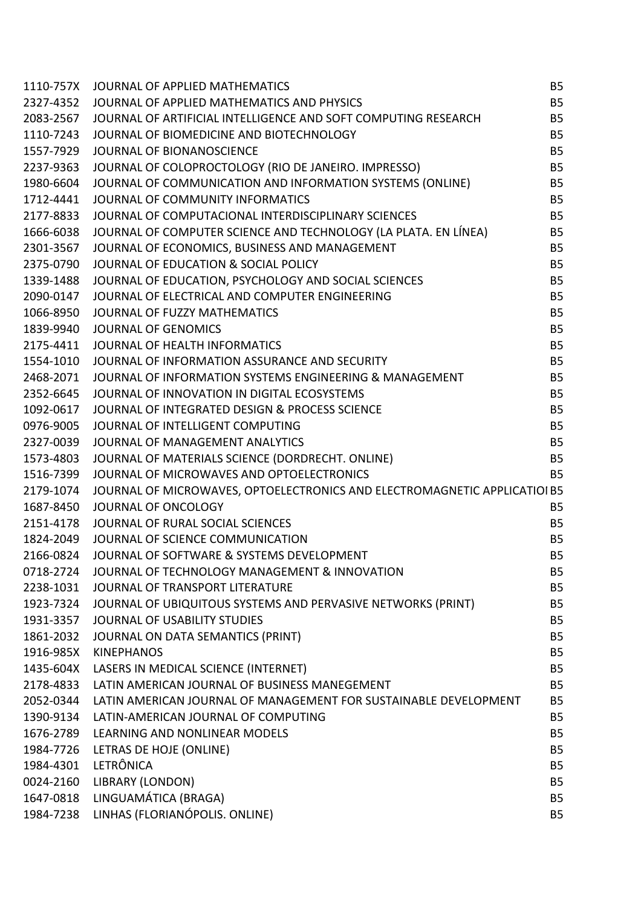| 1110-757X | JOURNAL OF APPLIED MATHEMATICS                                            | <b>B5</b> |
|-----------|---------------------------------------------------------------------------|-----------|
| 2327-4352 | JOURNAL OF APPLIED MATHEMATICS AND PHYSICS                                | <b>B5</b> |
| 2083-2567 | JOURNAL OF ARTIFICIAL INTELLIGENCE AND SOFT COMPUTING RESEARCH            | <b>B5</b> |
| 1110-7243 | JOURNAL OF BIOMEDICINE AND BIOTECHNOLOGY                                  | <b>B5</b> |
| 1557-7929 | JOURNAL OF BIONANOSCIENCE                                                 | <b>B5</b> |
| 2237-9363 | JOURNAL OF COLOPROCTOLOGY (RIO DE JANEIRO. IMPRESSO)                      | <b>B5</b> |
| 1980-6604 | JOURNAL OF COMMUNICATION AND INFORMATION SYSTEMS (ONLINE)                 | <b>B5</b> |
| 1712-4441 | JOURNAL OF COMMUNITY INFORMATICS                                          | <b>B5</b> |
| 2177-8833 | JOURNAL OF COMPUTACIONAL INTERDISCIPLINARY SCIENCES                       | <b>B5</b> |
| 1666-6038 | JOURNAL OF COMPUTER SCIENCE AND TECHNOLOGY (LA PLATA. EN LÍNEA)           | <b>B5</b> |
| 2301-3567 | JOURNAL OF ECONOMICS, BUSINESS AND MANAGEMENT                             | <b>B5</b> |
| 2375-0790 | JOURNAL OF EDUCATION & SOCIAL POLICY                                      | <b>B5</b> |
| 1339-1488 | JOURNAL OF EDUCATION, PSYCHOLOGY AND SOCIAL SCIENCES                      | <b>B5</b> |
| 2090-0147 | JOURNAL OF ELECTRICAL AND COMPUTER ENGINEERING                            | <b>B5</b> |
| 1066-8950 | JOURNAL OF FUZZY MATHEMATICS                                              | <b>B5</b> |
| 1839-9940 | <b>JOURNAL OF GENOMICS</b>                                                | <b>B5</b> |
| 2175-4411 | JOURNAL OF HEALTH INFORMATICS                                             | <b>B5</b> |
| 1554-1010 | JOURNAL OF INFORMATION ASSURANCE AND SECURITY                             | <b>B5</b> |
| 2468-2071 | JOURNAL OF INFORMATION SYSTEMS ENGINEERING & MANAGEMENT                   | <b>B5</b> |
| 2352-6645 | JOURNAL OF INNOVATION IN DIGITAL ECOSYSTEMS                               | <b>B5</b> |
| 1092-0617 | JOURNAL OF INTEGRATED DESIGN & PROCESS SCIENCE                            | <b>B5</b> |
| 0976-9005 | JOURNAL OF INTELLIGENT COMPUTING                                          | <b>B5</b> |
| 2327-0039 | JOURNAL OF MANAGEMENT ANALYTICS                                           | <b>B5</b> |
| 1573-4803 | JOURNAL OF MATERIALS SCIENCE (DORDRECHT. ONLINE)                          | <b>B5</b> |
| 1516-7399 | JOURNAL OF MICROWAVES AND OPTOELECTRONICS                                 | <b>B5</b> |
| 2179-1074 | JOURNAL OF MICROWAVES, OPTOELECTRONICS AND ELECTROMAGNETIC APPLICATIOI B5 |           |
| 1687-8450 | JOURNAL OF ONCOLOGY                                                       | <b>B5</b> |
| 2151-4178 | JOURNAL OF RURAL SOCIAL SCIENCES                                          | <b>B5</b> |
| 1824-2049 | JOURNAL OF SCIENCE COMMUNICATION                                          | <b>B5</b> |
| 2166-0824 | JOURNAL OF SOFTWARE & SYSTEMS DEVELOPMENT                                 | <b>B5</b> |
| 0718-2724 | JOURNAL OF TECHNOLOGY MANAGEMENT & INNOVATION                             | B5        |
| 2238-1031 | JOURNAL OF TRANSPORT LITERATURE                                           | <b>B5</b> |
| 1923-7324 | JOURNAL OF UBIQUITOUS SYSTEMS AND PERVASIVE NETWORKS (PRINT)              | <b>B5</b> |
| 1931-3357 | JOURNAL OF USABILITY STUDIES                                              | <b>B5</b> |
| 1861-2032 | JOURNAL ON DATA SEMANTICS (PRINT)                                         | <b>B5</b> |
| 1916-985X | <b>KINEPHANOS</b>                                                         | <b>B5</b> |
| 1435-604X | LASERS IN MEDICAL SCIENCE (INTERNET)                                      | <b>B5</b> |
| 2178-4833 | LATIN AMERICAN JOURNAL OF BUSINESS MANEGEMENT                             | <b>B5</b> |
| 2052-0344 | LATIN AMERICAN JOURNAL OF MANAGEMENT FOR SUSTAINABLE DEVELOPMENT          | <b>B5</b> |
| 1390-9134 | LATIN-AMERICAN JOURNAL OF COMPUTING                                       | <b>B5</b> |
| 1676-2789 | LEARNING AND NONLINEAR MODELS                                             | <b>B5</b> |
| 1984-7726 | LETRAS DE HOJE (ONLINE)                                                   | <b>B5</b> |
| 1984-4301 | <b>LETRÔNICA</b>                                                          | <b>B5</b> |
| 0024-2160 | <b>LIBRARY (LONDON)</b>                                                   | <b>B5</b> |
| 1647-0818 | LINGUAMÁTICA (BRAGA)                                                      | <b>B5</b> |
| 1984-7238 | LINHAS (FLORIANÓPOLIS. ONLINE)                                            | <b>B5</b> |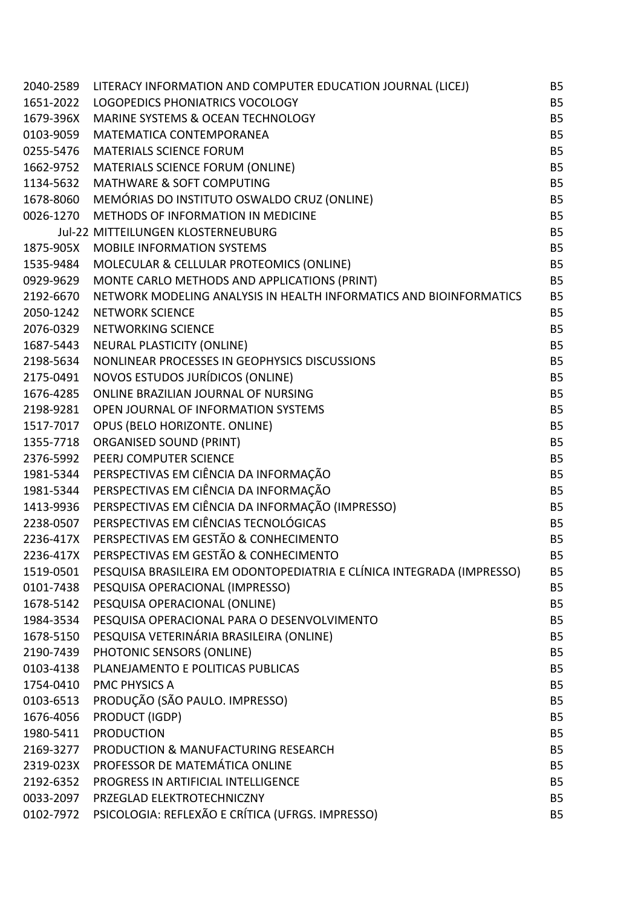| 2040-2589 | LITERACY INFORMATION AND COMPUTER EDUCATION JOURNAL (LICEJ)           | <b>B5</b>      |
|-----------|-----------------------------------------------------------------------|----------------|
| 1651-2022 | LOGOPEDICS PHONIATRICS VOCOLOGY                                       | <b>B5</b>      |
| 1679-396X | MARINE SYSTEMS & OCEAN TECHNOLOGY                                     | <b>B5</b>      |
| 0103-9059 | MATEMATICA CONTEMPORANEA                                              | <b>B5</b>      |
| 0255-5476 | <b>MATERIALS SCIENCE FORUM</b>                                        | <b>B5</b>      |
| 1662-9752 | MATERIALS SCIENCE FORUM (ONLINE)                                      | <b>B5</b>      |
| 1134-5632 | <b>MATHWARE &amp; SOFT COMPUTING</b>                                  | <b>B5</b>      |
| 1678-8060 | MEMÓRIAS DO INSTITUTO OSWALDO CRUZ (ONLINE)                           | <b>B5</b>      |
| 0026-1270 | METHODS OF INFORMATION IN MEDICINE                                    | <b>B5</b>      |
|           | Jul-22 MITTEILUNGEN KLOSTERNEUBURG                                    | <b>B5</b>      |
| 1875-905X | <b>MOBILE INFORMATION SYSTEMS</b>                                     | <b>B5</b>      |
| 1535-9484 | MOLECULAR & CELLULAR PROTEOMICS (ONLINE)                              | <b>B5</b>      |
| 0929-9629 | MONTE CARLO METHODS AND APPLICATIONS (PRINT)                          | <b>B5</b>      |
| 2192-6670 | NETWORK MODELING ANALYSIS IN HEALTH INFORMATICS AND BIOINFORMATICS    | <b>B5</b>      |
| 2050-1242 | <b>NETWORK SCIENCE</b>                                                | <b>B5</b>      |
| 2076-0329 | NETWORKING SCIENCE                                                    | <b>B5</b>      |
| 1687-5443 | NEURAL PLASTICITY (ONLINE)                                            | <b>B5</b>      |
| 2198-5634 | NONLINEAR PROCESSES IN GEOPHYSICS DISCUSSIONS                         | <b>B5</b>      |
| 2175-0491 | NOVOS ESTUDOS JURÍDICOS (ONLINE)                                      | <b>B5</b>      |
| 1676-4285 | ONLINE BRAZILIAN JOURNAL OF NURSING                                   | <b>B5</b>      |
| 2198-9281 | OPEN JOURNAL OF INFORMATION SYSTEMS                                   | <b>B5</b>      |
| 1517-7017 | OPUS (BELO HORIZONTE. ONLINE)                                         | <b>B5</b>      |
| 1355-7718 | <b>ORGANISED SOUND (PRINT)</b>                                        | <b>B5</b>      |
| 2376-5992 | PEERJ COMPUTER SCIENCE                                                | <b>B5</b>      |
| 1981-5344 | PERSPECTIVAS EM CIÊNCIA DA INFORMAÇÃO                                 | <b>B5</b>      |
| 1981-5344 | PERSPECTIVAS EM CIÊNCIA DA INFORMAÇÃO                                 | <b>B5</b>      |
| 1413-9936 | PERSPECTIVAS EM CIÊNCIA DA INFORMAÇÃO (IMPRESSO)                      | <b>B5</b>      |
| 2238-0507 | PERSPECTIVAS EM CIÊNCIAS TECNOLÓGICAS                                 | <b>B5</b>      |
| 2236-417X | PERSPECTIVAS EM GESTÃO & CONHECIMENTO                                 | <b>B5</b>      |
| 2236-417X | PERSPECTIVAS EM GESTÃO & CONHECIMENTO                                 | <b>B5</b>      |
| 1519-0501 | PESQUISA BRASILEIRA EM ODONTOPEDIATRIA E CLÍNICA INTEGRADA (IMPRESSO) | <b>B5</b>      |
| 0101-7438 | PESQUISA OPERACIONAL (IMPRESSO)                                       | <b>B5</b>      |
| 1678-5142 | PESQUISA OPERACIONAL (ONLINE)                                         | <b>B5</b>      |
| 1984-3534 | PESQUISA OPERACIONAL PARA O DESENVOLVIMENTO                           | <b>B5</b>      |
| 1678-5150 | PESQUISA VETERINÁRIA BRASILEIRA (ONLINE)                              | B <sub>5</sub> |
| 2190-7439 | PHOTONIC SENSORS (ONLINE)                                             | <b>B5</b>      |
| 0103-4138 | PLANEJAMENTO E POLITICAS PUBLICAS                                     | <b>B5</b>      |
| 1754-0410 | <b>PMC PHYSICS A</b>                                                  | <b>B5</b>      |
| 0103-6513 | PRODUÇÃO (SÃO PAULO. IMPRESSO)                                        | B <sub>5</sub> |
| 1676-4056 | PRODUCT (IGDP)                                                        | <b>B5</b>      |
| 1980-5411 | <b>PRODUCTION</b>                                                     | <b>B5</b>      |
| 2169-3277 | PRODUCTION & MANUFACTURING RESEARCH                                   | <b>B5</b>      |
| 2319-023X | PROFESSOR DE MATEMÁTICA ONLINE                                        | B <sub>5</sub> |
| 2192-6352 | PROGRESS IN ARTIFICIAL INTELLIGENCE                                   | <b>B5</b>      |
| 0033-2097 | PRZEGLAD ELEKTROTECHNICZNY                                            | <b>B5</b>      |
| 0102-7972 | PSICOLOGIA: REFLEXÃO E CRÍTICA (UFRGS. IMPRESSO)                      | <b>B5</b>      |
|           |                                                                       |                |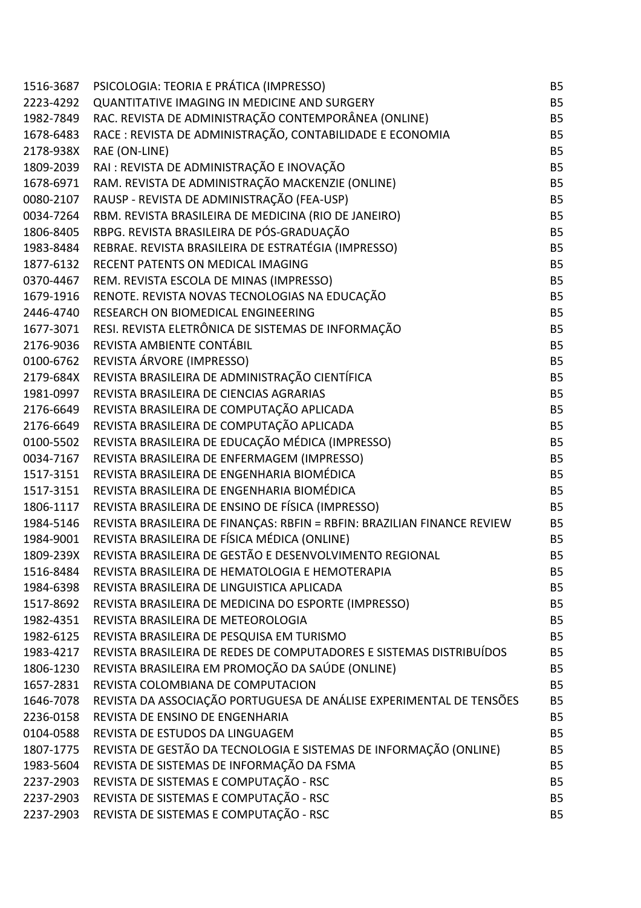| 1516-3687 | PSICOLOGIA: TEORIA E PRÁTICA (IMPRESSO)                                 | <b>B5</b> |
|-----------|-------------------------------------------------------------------------|-----------|
| 2223-4292 | QUANTITATIVE IMAGING IN MEDICINE AND SURGERY                            | <b>B5</b> |
| 1982-7849 | RAC. REVISTA DE ADMINISTRAÇÃO CONTEMPORÂNEA (ONLINE)                    | <b>B5</b> |
| 1678-6483 | RACE : REVISTA DE ADMINISTRAÇÃO, CONTABILIDADE E ECONOMIA               | <b>B5</b> |
| 2178-938X | RAE (ON-LINE)                                                           | <b>B5</b> |
| 1809-2039 | RAI : REVISTA DE ADMINISTRAÇÃO E INOVAÇÃO                               | <b>B5</b> |
| 1678-6971 | RAM. REVISTA DE ADMINISTRAÇÃO MACKENZIE (ONLINE)                        | <b>B5</b> |
| 0080-2107 | RAUSP - REVISTA DE ADMINISTRAÇÃO (FEA-USP)                              | <b>B5</b> |
| 0034-7264 | RBM. REVISTA BRASILEIRA DE MEDICINA (RIO DE JANEIRO)                    | <b>B5</b> |
| 1806-8405 | RBPG. REVISTA BRASILEIRA DE PÓS-GRADUAÇÃO                               | <b>B5</b> |
| 1983-8484 | REBRAE. REVISTA BRASILEIRA DE ESTRATÉGIA (IMPRESSO)                     | <b>B5</b> |
| 1877-6132 | RECENT PATENTS ON MEDICAL IMAGING                                       | <b>B5</b> |
| 0370-4467 | REM. REVISTA ESCOLA DE MINAS (IMPRESSO)                                 | <b>B5</b> |
| 1679-1916 | RENOTE. REVISTA NOVAS TECNOLOGIAS NA EDUCAÇÃO                           | <b>B5</b> |
| 2446-4740 | RESEARCH ON BIOMEDICAL ENGINEERING                                      | <b>B5</b> |
| 1677-3071 | RESI. REVISTA ELETRÔNICA DE SISTEMAS DE INFORMAÇÃO                      | <b>B5</b> |
| 2176-9036 | REVISTA AMBIENTE CONTÁBIL                                               | <b>B5</b> |
| 0100-6762 | REVISTA ÁRVORE (IMPRESSO)                                               | <b>B5</b> |
| 2179-684X | REVISTA BRASILEIRA DE ADMINISTRAÇÃO CIENTÍFICA                          | <b>B5</b> |
| 1981-0997 | REVISTA BRASILEIRA DE CIENCIAS AGRARIAS                                 | <b>B5</b> |
| 2176-6649 | REVISTA BRASILEIRA DE COMPUTAÇÃO APLICADA                               | <b>B5</b> |
| 2176-6649 | REVISTA BRASILEIRA DE COMPUTAÇÃO APLICADA                               | <b>B5</b> |
| 0100-5502 | REVISTA BRASILEIRA DE EDUCAÇÃO MÉDICA (IMPRESSO)                        | <b>B5</b> |
| 0034-7167 | REVISTA BRASILEIRA DE ENFERMAGEM (IMPRESSO)                             | <b>B5</b> |
| 1517-3151 | REVISTA BRASILEIRA DE ENGENHARIA BIOMÉDICA                              | <b>B5</b> |
| 1517-3151 | REVISTA BRASILEIRA DE ENGENHARIA BIOMÉDICA                              | <b>B5</b> |
| 1806-1117 | REVISTA BRASILEIRA DE ENSINO DE FÍSICA (IMPRESSO)                       | <b>B5</b> |
| 1984-5146 | REVISTA BRASILEIRA DE FINANÇAS: RBFIN = RBFIN: BRAZILIAN FINANCE REVIEW | <b>B5</b> |
| 1984-9001 | REVISTA BRASILEIRA DE FÍSICA MÉDICA (ONLINE)                            | <b>B5</b> |
| 1809-239X | REVISTA BRASILEIRA DE GESTÃO E DESENVOLVIMENTO REGIONAL                 | <b>B5</b> |
| 1516-8484 | REVISTA BRASILEIRA DE HEMATOLOGIA E HEMOTERAPIA                         | <b>B5</b> |
| 1984-6398 | REVISTA BRASILEIRA DE LINGUISTICA APLICADA                              | <b>B5</b> |
| 1517-8692 | REVISTA BRASILEIRA DE MEDICINA DO ESPORTE (IMPRESSO)                    | <b>B5</b> |
| 1982-4351 | REVISTA BRASILEIRA DE METEOROLOGIA                                      | <b>B5</b> |
| 1982-6125 | REVISTA BRASILEIRA DE PESQUISA EM TURISMO                               | <b>B5</b> |
| 1983-4217 | REVISTA BRASILEIRA DE REDES DE COMPUTADORES E SISTEMAS DISTRIBUÍDOS     | <b>B5</b> |
| 1806-1230 | REVISTA BRASILEIRA EM PROMOÇÃO DA SAÚDE (ONLINE)                        | <b>B5</b> |
| 1657-2831 | REVISTA COLOMBIANA DE COMPUTACION                                       | <b>B5</b> |
| 1646-7078 | REVISTA DA ASSOCIAÇÃO PORTUGUESA DE ANÁLISE EXPERIMENTAL DE TENSÕES     | <b>B5</b> |
| 2236-0158 | REVISTA DE ENSINO DE ENGENHARIA                                         | <b>B5</b> |
| 0104-0588 | REVISTA DE ESTUDOS DA LINGUAGEM                                         | <b>B5</b> |
| 1807-1775 | REVISTA DE GESTÃO DA TECNOLOGIA E SISTEMAS DE INFORMAÇÃO (ONLINE)       | <b>B5</b> |
| 1983-5604 | REVISTA DE SISTEMAS DE INFORMAÇÃO DA FSMA                               | <b>B5</b> |
| 2237-2903 | REVISTA DE SISTEMAS E COMPUTAÇÃO - RSC                                  | <b>B5</b> |
| 2237-2903 | REVISTA DE SISTEMAS E COMPUTAÇÃO - RSC                                  | <b>B5</b> |
| 2237-2903 | REVISTA DE SISTEMAS E COMPUTAÇÃO - RSC                                  | <b>B5</b> |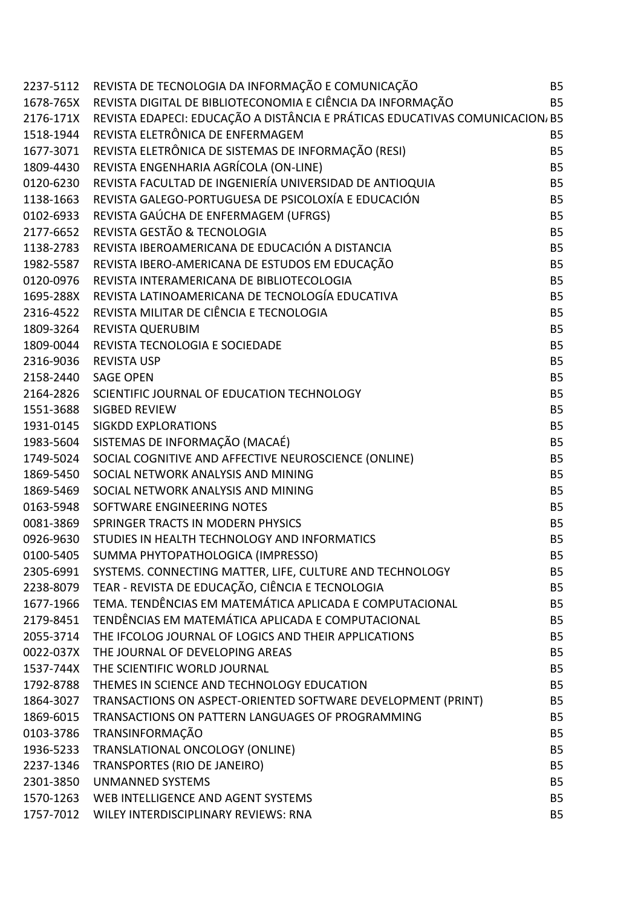|           | 2237-5112 REVISTA DE TECNOLOGIA DA INFORMAÇÃO E COMUNICAÇÃO                            | <b>B5</b> |
|-----------|----------------------------------------------------------------------------------------|-----------|
|           | 1678-765X REVISTA DIGITAL DE BIBLIOTECONOMIA E CIÊNCIA DA INFORMAÇÃO                   | <b>B5</b> |
|           | 2176-171X REVISTA EDAPECI: EDUCAÇÃO A DISTÂNCIA E PRÁTICAS EDUCATIVAS COMUNICACION, B5 |           |
|           | 1518-1944 REVISTA ELETRÔNICA DE ENFERMAGEM                                             | <b>B5</b> |
|           | 1677-3071 REVISTA ELETRÔNICA DE SISTEMAS DE INFORMAÇÃO (RESI)                          | <b>B5</b> |
|           | 1809-4430 REVISTA ENGENHARIA AGRÍCOLA (ON-LINE)                                        | <b>B5</b> |
| 0120-6230 | REVISTA FACULTAD DE INGENIERÍA UNIVERSIDAD DE ANTIOQUIA                                | <b>B5</b> |
| 1138-1663 | REVISTA GALEGO-PORTUGUESA DE PSICOLOXÍA E EDUCACIÓN                                    | <b>B5</b> |
|           | 0102-6933 REVISTA GAÚCHA DE ENFERMAGEM (UFRGS)                                         | <b>B5</b> |
|           | 2177-6652 REVISTA GESTÃO & TECNOLOGIA                                                  | <b>B5</b> |
| 1138-2783 | REVISTA IBEROAMERICANA DE EDUCACIÓN A DISTANCIA                                        | <b>B5</b> |
| 1982-5587 | REVISTA IBERO-AMERICANA DE ESTUDOS EM EDUCAÇÃO                                         | <b>B5</b> |
|           | 0120-0976 REVISTA INTERAMERICANA DE BIBLIOTECOLOGIA                                    | <b>B5</b> |
|           | 1695-288X REVISTA LATINOAMERICANA DE TECNOLOGÍA EDUCATIVA                              | <b>B5</b> |
|           | 2316-4522 REVISTA MILITAR DE CIÊNCIA E TECNOLOGIA                                      | <b>B5</b> |
|           | 1809-3264 REVISTA QUERUBIM                                                             | <b>B5</b> |
|           | 1809-0044 REVISTA TECNOLOGIA E SOCIEDADE                                               | <b>B5</b> |
|           | 2316-9036 REVISTA USP                                                                  | <b>B5</b> |
| 2158-2440 | <b>SAGE OPEN</b>                                                                       | <b>B5</b> |
|           | 2164-2826 SCIENTIFIC JOURNAL OF EDUCATION TECHNOLOGY                                   | <b>B5</b> |
|           | 1551-3688 SIGBED REVIEW                                                                | <b>B5</b> |
|           | 1931-0145 SIGKDD EXPLORATIONS                                                          | <b>B5</b> |
| 1983-5604 | SISTEMAS DE INFORMAÇÃO (MACAÉ)                                                         | <b>B5</b> |
|           | 1749-5024 SOCIAL COGNITIVE AND AFFECTIVE NEUROSCIENCE (ONLINE)                         | <b>B5</b> |
|           | 1869-5450 SOCIAL NETWORK ANALYSIS AND MINING                                           | <b>B5</b> |
| 1869-5469 | SOCIAL NETWORK ANALYSIS AND MINING                                                     | <b>B5</b> |
| 0163-5948 | SOFTWARE ENGINEERING NOTES                                                             | <b>B5</b> |
|           | 0081-3869 SPRINGER TRACTS IN MODERN PHYSICS                                            | <b>B5</b> |
| 0926-9630 | STUDIES IN HEALTH TECHNOLOGY AND INFORMATICS                                           | <b>B5</b> |
| 0100-5405 | SUMMA PHYTOPATHOLOGICA (IMPRESSO)                                                      | <b>B5</b> |
|           | 2305-6991 SYSTEMS. CONNECTING MATTER, LIFE, CULTURE AND TECHNOLOGY                     | <b>B5</b> |
| 2238-8079 | TEAR - REVISTA DE EDUCAÇÃO, CIÊNCIA E TECNOLOGIA                                       | <b>B5</b> |
| 1677-1966 | TEMA. TENDÊNCIAS EM MATEMÁTICA APLICADA E COMPUTACIONAL                                | <b>B5</b> |
| 2179-8451 | TENDÊNCIAS EM MATEMÁTICA APLICADA E COMPUTACIONAL                                      | <b>B5</b> |
| 2055-3714 | THE IFCOLOG JOURNAL OF LOGICS AND THEIR APPLICATIONS                                   | <b>B5</b> |
| 0022-037X | THE JOURNAL OF DEVELOPING AREAS                                                        | <b>B5</b> |
| 1537-744X | THE SCIENTIFIC WORLD JOURNAL                                                           | <b>B5</b> |
| 1792-8788 | THEMES IN SCIENCE AND TECHNOLOGY EDUCATION                                             | <b>B5</b> |
| 1864-3027 | TRANSACTIONS ON ASPECT-ORIENTED SOFTWARE DEVELOPMENT (PRINT)                           | <b>B5</b> |
| 1869-6015 | TRANSACTIONS ON PATTERN LANGUAGES OF PROGRAMMING                                       | <b>B5</b> |
| 0103-3786 | TRANSINFORMAÇÃO                                                                        | <b>B5</b> |
| 1936-5233 | TRANSLATIONAL ONCOLOGY (ONLINE)                                                        | <b>B5</b> |
| 2237-1346 | TRANSPORTES (RIO DE JANEIRO)                                                           | <b>B5</b> |
| 2301-3850 | <b>UNMANNED SYSTEMS</b>                                                                | <b>B5</b> |
| 1570-1263 | WEB INTELLIGENCE AND AGENT SYSTEMS                                                     | <b>B5</b> |
|           | 1757-7012 WILEY INTERDISCIPLINARY REVIEWS: RNA                                         | <b>B5</b> |
|           |                                                                                        |           |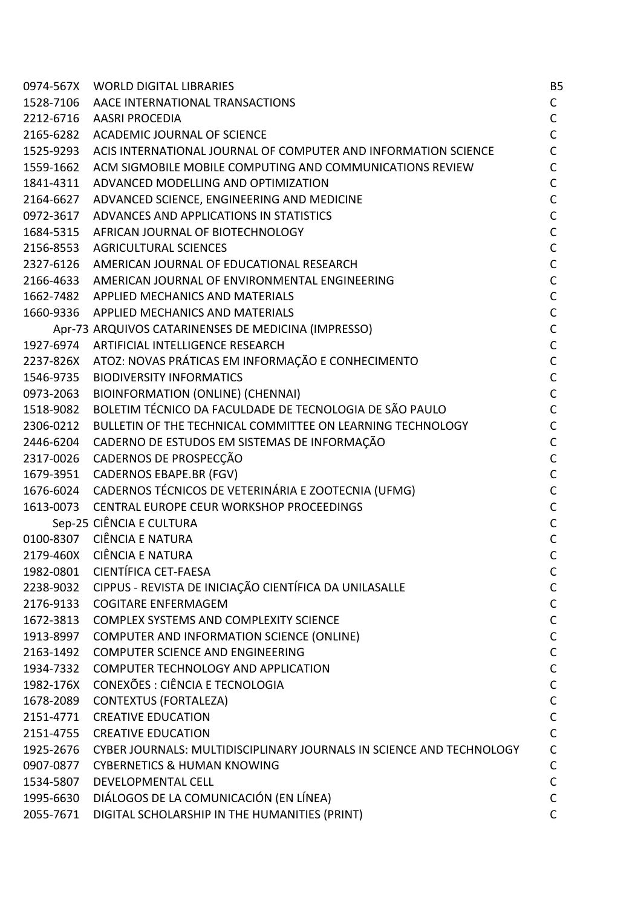|           | 0974-567X WORLD DIGITAL LIBRARIES                                    | B <sub>5</sub> |
|-----------|----------------------------------------------------------------------|----------------|
|           | 1528-7106 AACE INTERNATIONAL TRANSACTIONS                            | $\mathsf{C}$   |
|           | 2212-6716 AASRI PROCEDIA                                             | $\mathsf C$    |
| 2165-6282 | <b>ACADEMIC JOURNAL OF SCIENCE</b>                                   | $\mathsf C$    |
| 1525-9293 | ACIS INTERNATIONAL JOURNAL OF COMPUTER AND INFORMATION SCIENCE       | $\mathsf C$    |
| 1559-1662 | ACM SIGMOBILE MOBILE COMPUTING AND COMMUNICATIONS REVIEW             | $\mathsf C$    |
| 1841-4311 | ADVANCED MODELLING AND OPTIMIZATION                                  | $\mathsf C$    |
| 2164-6627 | ADVANCED SCIENCE, ENGINEERING AND MEDICINE                           | $\mathsf C$    |
| 0972-3617 | ADVANCES AND APPLICATIONS IN STATISTICS                              | $\mathsf C$    |
| 1684-5315 | AFRICAN JOURNAL OF BIOTECHNOLOGY                                     | $\mathsf C$    |
| 2156-8553 | <b>AGRICULTURAL SCIENCES</b>                                         | $\mathsf{C}$   |
| 2327-6126 | AMERICAN JOURNAL OF EDUCATIONAL RESEARCH                             | $\mathsf C$    |
| 2166-4633 | AMERICAN JOURNAL OF ENVIRONMENTAL ENGINEERING                        | $\mathsf C$    |
|           | 1662-7482 APPLIED MECHANICS AND MATERIALS                            | $\mathsf C$    |
|           | 1660-9336 APPLIED MECHANICS AND MATERIALS                            | $\mathsf C$    |
|           | Apr-73 ARQUIVOS CATARINENSES DE MEDICINA (IMPRESSO)                  | $\mathsf C$    |
|           | 1927-6974 ARTIFICIAL INTELLIGENCE RESEARCH                           | $\mathsf C$    |
|           | 2237-826X ATOZ: NOVAS PRÁTICAS EM INFORMAÇÃO E CONHECIMENTO          | $\mathsf C$    |
| 1546-9735 | <b>BIODIVERSITY INFORMATICS</b>                                      | $\mathsf C$    |
| 0973-2063 | <b>BIOINFORMATION (ONLINE) (CHENNAI)</b>                             | $\mathsf C$    |
| 1518-9082 | BOLETIM TÉCNICO DA FACULDADE DE TECNOLOGIA DE SÃO PAULO              | $\mathsf{C}$   |
| 2306-0212 | BULLETIN OF THE TECHNICAL COMMITTEE ON LEARNING TECHNOLOGY           | $\mathsf C$    |
| 2446-6204 | CADERNO DE ESTUDOS EM SISTEMAS DE INFORMAÇÃO                         | $\mathsf C$    |
| 2317-0026 | CADERNOS DE PROSPECÇÃO                                               | $\mathsf C$    |
| 1679-3951 | CADERNOS EBAPE.BR (FGV)                                              | $\mathsf C$    |
| 1676-6024 | CADERNOS TÉCNICOS DE VETERINÁRIA E ZOOTECNIA (UFMG)                  | $\mathsf C$    |
| 1613-0073 | CENTRAL EUROPE CEUR WORKSHOP PROCEEDINGS                             | $\mathsf C$    |
|           | Sep-25 CIÊNCIA E CULTURA                                             | $\mathsf C$    |
|           | 0100-8307 CIÊNCIA E NATURA                                           | $\mathsf C$    |
| 2179-460X | <b>CIÊNCIA E NATURA</b>                                              | $\mathsf{C}$   |
| 1982-0801 | CIENTÍFICA CET-FAESA                                                 | C              |
| 2238-9032 | CIPPUS - REVISTA DE INICIAÇÃO CIENTÍFICA DA UNILASALLE               | C              |
| 2176-9133 | <b>COGITARE ENFERMAGEM</b>                                           | $\mathsf C$    |
| 1672-3813 | <b>COMPLEX SYSTEMS AND COMPLEXITY SCIENCE</b>                        | $\mathsf C$    |
| 1913-8997 | COMPUTER AND INFORMATION SCIENCE (ONLINE)                            | $\mathsf C$    |
| 2163-1492 | COMPUTER SCIENCE AND ENGINEERING                                     | $\mathsf C$    |
| 1934-7332 | COMPUTER TECHNOLOGY AND APPLICATION                                  | $\mathsf C$    |
| 1982-176X | CONEXÕES : CIÊNCIA E TECNOLOGIA                                      | $\mathsf C$    |
| 1678-2089 | <b>CONTEXTUS (FORTALEZA)</b>                                         | $\mathsf C$    |
| 2151-4771 | <b>CREATIVE EDUCATION</b>                                            | $\mathsf C$    |
| 2151-4755 | <b>CREATIVE EDUCATION</b>                                            | $\mathsf C$    |
| 1925-2676 | CYBER JOURNALS: MULTIDISCIPLINARY JOURNALS IN SCIENCE AND TECHNOLOGY | $\mathsf C$    |
| 0907-0877 | <b>CYBERNETICS &amp; HUMAN KNOWING</b>                               | $\mathsf C$    |
| 1534-5807 | DEVELOPMENTAL CELL                                                   | $\mathsf C$    |
| 1995-6630 | DIÁLOGOS DE LA COMUNICACIÓN (EN LÍNEA)                               | $\mathsf C$    |
| 2055-7671 | DIGITAL SCHOLARSHIP IN THE HUMANITIES (PRINT)                        | $\mathsf{C}$   |
|           |                                                                      |                |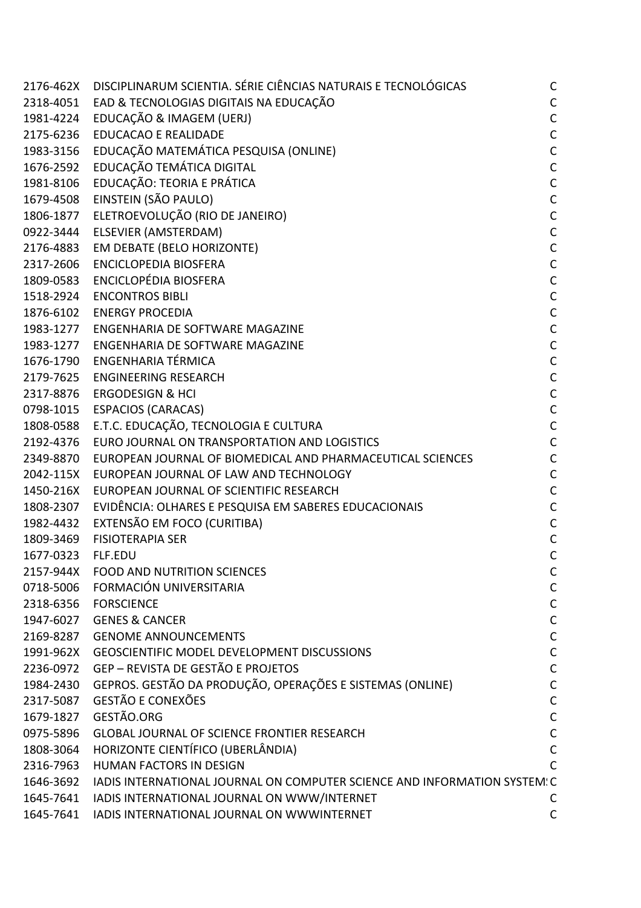| 2176-462X | DISCIPLINARUM SCIENTIA. SÉRIE CIÊNCIAS NATURAIS E TECNOLÓGICAS            | $\mathsf{C}$ |
|-----------|---------------------------------------------------------------------------|--------------|
| 2318-4051 | EAD & TECNOLOGIAS DIGITAIS NA EDUCAÇÃO                                    | $\mathsf C$  |
| 1981-4224 | EDUCAÇÃO & IMAGEM (UERJ)                                                  | $\mathsf C$  |
| 2175-6236 | <b>EDUCACAO E REALIDADE</b>                                               | $\mathsf{C}$ |
| 1983-3156 | EDUCAÇÃO MATEMÁTICA PESQUISA (ONLINE)                                     | $\mathsf{C}$ |
| 1676-2592 | EDUCAÇÃO TEMÁTICA DIGITAL                                                 | $\mathsf{C}$ |
| 1981-8106 | EDUCAÇÃO: TEORIA E PRÁTICA                                                | $\mathsf{C}$ |
| 1679-4508 | EINSTEIN (SÃO PAULO)                                                      | $\mathsf C$  |
| 1806-1877 | ELETROEVOLUÇÃO (RIO DE JANEIRO)                                           | $\mathsf{C}$ |
| 0922-3444 | ELSEVIER (AMSTERDAM)                                                      | $\mathsf{C}$ |
| 2176-4883 | EM DEBATE (BELO HORIZONTE)                                                | $\mathsf{C}$ |
| 2317-2606 | <b>ENCICLOPEDIA BIOSFERA</b>                                              | $\mathsf C$  |
| 1809-0583 | <b>ENCICLOPÉDIA BIOSFERA</b>                                              | $\mathsf{C}$ |
| 1518-2924 | <b>ENCONTROS BIBLI</b>                                                    | $\mathsf{C}$ |
| 1876-6102 | <b>ENERGY PROCEDIA</b>                                                    | $\mathsf{C}$ |
| 1983-1277 | ENGENHARIA DE SOFTWARE MAGAZINE                                           | $\mathsf C$  |
| 1983-1277 | ENGENHARIA DE SOFTWARE MAGAZINE                                           | $\mathsf{C}$ |
| 1676-1790 | <b>ENGENHARIA TÉRMICA</b>                                                 | $\mathsf{C}$ |
| 2179-7625 | <b>ENGINEERING RESEARCH</b>                                               | $\mathsf{C}$ |
| 2317-8876 | <b>ERGODESIGN &amp; HCI</b>                                               | $\mathsf C$  |
| 0798-1015 | <b>ESPACIOS (CARACAS)</b>                                                 | $\mathsf{C}$ |
| 1808-0588 | E.T.C. EDUCAÇÃO, TECNOLOGIA E CULTURA                                     | $\mathsf C$  |
| 2192-4376 | EURO JOURNAL ON TRANSPORTATION AND LOGISTICS                              | $\mathsf{C}$ |
| 2349-8870 | EUROPEAN JOURNAL OF BIOMEDICAL AND PHARMACEUTICAL SCIENCES                | $\mathsf C$  |
| 2042-115X | EUROPEAN JOURNAL OF LAW AND TECHNOLOGY                                    | $\mathsf C$  |
| 1450-216X | EUROPEAN JOURNAL OF SCIENTIFIC RESEARCH                                   | $\mathsf C$  |
| 1808-2307 | EVIDÊNCIA: OLHARES E PESQUISA EM SABERES EDUCACIONAIS                     | $\mathsf{C}$ |
| 1982-4432 | EXTENSÃO EM FOCO (CURITIBA)                                               | $\mathsf C$  |
| 1809-3469 | <b>FISIOTERAPIA SER</b>                                                   | $\mathsf{C}$ |
| 1677-0323 | FLF.EDU                                                                   | $\mathsf{C}$ |
| 2157-944X | <b>FOOD AND NUTRITION SCIENCES</b>                                        | C            |
| 0718-5006 | FORMACIÓN UNIVERSITARIA                                                   | $\mathsf C$  |
| 2318-6356 | <b>FORSCIENCE</b>                                                         | $\mathsf C$  |
| 1947-6027 | <b>GENES &amp; CANCER</b>                                                 | $\mathsf C$  |
| 2169-8287 | <b>GENOME ANNOUNCEMENTS</b>                                               | $\mathsf C$  |
| 1991-962X | <b>GEOSCIENTIFIC MODEL DEVELOPMENT DISCUSSIONS</b>                        | $\mathsf C$  |
| 2236-0972 | GEP - REVISTA DE GESTÃO E PROJETOS                                        | $\mathsf C$  |
| 1984-2430 | GEPROS. GESTÃO DA PRODUÇÃO, OPERAÇÕES E SISTEMAS (ONLINE)                 | $\mathsf C$  |
| 2317-5087 | <b>GESTÃO E CONEXÕES</b>                                                  | $\mathsf C$  |
| 1679-1827 | GESTÃO.ORG                                                                | $\mathsf C$  |
| 0975-5896 | GLOBAL JOURNAL OF SCIENCE FRONTIER RESEARCH                               | $\mathsf C$  |
| 1808-3064 | HORIZONTE CIENTÍFICO (UBERLÂNDIA)                                         | $\mathsf{C}$ |
| 2316-7963 | HUMAN FACTORS IN DESIGN                                                   | $\mathsf{C}$ |
| 1646-3692 | IADIS INTERNATIONAL JOURNAL ON COMPUTER SCIENCE AND INFORMATION SYSTEM! C |              |
| 1645-7641 | IADIS INTERNATIONAL JOURNAL ON WWW/INTERNET                               | C            |
| 1645-7641 | IADIS INTERNATIONAL JOURNAL ON WWWINTERNET                                | $\mathsf{C}$ |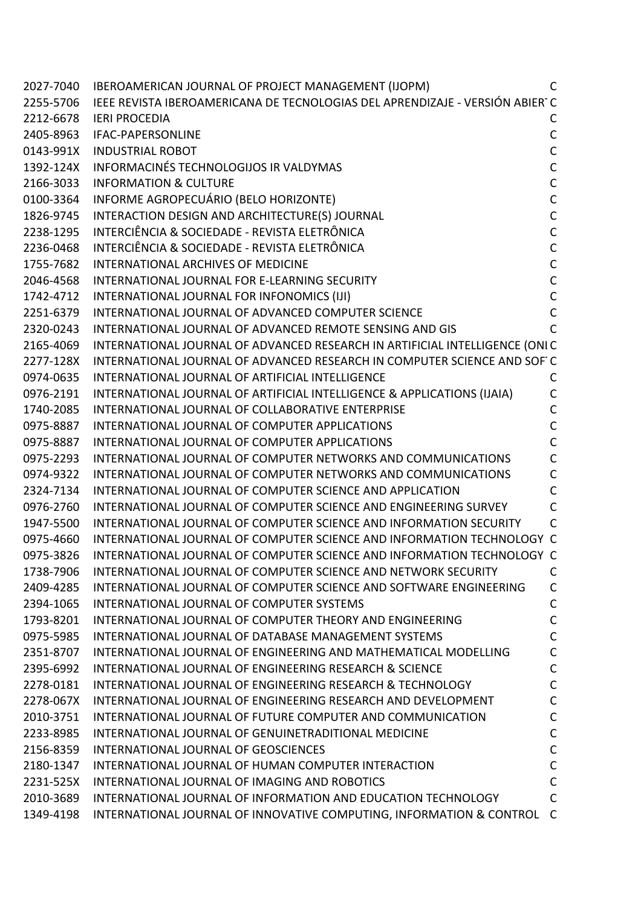|           | 2027-7040 IBEROAMERICAN JOURNAL OF PROJECT MANAGEMENT (IJOPM)                          | C |
|-----------|----------------------------------------------------------------------------------------|---|
|           | 2255-5706 IEEE REVISTA IBEROAMERICANA DE TECNOLOGIAS DEL APRENDIZAJE - VERSIÓN ABIER C |   |
| 2212-6678 | <b>IERI PROCEDIA</b>                                                                   | C |
| 2405-8963 | IFAC-PAPERSONLINE                                                                      | С |
|           | 0143-991X INDUSTRIAL ROBOT                                                             | C |
|           | 1392-124X INFORMACINÉS TECHNOLOGIJOS IR VALDYMAS                                       | С |
| 2166-3033 | <b>INFORMATION &amp; CULTURE</b>                                                       | С |
| 0100-3364 | INFORME AGROPECUÁRIO (BELO HORIZONTE)                                                  | С |
| 1826-9745 | INTERACTION DESIGN AND ARCHITECTURE(S) JOURNAL                                         | C |
| 2238-1295 | INTERCIÊNCIA & SOCIEDADE - REVISTA ELETRÔNICA                                          | C |
| 2236-0468 | INTERCIÊNCIA & SOCIEDADE - REVISTA ELETRÔNICA                                          | C |
| 1755-7682 | INTERNATIONAL ARCHIVES OF MEDICINE                                                     | С |
| 2046-4568 | INTERNATIONAL JOURNAL FOR E-LEARNING SECURITY                                          | C |
|           | 1742-4712 INTERNATIONAL JOURNAL FOR INFONOMICS (IJI)                                   | C |
| 2251-6379 | INTERNATIONAL JOURNAL OF ADVANCED COMPUTER SCIENCE                                     | C |
| 2320-0243 | INTERNATIONAL JOURNAL OF ADVANCED REMOTE SENSING AND GIS                               |   |
| 2165-4069 | INTERNATIONAL JOURNAL OF ADVANCED RESEARCH IN ARTIFICIAL INTELLIGENCE (ONIC            |   |
| 2277-128X | INTERNATIONAL JOURNAL OF ADVANCED RESEARCH IN COMPUTER SCIENCE AND SOF C               |   |
| 0974-0635 | INTERNATIONAL JOURNAL OF ARTIFICIAL INTELLIGENCE                                       | С |
| 0976-2191 | INTERNATIONAL JOURNAL OF ARTIFICIAL INTELLIGENCE & APPLICATIONS (IJAIA)                | С |
| 1740-2085 | INTERNATIONAL JOURNAL OF COLLABORATIVE ENTERPRISE                                      | С |
| 0975-8887 | INTERNATIONAL JOURNAL OF COMPUTER APPLICATIONS                                         | С |
| 0975-8887 | INTERNATIONAL JOURNAL OF COMPUTER APPLICATIONS                                         | C |
| 0975-2293 | INTERNATIONAL JOURNAL OF COMPUTER NETWORKS AND COMMUNICATIONS                          | С |
| 0974-9322 | INTERNATIONAL JOURNAL OF COMPUTER NETWORKS AND COMMUNICATIONS                          | С |
| 2324-7134 | INTERNATIONAL JOURNAL OF COMPUTER SCIENCE AND APPLICATION                              | С |
| 0976-2760 | INTERNATIONAL JOURNAL OF COMPUTER SCIENCE AND ENGINEERING SURVEY                       | C |
| 1947-5500 | INTERNATIONAL JOURNAL OF COMPUTER SCIENCE AND INFORMATION SECURITY                     | C |
| 0975-4660 | INTERNATIONAL JOURNAL OF COMPUTER SCIENCE AND INFORMATION TECHNOLOGY C                 |   |
| 0975-3826 | INTERNATIONAL JOURNAL OF COMPUTER SCIENCE AND INFORMATION TECHNOLOGY C                 |   |
| 1738-7906 | INTERNATIONAL JOURNAL OF COMPUTER SCIENCE AND NETWORK SECURITY                         | C |
| 2409-4285 | INTERNATIONAL JOURNAL OF COMPUTER SCIENCE AND SOFTWARE ENGINEERING                     | C |
| 2394-1065 | INTERNATIONAL JOURNAL OF COMPUTER SYSTEMS                                              | С |
| 1793-8201 | INTERNATIONAL JOURNAL OF COMPUTER THEORY AND ENGINEERING                               | С |
| 0975-5985 | INTERNATIONAL JOURNAL OF DATABASE MANAGEMENT SYSTEMS                                   | C |
| 2351-8707 | INTERNATIONAL JOURNAL OF ENGINEERING AND MATHEMATICAL MODELLING                        | C |
| 2395-6992 | <b>INTERNATIONAL JOURNAL OF ENGINEERING RESEARCH &amp; SCIENCE</b>                     | C |
| 2278-0181 | INTERNATIONAL JOURNAL OF ENGINEERING RESEARCH & TECHNOLOGY                             | С |
| 2278-067X | INTERNATIONAL JOURNAL OF ENGINEERING RESEARCH AND DEVELOPMENT                          | C |
| 2010-3751 | INTERNATIONAL JOURNAL OF FUTURE COMPUTER AND COMMUNICATION                             | C |
| 2233-8985 | INTERNATIONAL JOURNAL OF GENUINETRADITIONAL MEDICINE                                   | C |
| 2156-8359 | INTERNATIONAL JOURNAL OF GEOSCIENCES                                                   | C |
| 2180-1347 | INTERNATIONAL JOURNAL OF HUMAN COMPUTER INTERACTION                                    | C |
| 2231-525X | INTERNATIONAL JOURNAL OF IMAGING AND ROBOTICS                                          | C |
| 2010-3689 | INTERNATIONAL JOURNAL OF INFORMATION AND EDUCATION TECHNOLOGY                          | C |
| 1349-4198 | INTERNATIONAL JOURNAL OF INNOVATIVE COMPUTING, INFORMATION & CONTROL C                 |   |
|           |                                                                                        |   |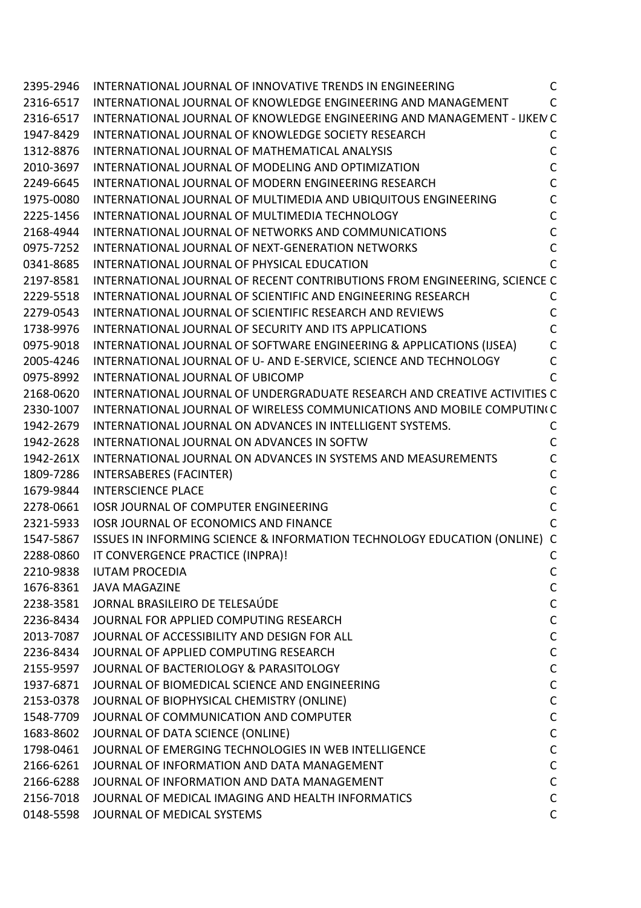| 2395-2946 | INTERNATIONAL JOURNAL OF INNOVATIVE TRENDS IN ENGINEERING                 | $\mathsf{C}$ |
|-----------|---------------------------------------------------------------------------|--------------|
| 2316-6517 | INTERNATIONAL JOURNAL OF KNOWLEDGE ENGINEERING AND MANAGEMENT             | $\mathsf{C}$ |
| 2316-6517 | INTERNATIONAL JOURNAL OF KNOWLEDGE ENGINEERING AND MANAGEMENT - IJKEN C   |              |
| 1947-8429 | INTERNATIONAL JOURNAL OF KNOWLEDGE SOCIETY RESEARCH                       | C            |
| 1312-8876 | INTERNATIONAL JOURNAL OF MATHEMATICAL ANALYSIS                            | C            |
| 2010-3697 | INTERNATIONAL JOURNAL OF MODELING AND OPTIMIZATION                        | $\mathsf{C}$ |
| 2249-6645 | INTERNATIONAL JOURNAL OF MODERN ENGINEERING RESEARCH                      | C            |
| 1975-0080 | INTERNATIONAL JOURNAL OF MULTIMEDIA AND UBIQUITOUS ENGINEERING            | C            |
| 2225-1456 | INTERNATIONAL JOURNAL OF MULTIMEDIA TECHNOLOGY                            | C            |
| 2168-4944 | INTERNATIONAL JOURNAL OF NETWORKS AND COMMUNICATIONS                      | C            |
| 0975-7252 | INTERNATIONAL JOURNAL OF NEXT-GENERATION NETWORKS                         | $\mathsf{C}$ |
| 0341-8685 | INTERNATIONAL JOURNAL OF PHYSICAL EDUCATION                               | C            |
| 2197-8581 | INTERNATIONAL JOURNAL OF RECENT CONTRIBUTIONS FROM ENGINEERING, SCIENCE C |              |
| 2229-5518 | INTERNATIONAL JOURNAL OF SCIENTIFIC AND ENGINEERING RESEARCH              | C            |
| 2279-0543 | INTERNATIONAL JOURNAL OF SCIENTIFIC RESEARCH AND REVIEWS                  | C            |
| 1738-9976 | INTERNATIONAL JOURNAL OF SECURITY AND ITS APPLICATIONS                    | C            |
| 0975-9018 | INTERNATIONAL JOURNAL OF SOFTWARE ENGINEERING & APPLICATIONS (IJSEA)      | C            |
| 2005-4246 | INTERNATIONAL JOURNAL OF U- AND E-SERVICE, SCIENCE AND TECHNOLOGY         | C            |
| 0975-8992 | INTERNATIONAL JOURNAL OF UBICOMP                                          |              |
| 2168-0620 | INTERNATIONAL JOURNAL OF UNDERGRADUATE RESEARCH AND CREATIVE ACTIVITIES C |              |
| 2330-1007 | INTERNATIONAL JOURNAL OF WIRELESS COMMUNICATIONS AND MOBILE COMPUTIN(C)   |              |
| 1942-2679 | INTERNATIONAL JOURNAL ON ADVANCES IN INTELLIGENT SYSTEMS.                 | С            |
| 1942-2628 | INTERNATIONAL JOURNAL ON ADVANCES IN SOFTW                                | C            |
| 1942-261X | <b>INTERNATIONAL JOURNAL ON ADVANCES IN SYSTEMS AND MEASUREMENTS</b>      | C            |
| 1809-7286 | INTERSABERES (FACINTER)                                                   | C            |
| 1679-9844 | <b>INTERSCIENCE PLACE</b>                                                 | $\mathsf{C}$ |
| 2278-0661 | <b>IOSR JOURNAL OF COMPUTER ENGINEERING</b>                               | C            |
| 2321-5933 | <b>IOSR JOURNAL OF ECONOMICS AND FINANCE</b>                              | C            |
| 1547-5867 | ISSUES IN INFORMING SCIENCE & INFORMATION TECHNOLOGY EDUCATION (ONLINE) C |              |
| 2288-0860 | IT CONVERGENCE PRACTICE (INPRA)!                                          | C            |
| 2210-9838 | <b>IUTAM PROCEDIA</b>                                                     | С            |
|           | 1676-8361 JAVA MAGAZINE                                                   | $\mathsf C$  |
| 2238-3581 | JORNAL BRASILEIRO DE TELESAÚDE                                            | $\mathsf{C}$ |
| 2236-8434 | JOURNAL FOR APPLIED COMPUTING RESEARCH                                    | $\mathsf{C}$ |
| 2013-7087 | JOURNAL OF ACCESSIBILITY AND DESIGN FOR ALL                               | $\mathsf C$  |
| 2236-8434 | JOURNAL OF APPLIED COMPUTING RESEARCH                                     | $\mathsf C$  |
| 2155-9597 | JOURNAL OF BACTERIOLOGY & PARASITOLOGY                                    | $\mathsf C$  |
| 1937-6871 | JOURNAL OF BIOMEDICAL SCIENCE AND ENGINEERING                             | $\mathsf{C}$ |
| 2153-0378 | JOURNAL OF BIOPHYSICAL CHEMISTRY (ONLINE)                                 | $\mathsf C$  |
| 1548-7709 | JOURNAL OF COMMUNICATION AND COMPUTER                                     | $\mathsf C$  |
| 1683-8602 | JOURNAL OF DATA SCIENCE (ONLINE)                                          | $\mathsf{C}$ |
| 1798-0461 | JOURNAL OF EMERGING TECHNOLOGIES IN WEB INTELLIGENCE                      | $\mathsf{C}$ |
| 2166-6261 | JOURNAL OF INFORMATION AND DATA MANAGEMENT                                | $\mathsf{C}$ |
| 2166-6288 | JOURNAL OF INFORMATION AND DATA MANAGEMENT                                | $\mathsf C$  |
| 2156-7018 | JOURNAL OF MEDICAL IMAGING AND HEALTH INFORMATICS                         | $\mathsf C$  |
| 0148-5598 | JOURNAL OF MEDICAL SYSTEMS                                                | $\mathsf{C}$ |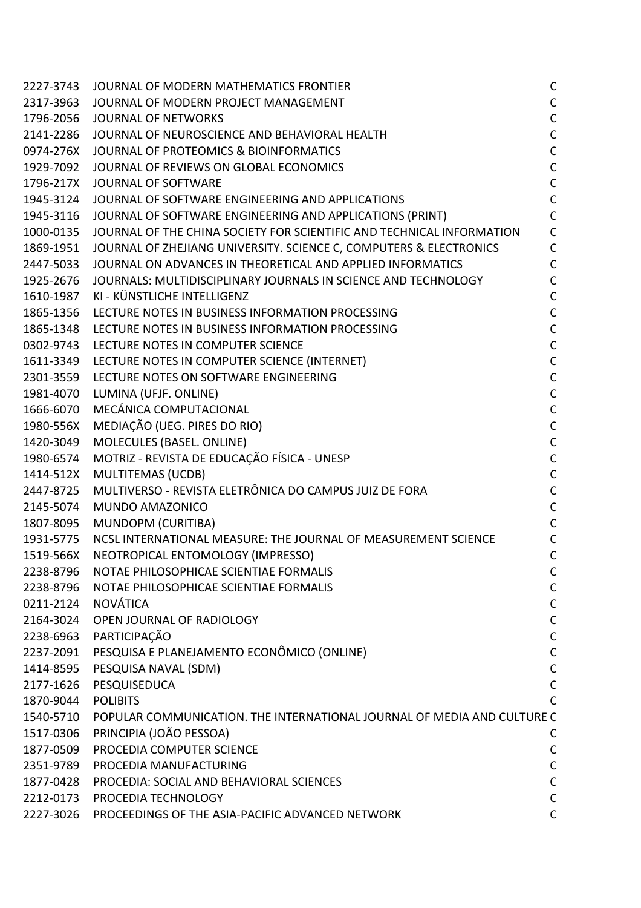| 2227-3743 | JOURNAL OF MODERN MATHEMATICS FRONTIER                                  | $\mathsf C$  |
|-----------|-------------------------------------------------------------------------|--------------|
| 2317-3963 | JOURNAL OF MODERN PROJECT MANAGEMENT                                    | $\mathsf C$  |
| 1796-2056 | <b>JOURNAL OF NETWORKS</b>                                              | $\mathsf C$  |
| 2141-2286 | JOURNAL OF NEUROSCIENCE AND BEHAVIORAL HEALTH                           | $\mathsf C$  |
| 0974-276X | JOURNAL OF PROTEOMICS & BIOINFORMATICS                                  | $\mathsf{C}$ |
| 1929-7092 | JOURNAL OF REVIEWS ON GLOBAL ECONOMICS                                  | $\mathsf C$  |
| 1796-217X | JOURNAL OF SOFTWARE                                                     | $\mathsf C$  |
| 1945-3124 | JOURNAL OF SOFTWARE ENGINEERING AND APPLICATIONS                        | $\mathsf{C}$ |
| 1945-3116 | JOURNAL OF SOFTWARE ENGINEERING AND APPLICATIONS (PRINT)                | $\mathsf{C}$ |
| 1000-0135 | JOURNAL OF THE CHINA SOCIETY FOR SCIENTIFIC AND TECHNICAL INFORMATION   | $\mathsf{C}$ |
| 1869-1951 | JOURNAL OF ZHEJIANG UNIVERSITY. SCIENCE C, COMPUTERS & ELECTRONICS      | $\mathsf{C}$ |
| 2447-5033 | JOURNAL ON ADVANCES IN THEORETICAL AND APPLIED INFORMATICS              | $\mathsf{C}$ |
| 1925-2676 | JOURNALS: MULTIDISCIPLINARY JOURNALS IN SCIENCE AND TECHNOLOGY          | $\mathsf{C}$ |
| 1610-1987 | KI - KÜNSTLICHE INTELLIGENZ                                             | $\mathsf{C}$ |
| 1865-1356 | LECTURE NOTES IN BUSINESS INFORMATION PROCESSING                        | $\mathsf C$  |
| 1865-1348 | LECTURE NOTES IN BUSINESS INFORMATION PROCESSING                        | $\mathsf C$  |
| 0302-9743 | LECTURE NOTES IN COMPUTER SCIENCE                                       | $\mathsf{C}$ |
| 1611-3349 | LECTURE NOTES IN COMPUTER SCIENCE (INTERNET)                            | $\mathsf C$  |
| 2301-3559 | LECTURE NOTES ON SOFTWARE ENGINEERING                                   | $\mathsf{C}$ |
| 1981-4070 | LUMINA (UFJF. ONLINE)                                                   | $\mathsf C$  |
| 1666-6070 | MECÁNICA COMPUTACIONAL                                                  | $\mathsf{C}$ |
| 1980-556X | MEDIAÇÃO (UEG. PIRES DO RIO)                                            | $\mathsf C$  |
| 1420-3049 | MOLECULES (BASEL. ONLINE)                                               | $\mathsf C$  |
| 1980-6574 | MOTRIZ - REVISTA DE EDUCAÇÃO FÍSICA - UNESP                             | $\mathsf C$  |
| 1414-512X | MULTITEMAS (UCDB)                                                       | $\mathsf{C}$ |
| 2447-8725 | MULTIVERSO - REVISTA ELETRÔNICA DO CAMPUS JUIZ DE FORA                  | $\mathsf C$  |
| 2145-5074 | MUNDO AMAZONICO                                                         | $\mathsf C$  |
| 1807-8095 | MUNDOPM (CURITIBA)                                                      | $\mathsf C$  |
| 1931-5775 | NCSL INTERNATIONAL MEASURE: THE JOURNAL OF MEASUREMENT SCIENCE          | $\mathsf C$  |
| 1519-566X | NEOTROPICAL ENTOMOLOGY (IMPRESSO)                                       | $\mathsf{C}$ |
| 2238-8796 | NOTAE PHILOSOPHICAE SCIENTIAE FORMALIS                                  | $\mathsf{C}$ |
| 2238-8796 | NOTAE PHILOSOPHICAE SCIENTIAE FORMALIS                                  | $\mathsf C$  |
| 0211-2124 | <b>NOVÁTICA</b>                                                         | $\mathsf C$  |
| 2164-3024 | OPEN JOURNAL OF RADIOLOGY                                               | $\mathsf C$  |
| 2238-6963 | PARTICIPAÇÃO                                                            | $\mathsf C$  |
| 2237-2091 | PESQUISA E PLANEJAMENTO ECONÔMICO (ONLINE)                              | $\mathsf C$  |
| 1414-8595 | PESQUISA NAVAL (SDM)                                                    | $\mathsf{C}$ |
| 2177-1626 | PESQUISEDUCA                                                            | $\mathsf{C}$ |
| 1870-9044 | <b>POLIBITS</b>                                                         | $\mathsf{C}$ |
| 1540-5710 | POPULAR COMMUNICATION. THE INTERNATIONAL JOURNAL OF MEDIA AND CULTURE C |              |
| 1517-0306 | PRINCIPIA (JOÃO PESSOA)                                                 | C            |
| 1877-0509 | PROCEDIA COMPUTER SCIENCE                                               | $\mathsf C$  |
| 2351-9789 | PROCEDIA MANUFACTURING                                                  | $\mathsf C$  |
| 1877-0428 | PROCEDIA: SOCIAL AND BEHAVIORAL SCIENCES                                | $\mathsf C$  |
| 2212-0173 | PROCEDIA TECHNOLOGY                                                     | $\mathsf C$  |
| 2227-3026 | PROCEEDINGS OF THE ASIA-PACIFIC ADVANCED NETWORK                        | $\mathsf{C}$ |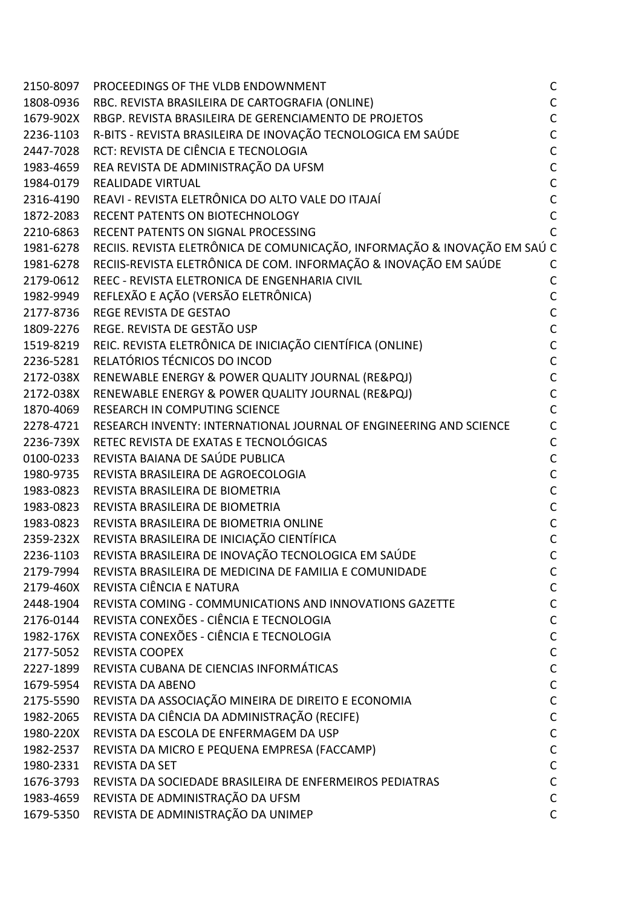| 2150-8097 PROCEEDINGS OF THE VLDB ENDOWNMENT                                        | C            |
|-------------------------------------------------------------------------------------|--------------|
| 1808-0936 RBC. REVISTA BRASILEIRA DE CARTOGRAFIA (ONLINE)                           |              |
| 1679-902X RBGP, REVISTA BRASILEIRA DE GERENCIAMENTO DE PROJETOS                     |              |
| 2236-1103 R-BITS - REVISTA BRASILEIRA DE INOVAÇÃO TECNOLOGICA EM SAÚDE              |              |
| 2447-7028 RCT: REVISTA DE CIÊNCIA E TECNOLOGIA                                      |              |
| 1983-4659 REA REVISTA DE ADMINISTRAÇÃO DA UFSM                                      |              |
| 1984-0179 REALIDADE VIRTUAL                                                         |              |
| 2316-4190 REAVI - REVISTA ELETRÔNICA DO ALTO VALE DO ITAJAÍ                         |              |
| 1872-2083 RECENT PATENTS ON BIOTECHNOLOGY                                           |              |
| 2210-6863 RECENT PATENTS ON SIGNAL PROCESSING                                       |              |
| 1981-6278 RECIIS. REVISTA ELETRÔNICA DE COMUNICAÇÃO, INFORMAÇÃO & INOVAÇÃO EM SAÚ C |              |
| 1981-6278 RECIIS-REVISTA ELETRÔNICA DE COM. INFORMAÇÃO & INOVAÇÃO EM SAÚDE          |              |
| 2179-0612 REEC - REVISTA ELETRONICA DE ENGENHARIA CIVIL                             |              |
| 1982-9949 REFLEXÃO E AÇÃO (VERSÃO ELETRÔNICA)                                       |              |
| 2177-8736 REGE REVISTA DE GESTAO                                                    |              |
| 1809-2276 REGE. REVISTA DE GESTÃO USP                                               |              |
| 1519-8219 REIC. REVISTA ELETRÔNICA DE INICIAÇÃO CIENTÍFICA (ONLINE)                 | $\mathsf{C}$ |
| 2236-5281 RELATÓRIOS TÉCNICOS DO INCOD                                              |              |
| 2172-038X RENEWABLE ENERGY & POWER QUALITY JOURNAL (RE&PQJ)                         |              |
| 2172-038X RENEWABLE ENERGY & POWER QUALITY JOURNAL (RE&PQJ)                         |              |
| 1870-4069 RESEARCH IN COMPUTING SCIENCE                                             |              |
| 2278-4721 RESEARCH INVENTY: INTERNATIONAL JOURNAL OF ENGINEERING AND SCIENCE        |              |
| 2236-739X RETEC REVISTA DE EXATAS E TECNOLÓGICAS                                    |              |
| 0100-0233 REVISTA BAIANA DE SAÚDE PUBLICA                                           |              |
| 1980-9735 REVISTA BRASILEIRA DE AGROECOLOGIA                                        |              |
| 1983-0823 REVISTA BRASILEIRA DE BIOMETRIA                                           |              |
| 1983-0823 REVISTA BRASILEIRA DE BIOMETRIA                                           |              |
| 1983-0823 REVISTA BRASILEIRA DE BIOMETRIA ONLINE                                    |              |
| 2359-232X REVISTA BRASILEIRA DE INICIAÇÃO CIENTÍFICA                                |              |
| 2236-1103 REVISTA BRASILEIRA DE INOVAÇÃO TECNOLOGICA EM SAÚDE                       | C            |
| 2179-7994 REVISTA BRASILEIRA DE MEDICINA DE FAMILIA E COMUNIDADE                    | C            |
| 2179-460X REVISTA CIÊNCIA E NATURA                                                  |              |
| 2448-1904 REVISTA COMING - COMMUNICATIONS AND INNOVATIONS GAZETTE                   |              |
| 2176-0144 REVISTA CONEXÕES - CIÊNCIA E TECNOLOGIA                                   |              |
| 1982-176X REVISTA CONEXÕES - CIÊNCIA E TECNOLOGIA                                   | C            |
| 2177-5052 REVISTA COOPEX                                                            |              |
| 2227-1899 REVISTA CUBANA DE CIENCIAS INFORMÁTICAS                                   | C            |
| 1679-5954 REVISTA DA ABENO                                                          |              |
| 2175-5590 REVISTA DA ASSOCIAÇÃO MINEIRA DE DIREITO E ECONOMIA                       | C            |
| 1982-2065 REVISTA DA CIÊNCIA DA ADMINISTRAÇÃO (RECIFE)                              | С            |
| 1980-220X REVISTA DA ESCOLA DE ENFERMAGEM DA USP                                    | C            |
| 1982-2537 REVISTA DA MICRO E PEQUENA EMPRESA (FACCAMP)                              |              |
| 1980-2331 REVISTA DA SET                                                            |              |
| 1676-3793 REVISTA DA SOCIEDADE BRASILEIRA DE ENFERMEIROS PEDIATRAS                  |              |
| 1983-4659 REVISTA DE ADMINISTRAÇÃO DA UFSM                                          | C            |
| 1679-5350 REVISTA DE ADMINISTRAÇÃO DA UNIMEP                                        | C            |
|                                                                                     |              |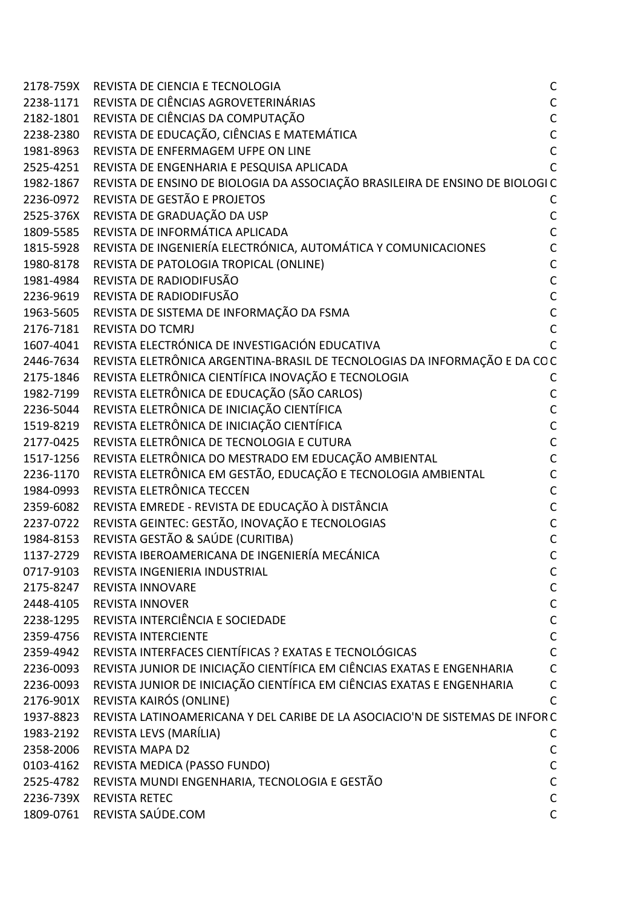| 2178-759X | REVISTA DE CIENCIA E TECNOLOGIA                                               | $\mathsf{C}$   |
|-----------|-------------------------------------------------------------------------------|----------------|
| 2238-1171 | REVISTA DE CIÊNCIAS AGROVETERINÁRIAS                                          | $\mathsf C$    |
| 2182-1801 | REVISTA DE CIÊNCIAS DA COMPUTAÇÃO                                             | $\mathsf{C}$   |
| 2238-2380 | REVISTA DE EDUCAÇÃO, CIÊNCIAS E MATEMÁTICA                                    | $\mathsf{C}$   |
| 1981-8963 | REVISTA DE ENFERMAGEM UFPE ON LINE                                            | $\mathsf{C}$   |
| 2525-4251 | REVISTA DE ENGENHARIA E PESQUISA APLICADA                                     | $\overline{C}$ |
| 1982-1867 | REVISTA DE ENSINO DE BIOLOGIA DA ASSOCIAÇÃO BRASILEIRA DE ENSINO DE BIOLOGI C |                |
| 2236-0972 | REVISTA DE GESTÃO E PROJETOS                                                  | C              |
| 2525-376X | REVISTA DE GRADUAÇÃO DA USP                                                   | C              |
| 1809-5585 | REVISTA DE INFORMÁTICA APLICADA                                               | $\mathsf{C}$   |
| 1815-5928 | REVISTA DE INGENIERÍA ELECTRÓNICA, AUTOMÁTICA Y COMUNICACIONES                | $\mathsf{C}$   |
| 1980-8178 | REVISTA DE PATOLOGIA TROPICAL (ONLINE)                                        | $\mathsf{C}$   |
| 1981-4984 | REVISTA DE RADIODIFUSÃO                                                       | $\mathsf{C}$   |
| 2236-9619 | REVISTA DE RADIODIFUSÃO                                                       | $\mathsf{C}$   |
| 1963-5605 | REVISTA DE SISTEMA DE INFORMAÇÃO DA FSMA                                      | $\mathsf{C}$   |
| 2176-7181 | <b>REVISTA DO TCMRJ</b>                                                       | $\mathsf{C}$   |
| 1607-4041 | REVISTA ELECTRÓNICA DE INVESTIGACIÓN EDUCATIVA                                | C              |
| 2446-7634 | REVISTA ELETRÔNICA ARGENTINA-BRASIL DE TECNOLOGIAS DA INFORMAÇÃO E DA COC     |                |
| 2175-1846 | REVISTA ELETRÔNICA CIENTÍFICA INOVAÇÃO E TECNOLOGIA                           | С              |
| 1982-7199 | REVISTA ELETRÔNICA DE EDUCAÇÃO (SÃO CARLOS)                                   | $\mathsf{C}$   |
| 2236-5044 | REVISTA ELETRÔNICA DE INICIAÇÃO CIENTÍFICA                                    | $\mathsf{C}$   |
| 1519-8219 | REVISTA ELETRÔNICA DE INICIAÇÃO CIENTÍFICA                                    | $\mathsf{C}$   |
| 2177-0425 | REVISTA ELETRÔNICA DE TECNOLOGIA E CUTURA                                     | $\mathsf{C}$   |
| 1517-1256 | REVISTA ELETRÔNICA DO MESTRADO EM EDUCAÇÃO AMBIENTAL                          | $\mathsf{C}$   |
| 2236-1170 | REVISTA ELETRÔNICA EM GESTÃO, EDUCAÇÃO E TECNOLOGIA AMBIENTAL                 | $\mathsf{C}$   |
| 1984-0993 | REVISTA ELETRÔNICA TECCEN                                                     | $\mathsf{C}$   |
| 2359-6082 | REVISTA EMREDE - REVISTA DE EDUCAÇÃO À DISTÂNCIA                              | $\mathsf{C}$   |
| 2237-0722 | REVISTA GEINTEC: GESTÃO, INOVAÇÃO E TECNOLOGIAS                               | $\mathsf{C}$   |
| 1984-8153 | REVISTA GESTÃO & SAÚDE (CURITIBA)                                             | C              |
| 1137-2729 | REVISTA IBEROAMERICANA DE INGENIERÍA MECÁNICA                                 | $\mathsf{C}$   |
| 0717-9103 | REVISTA INGENIERIA INDUSTRIAL                                                 | C              |
| 2175-8247 | <b>REVISTA INNOVARE</b>                                                       | C              |
| 2448-4105 | <b>REVISTA INNOVER</b>                                                        | $\mathsf{C}$   |
| 2238-1295 | REVISTA INTERCIÊNCIA E SOCIEDADE                                              | $\mathsf C$    |
| 2359-4756 | <b>REVISTA INTERCIENTE</b>                                                    | $\mathsf{C}$   |
| 2359-4942 | REVISTA INTERFACES CIENTÍFICAS ? EXATAS E TECNOLÓGICAS                        | $\mathsf{C}$   |
| 2236-0093 | REVISTA JUNIOR DE INICIAÇÃO CIENTÍFICA EM CIÊNCIAS EXATAS E ENGENHARIA        | $\mathsf{C}$   |
| 2236-0093 | REVISTA JUNIOR DE INICIAÇÃO CIENTÍFICA EM CIÊNCIAS EXATAS E ENGENHARIA        | $\mathsf{C}$   |
| 2176-901X | REVISTA KAIRÓS (ONLINE)                                                       | C              |
| 1937-8823 | REVISTA LATINOAMERICANA Y DEL CARIBE DE LA ASOCIACIO'N DE SISTEMAS DE INFORC  |                |
| 1983-2192 | REVISTA LEVS (MARÍLIA)                                                        | C              |
| 2358-2006 | <b>REVISTA MAPA D2</b>                                                        | $\mathsf{C}$   |
| 0103-4162 | REVISTA MEDICA (PASSO FUNDO)                                                  | $\mathsf{C}$   |
| 2525-4782 | REVISTA MUNDI ENGENHARIA, TECNOLOGIA E GESTÃO                                 | $\mathsf C$    |
| 2236-739X | <b>REVISTA RETEC</b>                                                          | $\mathsf{C}$   |
| 1809-0761 | REVISTA SAÚDE.COM                                                             | $\mathsf{C}$   |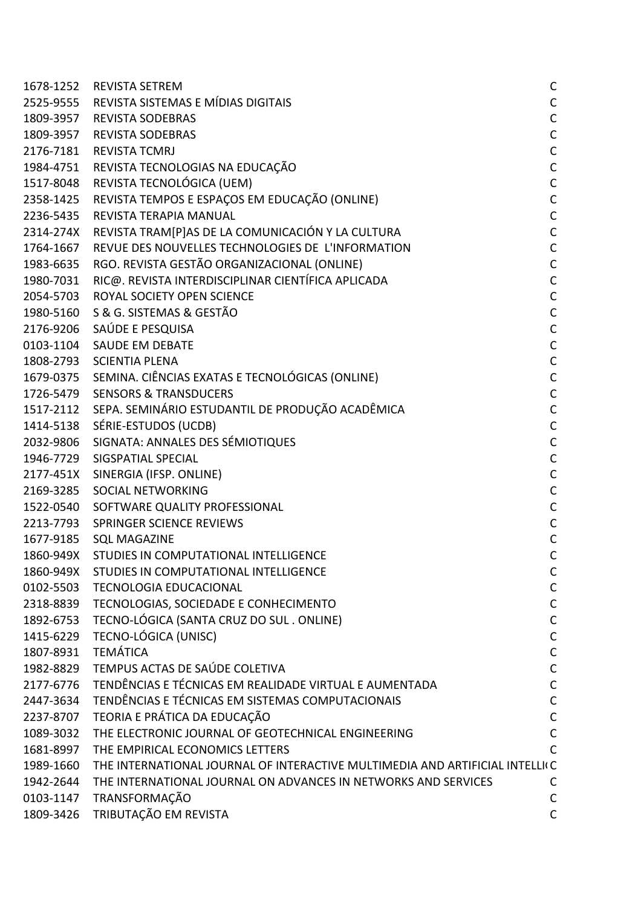|           | 1678-1252 REVISTA SETREM                                                     | С            |
|-----------|------------------------------------------------------------------------------|--------------|
|           | 2525-9555 REVISTA SISTEMAS E MÍDIAS DIGITAIS                                 | С            |
|           | 1809-3957 REVISTA SODEBRAS                                                   | C            |
|           | 1809-3957 REVISTA SODEBRAS                                                   | C            |
|           | 2176-7181 REVISTA TCMRJ                                                      | C            |
|           | 1984-4751 REVISTA TECNOLOGIAS NA EDUCAÇÃO                                    | C            |
|           | 1517-8048 REVISTA TECNOLÓGICA (UEM)                                          | C            |
|           | 2358-1425 REVISTA TEMPOS E ESPAÇOS EM EDUCAÇÃO (ONLINE)                      | C            |
|           | 2236-5435 REVISTA TERAPIA MANUAL                                             | C            |
|           | 2314-274X REVISTA TRAM[P]AS DE LA COMUNICACIÓN Y LA CULTURA                  | C            |
|           | 1764-1667 REVUE DES NOUVELLES TECHNOLOGIES DE L'INFORMATION                  | C            |
|           | 1983-6635 RGO. REVISTA GESTÃO ORGANIZACIONAL (ONLINE)                        | C            |
| 1980-7031 | RIC@. REVISTA INTERDISCIPLINAR CIENTÍFICA APLICADA                           | C            |
|           | 2054-5703 ROYAL SOCIETY OPEN SCIENCE                                         | C            |
|           | 1980-5160 S & G. SISTEMAS & GESTÃO                                           | C            |
|           | 2176-9206 SAÚDE E PESQUISA                                                   | C            |
|           | 0103-1104 SAUDE EM DEBATE                                                    | C            |
|           | 1808-2793 SCIENTIA PLENA                                                     | C            |
|           | 1679-0375 SEMINA. CIÊNCIAS EXATAS E TECNOLÓGICAS (ONLINE)                    | $\mathsf{C}$ |
|           | 1726-5479 SENSORS & TRANSDUCERS                                              | C            |
|           | 1517-2112 SEPA. SEMINÁRIO ESTUDANTIL DE PRODUÇÃO ACADÊMICA                   | C            |
|           | 1414-5138 SÉRIE-ESTUDOS (UCDB)                                               | C            |
|           | 2032-9806 SIGNATA: ANNALES DES SÉMIOTIQUES                                   | C            |
|           | 1946-7729 SIGSPATIAL SPECIAL                                                 | C            |
|           | 2177-451X SINERGIA (IFSP. ONLINE)                                            | C            |
|           | 2169-3285 SOCIAL NETWORKING                                                  | C            |
|           | 1522-0540 SOFTWARE QUALITY PROFESSIONAL                                      | C            |
|           | 2213-7793 SPRINGER SCIENCE REVIEWS                                           | C            |
|           | 1677-9185 SQL MAGAZINE                                                       | С            |
|           | 1860-949X STUDIES IN COMPUTATIONAL INTELLIGENCE                              | С            |
| 1860-949X | STUDIES IN COMPUTATIONAL INTELLIGENCE                                        | С            |
|           | 0102-5503 TECNOLOGIA EDUCACIONAL                                             | С            |
| 2318-8839 | TECNOLOGIAS, SOCIEDADE E CONHECIMENTO                                        | C            |
| 1892-6753 | TECNO-LÓGICA (SANTA CRUZ DO SUL. ONLINE)                                     | C            |
| 1415-6229 | TECNO-LÓGICA (UNISC)                                                         | C            |
| 1807-8931 | <b>TEMÁTICA</b>                                                              | С            |
| 1982-8829 | TEMPUS ACTAS DE SAÚDE COLETIVA                                               | C            |
| 2177-6776 | TENDÊNCIAS E TÉCNICAS EM REALIDADE VIRTUAL E AUMENTADA                       | C            |
| 2447-3634 | TENDÊNCIAS E TÉCNICAS EM SISTEMAS COMPUTACIONAIS                             | C            |
|           | 2237-8707 TEORIA E PRÁTICA DA EDUCAÇÃO                                       | C            |
| 1089-3032 | THE ELECTRONIC JOURNAL OF GEOTECHNICAL ENGINEERING                           | C            |
| 1681-8997 | THE EMPIRICAL ECONOMICS LETTERS                                              |              |
| 1989-1660 | THE INTERNATIONAL JOURNAL OF INTERACTIVE MULTIMEDIA AND ARTIFICIAL INTELLI(C |              |
| 1942-2644 | THE INTERNATIONAL JOURNAL ON ADVANCES IN NETWORKS AND SERVICES               | C            |
| 0103-1147 | TRANSFORMAÇÃO                                                                | С            |
| 1809-3426 | TRIBUTAÇÃO EM REVISTA                                                        | С            |
|           |                                                                              |              |